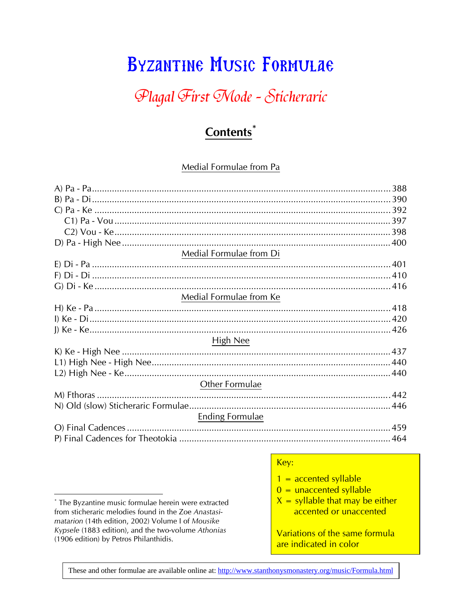# **BYZANTINE MUSIC FORMULAE**

# Plagal First Mode - Sticheraric

## **Contents**<sup>\*</sup>

#### Medial Formulae from Pa

| Medial Formulae from Di |  |
|-------------------------|--|
|                         |  |
|                         |  |
|                         |  |
| Medial Formulae from Ke |  |
|                         |  |
|                         |  |
|                         |  |
| High Nee                |  |
|                         |  |
|                         |  |
|                         |  |
| Other Formulae          |  |
|                         |  |
|                         |  |
| Ending Formulae         |  |
|                         |  |
|                         |  |

#### Key:

- $1 =$  accented syllable
- $0 =$  unaccented syllable
- $X =$  syllable that may be either accented or unaccented

Variations of the same formula are indicated in color

These and other formulae are available online at: http://www.stanthonysmonastery.org/music/Formula.html

<sup>\*</sup> The Byzantine music formulae herein were extracted from sticheraric melodies found in the Zoe Anastasimatarion (14th edition, 2002) Volume I of Mousike Kypsele (1883 edition), and the two-volume Athonias (1906 edition) by Petros Philanthidis.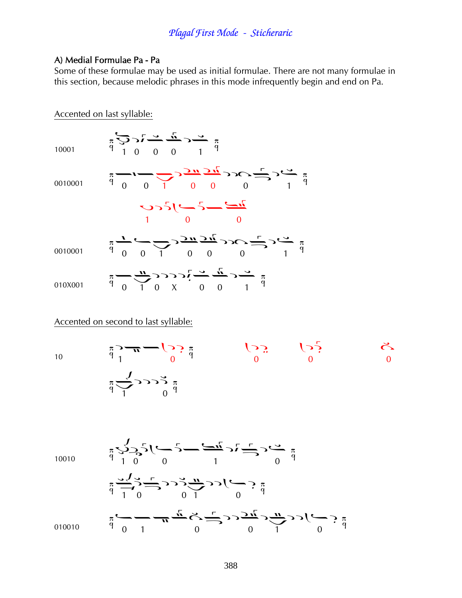#### A) Medial Formulae Pa - Pa

Some of these formulae may be used as initial formulae. There are not many formulae in this section, because melodic phrases in this mode infrequently begin and end on Pa.

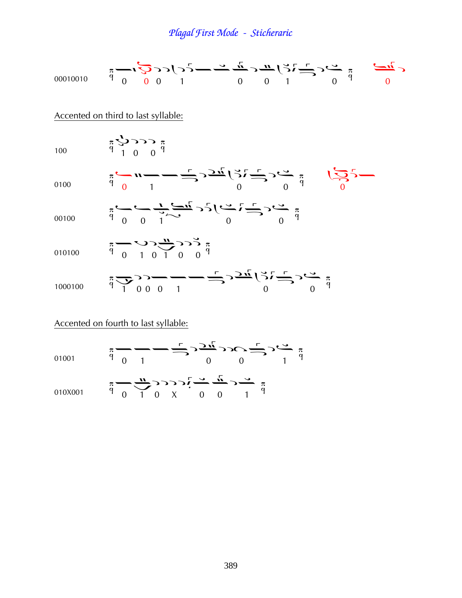

|         |  |  |                                                                       | $-\frac{1}{\sqrt{2}}$ |  |
|---------|--|--|-----------------------------------------------------------------------|-----------------------|--|
| 010X001 |  |  | $\begin{array}{ccccccccc}\n & 9 & 0 & 1 & 0 & X & 0 & 0\n\end{array}$ |                       |  |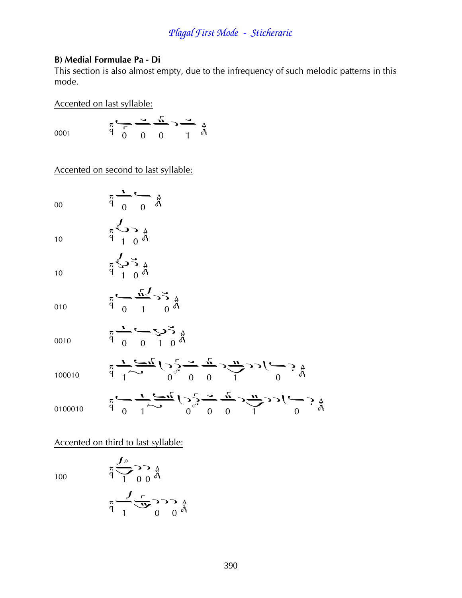#### **B) Medial Formulae Pa - Di**

This section is also almost empty, due to the infrequency of such melodic patterns in this mode.

Accented on last syllable:

0001

$$
\pi \xrightarrow{\tau} \frac{1}{\tau} \xrightarrow{0} \frac{\pi}{\tau} \rightarrow \frac{\pi}{\pi}
$$

Accented on second to last syllable:

 $\frac{\pi}{9}$  0 0  $\frac{4}{9}$ 

 $\frac{\pi}{9}$   $\frac{3}{1}$   $\frac{5}{9}$ 

 $\frac{\pi}{9}$   $\frac{5}{1}$   $\frac{5}{9}$ 

00

10

10

|     |  | $\frac{\sqrt{n}}{2}$ $>$ $\frac{3}{4}$ |  |
|-----|--|----------------------------------------|--|
| 010 |  | 0 <sup>d</sup>                         |  |

| 0010 |  | 90010 |  |  |
|------|--|-------|--|--|

$$
\frac{100010}{6} \frac{1}{7} \frac{1}{100010} \sum_{0}^{5} \frac{1}{10000} \sum_{0}^{5} \frac{1}{100000} \sum_{0}^{5} \frac{1}{100000} \sum_{0}^{5} \frac{1}{1000000} \sum_{0}^{5} \frac{1}{1000000} \sum_{0}^{5} \frac{1}{1000000} \sum_{0}^{5} \frac{1}{1000000} \sum_{0}^{5} \frac{1}{1000000} \sum_{0}^{5} \frac{1}{1000000} \sum_{0}^{5} \frac{1}{1000000} \sum_{0}^{5} \frac{1}{1000000} \sum_{0}^{5} \frac{1}{1000000} \sum_{0}^{5} \frac{1}{1000000} \sum_{0}^{5} \frac{1}{1000000} \sum_{0}^{5} \frac{1}{1000000} \sum_{0}^{5} \frac{1}{1000000} \sum_{0}^{5} \frac{1}{1000000} \sum_{0}^{5} \frac{1}{1000000} \sum_{0}^{5} \frac{1}{1000000} \sum_{0}^{5} \frac{1}{1000000} \sum_{0}^{5} \frac{1}{1000000} \sum_{0}^{5} \frac{1}{1000000} \sum_{0}^{5} \frac{1}{1000000} \sum_{0}^{5} \frac{1}{1000000} \sum_{0}^{5} \frac{1}{1000000} \sum_{0}^{5} \frac{1}{1000000} \sum_{0}^{5} \frac{1}{1000000} \sum_{0}^{5} \frac{1}{1000000} \sum_{0}^{5} \frac{1}{1000000} \sum_{0}^{5} \frac{1}{1000000} \sum_{0}^{5} \frac{1}{1000000} \sum_{0}^{5} \frac{1}{1000000} \sum_{0}^{5} \frac{1}{1000000} \sum_{0}^{5} \frac{1}{1000000} \sum_{0}^{5} \frac{1}{100000
$$

Accented on third to last syllable:

100

$$
\begin{array}{c}\n\pi \\
\hline\n\gamma \\
\hline\n\gamma \\
0\n\end{array}\n\qquad\n\begin{array}{c}\n\frac{1}{\sqrt{3}} \\
\hline\n\gamma \\
\hline\n\gamma \\
\hline\n\gamma \\
\hline\n\gamma \\
\hline\n\gamma \\
\hline\n\gamma \\
\hline\n\gamma \\
\hline\n\gamma \\
\hline\n\gamma \\
\hline\n\gamma \\
\hline\n\gamma \\
\hline\n\gamma \\
\hline\n\gamma \\
\hline\n\gamma \\
\hline\n\gamma \\
\hline\n\gamma \\
\hline\n\gamma \\
\hline\n\gamma \\
\hline\n\gamma \\
\hline\n\gamma \\
\hline\n\gamma \\
\hline\n\gamma \\
\hline\n\gamma \\
\hline\n\gamma \\
\hline\n\gamma \\
\hline\n\gamma \\
\hline\n\gamma \\
\hline\n\gamma \\
\hline\n\gamma \\
\hline\n\gamma \\
\hline\n\gamma \\
\hline\n\gamma \\
\hline\n\gamma \\
\hline\n\gamma \\
\hline\n\gamma \\
\hline\n\gamma \\
\hline\n\gamma \\
\hline\n\gamma \\
\hline\n\gamma \\
\hline\n\gamma \\
\hline\n\gamma \\
\hline\n\gamma \\
\hline\n\gamma \\
\hline\n\gamma \\
\hline\n\gamma \\
\hline\n\gamma \\
\hline\n\gamma \\
\hline\n\gamma \\
\hline\n\gamma \\
\hline\n\gamma \\
\hline\n\gamma \\
\hline\n\gamma \\
\hline\n\gamma \\
\hline\n\gamma \\
\hline\n\gamma \\
\hline\n\gamma \\
\hline\n\gamma \\
\hline\n\gamma \\
\hline\n\gamma \\
\hline\n\gamma \\
\hline\n\gamma \\
\hline\n\gamma \\
\hline\n\gamma \\
\hline\n\gamma \\
\hline\n\gamma \\
\hline\n\gamma \\
\hline\n\gamma \\
\hline\n\gamma \\
\hline\n\gamma \\
\hline\n\gamma \\
\hline\n\gamma \\
\hline\n\gamma \\
\hline\n\gamma \\
\hline\n\gamma \\
\hline\n\gamma \\
\hline\n\gamma \\
\hline\n\gamma \\
\hline\n\gamma \\
\hline\n\gamma \\
\hline\n\gamma \\
\hline\n\gamma \\
\hline\n\gamma \\
\hline\n\gamma \\
\hline\n\gamma \\
\hline\n\gamma \\
\hline\n\gamma \\
\hline\n\gamma \\
\hline\n\gamma \\
\hline\n\gamma \\
\hline\n\gamma \\
\hline\n\gamma \\
\hline\n\gamma \\
\hline\n\gamma \\
\hline\n\gamma \\
\hline\n\gamma \\
\hline\n\gamma \\
\hline\n\gamma \\
\hline\n\gamma \\
\hline\n\gamma \\
\hline\n\gamma \\
\hline
$$

 $\ddot{\phantom{a}}$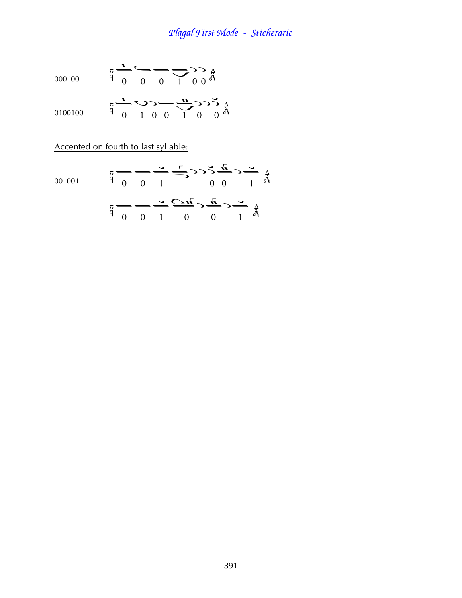000000 
$$
\pi
$$
  $\frac{1}{9}$   $\frac{1}{0}$   $\frac{1}{0}$   $\frac{1}{0}$   $\frac{1}{0}$   $\frac{1}{0}$   $\frac{1}{0}$   
 $\pi$   $\frac{1}{0}$   $\frac{1}{0}$   $\frac{1}{0}$   $\frac{1}{0}$   $\frac{1}{0}$   $\frac{1}{0}$   $\frac{1}{0}$ 

Accented on fourth to last syllable:

001001

$$
\pi \rightarrow 0 \quad 0 \quad 1 \quad 0 \quad 0 \quad 1 \quad \frac{4}{9}
$$
\n
$$
\pi \rightarrow 0 \quad 0 \quad 1 \quad 0 \quad 0 \quad 1 \quad \frac{4}{9}
$$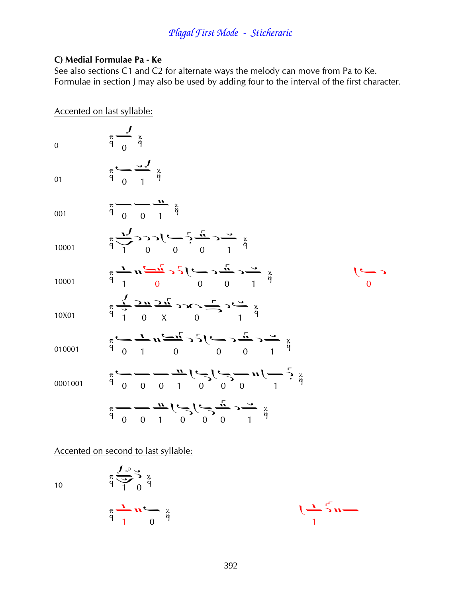#### C) Medial Formulae Pa - Ke

See also sections C1 and C2 for alternate ways the melody can move from Pa to Ke. Formulae in section J may also be used by adding four to the interval of the first character.

| Accented on last syllable: |                                                                                                                                                                                                                                                                                                                      |  |
|----------------------------|----------------------------------------------------------------------------------------------------------------------------------------------------------------------------------------------------------------------------------------------------------------------------------------------------------------------|--|
| $\overline{0}$             | $\pi \xrightarrow{q} \frac{x}{q}$                                                                                                                                                                                                                                                                                    |  |
| 01                         | $\pi \longleftarrow \frac{3}{4} \frac{1}{4}$                                                                                                                                                                                                                                                                         |  |
| 001                        | $\frac{\pi}{9}$ 0 0 1 $\frac{\pi}{9}$                                                                                                                                                                                                                                                                                |  |
| 10001                      | $\frac{1}{4} \sum_{i=1}^{n} 3 \sum_{j=1}^{n} (-1)^{i} \sum_{j=1}^{n} (-1)^{i} \sum_{j=1}^{n} (-1)^{i}$                                                                                                                                                                                                               |  |
| 10001                      | $\frac{\pi}{q}$ $\frac{1}{q}$ $\frac{1}{q}$ $\frac{1}{q}$ $\frac{1}{q}$ $\frac{1}{q}$ $\frac{1}{q}$ $\frac{1}{q}$ $\frac{1}{q}$ $\frac{1}{q}$ $\frac{1}{q}$ $\frac{1}{q}$                                                                                                                                            |  |
| 10X01                      | $\frac{1}{4} \sum_{i=1}^{n} \frac{1}{2n} \sum_{i=1}^{n} \sum_{j=1}^{n} c_j \sum_{i=1}^{n} c_j \sum_{j=1}^{n} \sum_{j=1}^{n} c_j$                                                                                                                                                                                     |  |
| 010001                     | $\frac{1}{4}$                                                                                                                                                                                                                                                                                                        |  |
| 0001001                    | $\ddot{a}$ $\frac{1}{4}$ $\frac{1}{4}$ $\frac{1}{4}$ $\frac{1}{4}$ $\frac{1}{4}$ $\frac{1}{4}$ $\frac{1}{4}$ $\frac{1}{4}$ $\frac{1}{4}$ $\frac{1}{4}$ $\frac{1}{4}$ $\frac{1}{4}$ $\frac{1}{4}$ $\frac{1}{4}$ $\frac{1}{4}$ $\frac{1}{4}$ $\frac{1}{4}$ $\frac{1}{4}$ $\frac{1}{4}$ $\frac{1}{4}$ $\frac{1}{4}$ $\$ |  |
|                            | $\frac{1}{4}$ $\frac{1}{4}$ $\frac{1}{4}$ $\frac{1}{4}$ $\frac{1}{4}$ $\frac{1}{4}$ $\frac{1}{4}$ $\frac{1}{4}$ $\frac{1}{4}$ $\frac{1}{4}$ $\frac{1}{4}$ $\frac{1}{4}$ $\frac{1}{4}$ $\frac{1}{4}$ $\frac{1}{4}$ $\frac{1}{4}$ $\frac{1}{4}$ $\frac{1}{4}$ $\frac{1}{4}$ $\frac{1}{4}$ $\frac{1}{4}$ $\frac{1}{4}$  |  |

Accented on second to last syllable:

 $\underset{p}{\overset{a}{\sim}}\underset{1}{\overset{f}{\sim}}\underset{0}{\overset{f}{\sim}}\underset{p}{\overset{g}{\sim}}$ 

 $10\,$ 

$$
\pi \frac{1}{q} n \stackrel{\sim}{=} \pi \frac{1}{q}
$$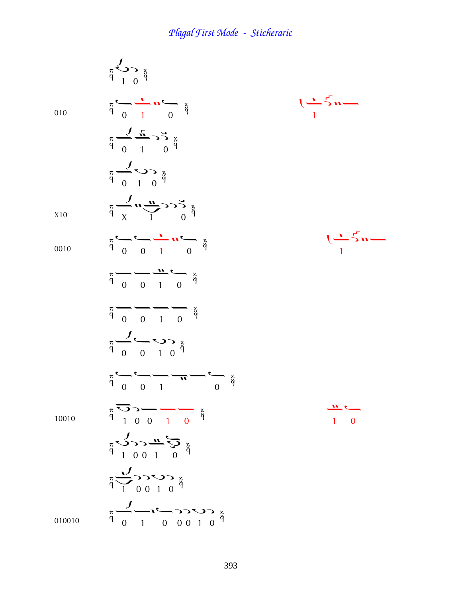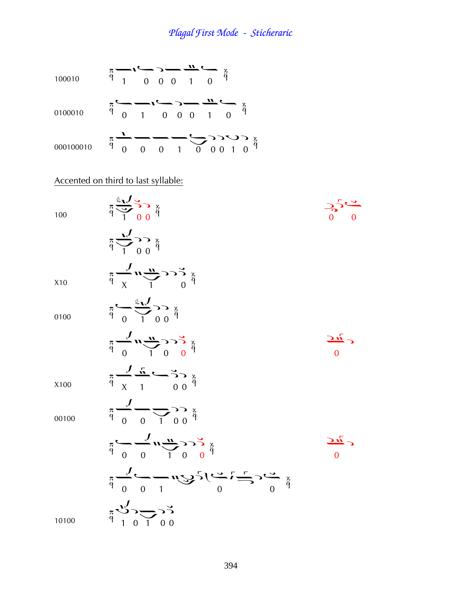

#### Accented on third to last syllable:

100

100 
$$
\pi \frac{1}{q} \sum_{i=1}^{q} \sum_{j=0}^{q} \frac{1}{q}
$$
  
\n $\pi \sum_{i=1}^{q} \sum_{j=0}^{q} \frac{1}{q}$   
\n $\pi \sum_{i=1}^{q} \sum_{j=0}^{q} \frac{1}{q}$   
\n210  $\pi \sum_{i=1}^{q} \sum_{j=0}^{q} \frac{1}{q}$   
\n210  $\pi \sum_{i=1}^{q} \sum_{j=0}^{q} \frac{1}{q}$   
\n210  $\pi \sum_{i=1}^{q} \sum_{j=0}^{q} \frac{1}{q}$   
\n210  $\pi \sum_{i=1}^{q} \sum_{j=0}^{q} \sum_{j=0}^{q} \frac{1}{q}$   
\n210  $\pi$   
\n210  $\pi$   
\n210  $\pi$   
\n211  $\pi$   
\n211  $\pi$   
\n221  $\pi$   
\n233  $\pi$   
\n245  $\pi$   
\n25  
\n26  $\pi$   
\n27  
\n28  
\n29  
\n20  
\n21  
\n21  
\n22  
\n23  
\n24  
\n25  
\n26  
\n28  
\n29  
\n20  
\n21  
\n21  
\n22  
\n23  
\n24  
\n25  
\n26  
\n28  
\n29  
\n20  
\n21  
\n21  
\n22  
\n23  
\n24  
\n25  
\n26  
\n28  
\n29  
\n20  
\n21  
\n22  
\n23  
\n24  
\n25  
\n26  
\n28  
\n29  
\n20  
\n21  
\n22  
\n23  
\n24  
\n25  
\n26  
\n28  
\n29  
\n20  
\n21  
\n22  
\n23  
\n24  
\n25  
\n26  
\n28  
\n29  
\n20  
\n21  
\n22  
\n23  
\n24  
\n25  
\n26  
\n27  
\n28  
\n29  
\n20  
\n21  
\n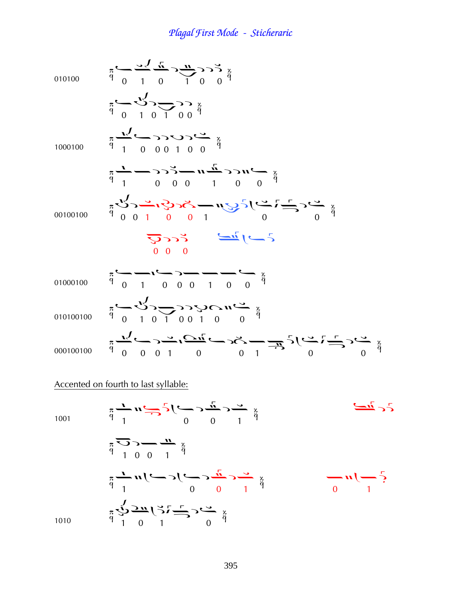010100  $\frac{\pi}{9}$   $\frac{\pi}{0}$   $\frac{\pi}{1}$   $\frac{\pi}{0}$   $\frac{\pi}{1}$   $\frac{\pi}{0}$   $\frac{\pi}{1}$   $\frac{\pi}{0}$   $\frac{\pi}{1}$   $\frac{\pi}{0}$   $\frac{\pi}{9}$  $\frac{\pi}{9}$  0 1 0 1 0 0  $\frac{3}{9}$ 1000100  $\pi \frac{1}{9}$  0 0 0 1 0 0  $\frac{3}{9}$  $\frac{x}{p}$   $\frac{1}{p}$   $\frac{1}{p}$   $\frac{1}{p}$   $\frac{1}{p}$   $\frac{1}{p}$   $\frac{1}{p}$   $\frac{1}{p}$   $\frac{1}{p}$   $\frac{1}{p}$   $\frac{1}{p}$   $\frac{1}{p}$   $\frac{1}{p}$   $\frac{1}{p}$   $\frac{1}{p}$   $\frac{1}{p}$   $\frac{1}{p}$   $\frac{1}{p}$   $\frac{1}{p}$   $\frac{1}{p}$   $\frac{1}{p}$   $\frac{1}{p}$   $\$  $^{60100100}$   $^{7001}$  0 1 0 0 1 0 1 0 0 1 0  $^{74}$  0  $^{74}$   $^{74}$  à¦¦ <sup>01000100</sup> ¤¢¤¦¤¢¤¤ 010100100  $\frac{\pi}{9}$  0 1 0 1 0 0 1 0 0 0  $\frac{3\pi}{9}$  $000100100$   $\frac{\pi}{9}$   $\frac{\pi}{9}$   $\frac{\pi}{9}$   $\frac{\pi}{9}$   $\frac{\pi}{1}$   $\frac{\pi}{9}$   $\frac{\pi}{1}$   $\frac{\pi}{3}$   $\frac{\pi}{1}$   $\frac{\pi}{3}$   $\frac{\pi}{1}$   $\frac{\pi}{2}$   $\frac{\pi}{3}$   $\frac{\pi}{3}$   $\frac{\pi}{3}$ 

#### Accented on fourth to last syllable:

1001 
$$
\pi \frac{1}{q} \pi \frac{1}{q} \pi \frac{1}{q} \frac{1}{q} \frac{1}{q} \frac{1}{q} \frac{1}{q} \frac{1}{q} \frac{1}{q} \frac{1}{q} \frac{1}{q} \frac{1}{q} \frac{1}{q} \frac{1}{q} \frac{1}{q} \frac{1}{q} \frac{1}{q} \frac{1}{q} \frac{1}{q} \frac{1}{q} \frac{1}{q} \frac{1}{q} \frac{1}{q} \frac{1}{q} \frac{1}{q} \frac{1}{q} \frac{1}{q} \frac{1}{q} \frac{1}{q} \frac{1}{q} \frac{1}{q} \frac{1}{q} \frac{1}{q} \frac{1}{q} \frac{1}{q} \frac{1}{q} \frac{1}{q} \frac{1}{q} \frac{1}{q} \frac{1}{q} \frac{1}{q} \frac{1}{q} \frac{1}{q} \frac{1}{q} \frac{1}{q} \frac{1}{q} \frac{1}{q} \frac{1}{q} \frac{1}{q} \frac{1}{q} \frac{1}{q} \frac{1}{q} \frac{1}{q} \frac{1}{q} \frac{1}{q} \frac{1}{q} \frac{1}{q} \frac{1}{q} \frac{1}{q} \frac{1}{q} \frac{1}{q} \frac{1}{q} \frac{1}{q} \frac{1}{q} \frac{1}{q} \frac{1}{q} \frac{1}{q} \frac{1}{q} \frac{1}{q} \frac{1}{q} \frac{1}{q} \frac{1}{q} \frac{1}{q} \frac{1}{q} \frac{1}{q} \frac{1}{q} \frac{1}{q} \frac{1}{q} \frac{1}{q} \frac{1}{q} \frac{1}{q} \frac{1}{q} \frac{1}{q} \frac{1}{q} \frac{1}{q} \frac{1}{q} \frac{1}{q} \frac{1}{q} \frac{1}{q} \frac{1}{q} \frac{1}{q} \frac{1}{q} \frac{1}{q} \frac{1}{q} \frac{1}{q} \frac{1}{q} \frac{1}{q} \frac{1}{q} \frac{1}{q} \frac{1}{q} \frac{1}{q} \frac{1}{q} \frac{1}{q} \frac{1}{q} \frac{1}{q} \frac{1}{q} \frac{1}{q} \frac{1
$$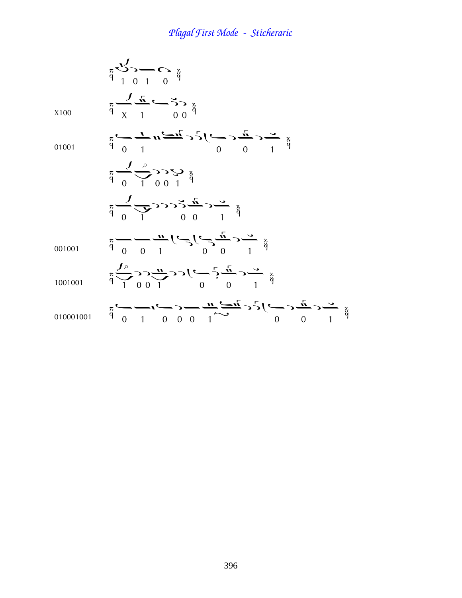|           | $\pi \frac{\sqrt{3}}{9}$ $\pi$ $\frac{\sqrt{3}}{1}$ $\pi$ $\frac{\sqrt{3}}{4}$                                                                                                                                                                                                                                                                  |
|-----------|-------------------------------------------------------------------------------------------------------------------------------------------------------------------------------------------------------------------------------------------------------------------------------------------------------------------------------------------------|
| X100      | $\frac{x}{\phi} \frac{1}{\sqrt{1-\frac{1}{\phi}}}$                                                                                                                                                                                                                                                                                              |
| 01001     | $\frac{x}{4}$ $\frac{y}{4}$ $\frac{y}{4}$ $\frac{y}{4}$ $\frac{y}{4}$ $\frac{y}{4}$ $\frac{y}{4}$ $\frac{y}{4}$ $\frac{y}{4}$ $\frac{y}{4}$ $\frac{y}{4}$ $\frac{y}{4}$ $\frac{y}{4}$                                                                                                                                                           |
|           | $\frac{3}{4} \frac{1}{2} \sum_{1}^{6} \sum_{1}^{6} \sum_{1}^{3} \frac{1}{4}$                                                                                                                                                                                                                                                                    |
|           | $\frac{1}{4}$ $\frac{1}{4}$ $\frac{1}{4}$ $\frac{1}{4}$ $\frac{1}{4}$ $\frac{1}{4}$ $\frac{1}{4}$ $\frac{1}{4}$ $\frac{1}{4}$ $\frac{1}{4}$ $\frac{1}{4}$ $\frac{1}{4}$ $\frac{1}{4}$ $\frac{1}{4}$                                                                                                                                             |
| 001001    | $\frac{\pi}{q}$ = $\frac{1}{q}$ = $\frac{1}{q}$ = $\frac{1}{q}$ = $\frac{1}{q}$ = $\frac{1}{q}$ = $\frac{1}{q}$ = $\frac{1}{q}$ = $\frac{1}{q}$ = $\frac{1}{q}$ = $\frac{1}{q}$                                                                                                                                                                 |
| 1001001   | $\frac{1}{4} \sum_{i=1}^{n} \sum_{i=1}^{n} \sum_{j=1}^{n} c_j \sum_{i=1}^{n} c_i \sum_{i=1}^{n} \sum_{j=1}^{n} \sum_{j=1}^{n} \sum_{j=1}^{n} \sum_{j=1}^{n} \sum_{j=1}^{n} \sum_{j=1}^{n} \sum_{j=1}^{n} \sum_{j=1}^{n} \sum_{j=1}^{n} \sum_{j=1}^{n} \sum_{j=1}^{n} \sum_{j=1}^{n} \sum_{j=1}^{n} \sum_{j=1}^{n} \sum_{j=1}^{n} \sum_{j=1}^{n$ |
| 010001001 | $\frac{x}{4}$                                                                                                                                                                                                                                                                                                                                   |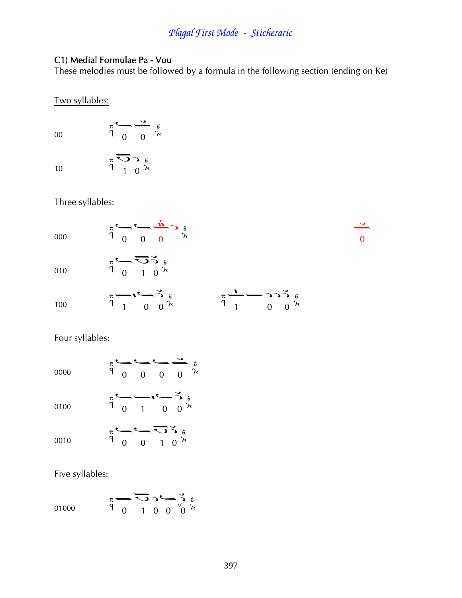#### C1) Medial Formulae Pa - Vou

These melodies must be followed by a formula in the following section (ending on Ke)

#### Two syllables:

00  $\pi$   $\begin{matrix} 0 \\ 0 \end{matrix}$   $\begin{matrix} 0 \\ 0 \end{matrix}$   $\begin{matrix} 0 \\ 0 \end{matrix}$ 10  $\pi$   $\overline{O}$   $\gamma$   $\alpha$ <sub>1</sub> 0  $\lambda$ 

#### Three syllables:



#### Four syllables:

| 0000 | π<br>q                |          |  | $\begin{array}{c}\n\bullet \\ \bullet \\ \hline\n0 \\ 0\n\end{array}$<br>$\lambda$ |
|------|-----------------------|----------|--|------------------------------------------------------------------------------------|
| 0100 | $\pi$ `<br>$\ddot{q}$ | $\Omega$ |  | $\frac{1}{1}$ 0 0 $\frac{3}{1}$ 6                                                  |
| 0010 | π<br>q                |          |  | $\begin{array}{c}\n\bullet \bigcirc \circ \circ \circ \\ 0 & 1 & 0 \\ \end{array}$ |

#### Five syllables:

01000 
$$
\pi \rightarrow 0
$$
  $\pi \rightarrow 0$   $\pi \rightarrow 0$   $\pi \rightarrow 0$   $\pi \rightarrow 0$   $\pi \rightarrow 0$   $\pi \rightarrow 0$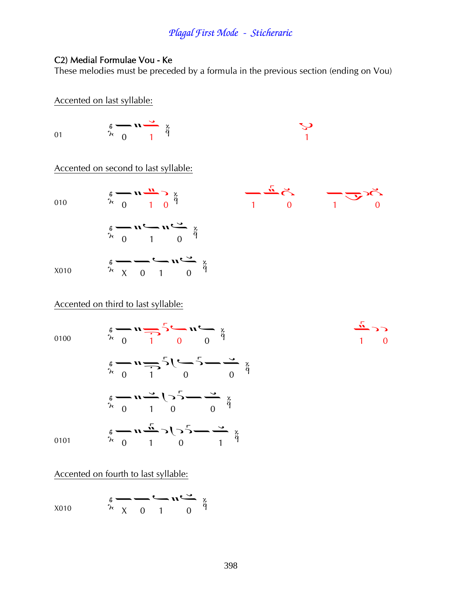#### C2) Medial Formulae Vou - Ke

These melodies must be preceded by a formula in the previous section (ending on Vou)

Accented on last syllable:

01

$$
\begin{array}{c}\n\stackrel{\circ}{\circ} & \mathbf{u} \stackrel{\bullet}{\longrightarrow} \stackrel{\times}{\circ} \\
\stackrel{\circ}{\circ} & 1\n\end{array}
$$

$$
\frac{1}{\sqrt{2}}
$$

 $\sum_{i=1}^{n}$ 

 $\begin{array}{ccc} & & & \overline{1} & \\ 1 & & 0 & \end{array}$ 

Accented on second to last syllable:

010

$$
\begin{array}{ccc}\n\stackrel{\circ}{\scriptstyle\wedge} & \stackrel{\circ}{\scriptstyle\wedge} & \stackrel{\circ}{\scriptstyle\wedge} & \stackrel{\circ}{\scriptstyle\wedge} \\
\stackrel{\circ}{\scriptstyle\wedge} & 0 & 1 & 0 \\
\stackrel{\circ}{\scriptstyle\circ} & \stackrel{\circ}{\scriptstyle\wedge} & \stackrel{\circ}{\scriptstyle\wedge} \\
\stackrel{\circ}{\scriptstyle\circ} & \stackrel{\circ}{\scriptstyle\wedge} & \stackrel{\circ}{\scriptstyle\wedge} \\
\stackrel{\circ}{\scriptstyle\circ} & \stackrel{\circ}{\scriptstyle\wedge} & \stackrel{\circ}{\scriptstyle\wedge} \\
\stackrel{\circ}{\scriptstyle\wedge} & \stackrel{\circ}{\scriptstyle\wedge} & \stackrel{\circ}{\scriptstyle\wedge} \\
\stackrel{\circ}{\scriptstyle\wedge} & \stackrel{\circ}{\scriptstyle\wedge} & \stackrel{\circ}{\scriptstyle\wedge} \\
\stackrel{\circ}{\scriptstyle\wedge} & \stackrel{\circ}{\scriptstyle\wedge} & \stackrel{\circ}{\scriptstyle\wedge} \\
\stackrel{\circ}{\scriptstyle\wedge} & \stackrel{\circ}{\scriptstyle\wedge} & \stackrel{\circ}{\scriptstyle\wedge} \\
\stackrel{\circ}{\scriptstyle\wedge} & \stackrel{\circ}{\scriptstyle\wedge} & \stackrel{\circ}{\scriptstyle\wedge} \\
\stackrel{\circ}{\scriptstyle\wedge} & \stackrel{\circ}{\scriptstyle\wedge} & \stackrel{\circ}{\scriptstyle\wedge} \\
\stackrel{\circ}{\scriptstyle\wedge} & \stackrel{\circ}{\scriptstyle\wedge} & \stackrel{\circ}{\scriptstyle\wedge} & \stackrel{\circ}{\scriptstyle\wedge} \\
\stackrel{\circ}{\scriptstyle\wedge} & \stackrel{\circ}{\scriptstyle\wedge} & \stackrel{\circ}{\scriptstyle\wedge} \\
\stackrel{\circ}{\scriptstyle\wedge} & \stackrel{\circ}{\scriptstyle\wedge} & \stackrel{\circ}{\scriptstyle\wedge} \\
\stackrel{\circ}{\scriptstyle\wedge} & \stackrel{\circ}{\scriptstyle\wedge} & \stackrel{\circ}{\scriptstyle\wedge} \\
\stackrel{\circ}{\scriptstyle\wedge} & \stackrel{\circ}{\scriptstyle\wedge} & \stackrel{\circ}{\scriptstyle\wedge} \\
\stackrel{\circ}{\scriptstyle\wedge} & \stackrel{\circ}{\scriptstyle\wedge} & \stackrel{\circ}{\scriptstyle\wedge} \\
\stackrel{\circ}{\scriptstyle\wedge} & \stackrel{\circ}{\scriptstyle\wedge} & \stackrel{\
$$

 $\frac{2}{\lambda}$  0 1  $\frac{11}{\lambda}$  2  $\frac{2}{\lambda}$ 

 $\frac{1}{2}$  x 0 1 0  $\frac{3}{4}$ 

#### Accented on third to last syllable:

0100

X010

$$
\begin{array}{ccc}\n\frac{x}{\gamma} & \frac{y}{\gamma} & \frac{y}{\gamma} & \frac{z}{\gamma} \\
\frac{x}{\gamma} & 0 & 1 & 0 & 0\n\end{array}
$$
\n
$$
\begin{array}{ccc}\n\frac{x}{\gamma} & \frac{x}{\gamma} & \frac{z}{\gamma} & \frac{z}{\gamma} \\
\frac{x}{\gamma} & 0 & 1 & 0 & 0\n\end{array}
$$
\n
$$
\begin{array}{ccc}\n\frac{x}{\gamma} & \frac{x}{\gamma} & \frac{z}{\gamma} & \frac{z}{\gamma} \\
\frac{x}{\gamma} & 0 & 1 & 0 & 0\n\end{array}
$$

 $\overline{0}$ 

 $\Omega$ 

0101

#### Accented on fourth to last syllable:

$$
x_{010} \qquad \begin{array}{c} 6 \longrightarrow \longrightarrow \\ \lambda \times 0 & 1 \end{array} \qquad \begin{array}{c} \lambda \times 0 \\ 0 \end{array} \qquad \begin{array}{c} \lambda \times 0 \\ 0 \end{array}
$$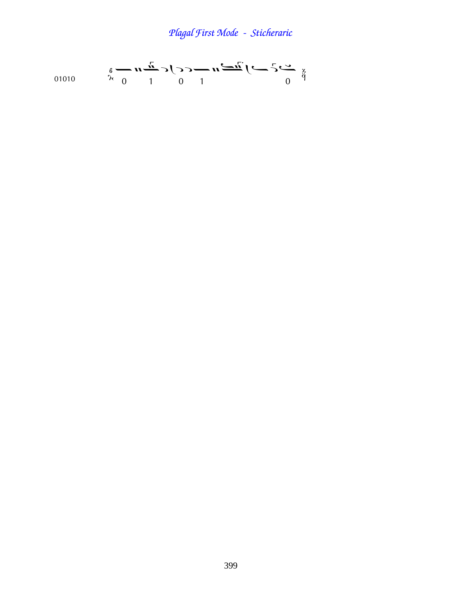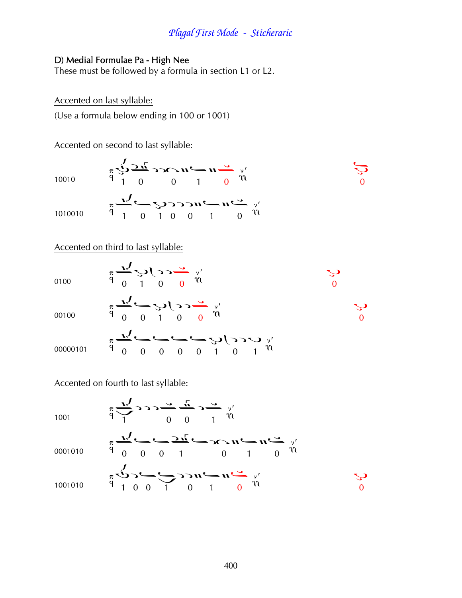#### D) Medial Formulae Pa - High Nee

These must be followed by a formula in section L1 or L2.

#### Accented on last syllable:

(Use a formula below ending in 100 or 1001)

Accented on second to last syllable:

| 10010                                                                                            |  | $\pi \sum_{q=1}^{N} \frac{1}{q} \sum_{q=0}^{N} \sum_{r=0}^{N} \sum_{r=0}^{r} \sum_{r=0}^{N} \sum_{r=0}^{N} \sum_{r=0}^{N} \sum_{r=0}^{N} \sum_{r=0}^{N} \sum_{r=0}^{N} \sum_{r=0}^{N} \sum_{r=0}^{N} \sum_{r=0}^{N} \sum_{r=0}^{N} \sum_{r=0}^{N} \sum_{r=0}^{N} \sum_{r=0}^{N} \sum_{r=0}^{N} \sum_{r=0}^{N} \sum_{r=0}^{N} \sum_{r=0}^{N} \$ |  |  |  |
|--------------------------------------------------------------------------------------------------|--|------------------------------------------------------------------------------------------------------------------------------------------------------------------------------------------------------------------------------------------------------------------------------------------------------------------------------------------------|--|--|--|
| 1010010 $\pi \frac{V}{9}$ $\left(\frac{V}{10000} \sqrt{2550} \frac{V}{10000} \frac{V}{V}\right)$ |  |                                                                                                                                                                                                                                                                                                                                                |  |  |  |

Accented on third to last syllable:

| 0100     | $\pi \frac{V}{q} \sum_{0} \sum_{r=0}^{r} \sum_{r=0}^{r} \frac{V}{r}$                                                                                                                                    | 9 |
|----------|---------------------------------------------------------------------------------------------------------------------------------------------------------------------------------------------------------|---|
| 00100    | $\pi \frac{1}{9}$ $\frac{1}{9}$ $\frac{1}{9}$ $\frac{1}{9}$ $\frac{1}{9}$ $\frac{1}{9}$ $\frac{1}{9}$ $\frac{1}{9}$ $\frac{1}{9}$ $\frac{1}{9}$ $\frac{1}{9}$ $\frac{1}{9}$ $\frac{1}{9}$ $\frac{1}{1}$ |   |
| 00000101 |                                                                                                                                                                                                         |   |

#### Accented on fourth to last syllable:

 $\pi \frac{1}{\sqrt{2}}$ 1001  $\pi \frac{1}{\sqrt{2}}$   $\frac{1}{\sqrt{2}}$   $\frac{1}{\sqrt{2}}$   $\frac{1}{\sqrt{2}}$   $\frac{1}{\sqrt{2}}$   $\frac{1}{\sqrt{2}}$   $\frac{1}{\sqrt{2}}$   $\frac{1}{\sqrt{2}}$   $\frac{1}{\sqrt{2}}$   $\frac{1}{\sqrt{2}}$   $\frac{1}{\sqrt{2}}$   $\frac{1}{\sqrt{2}}$   $\frac{1}{\sqrt{2}}$   $\frac{1}{\sqrt{2}}$   $\frac{1}{\sqrt{2}}$   $\frac{1}{\sqrt{2}}$   $\frac{1}{\sqrt{2}}$ 0001010  $\sum_{p=0}^{n} \sum_{r=0}^{n} \sum_{r=0}^{n} \sum_{r=0}^{n} \sum_{r=0}^{n} \sum_{r=0}^{n} \sum_{r=0}^{n} \sum_{r=0}^{n} \sum_{r=0}^{n} \sum_{r=0}^{n} \sum_{r=0}^{n} \sum_{r=0}^{n} \sum_{r=0}^{n} \sum_{r=0}^{n} \sum_{r=0}^{n} \sum_{r=0}^{n} \sum_{r=0}^{n} \sum_{r=0}^{n} \sum_{r=0}^{n} \sum_{r=0}^{n} \sum_{r=0}^{n} \sum_{r=0}^{n}$ 1001010

 $\mathcal{C}$ 

 $\overline{0}$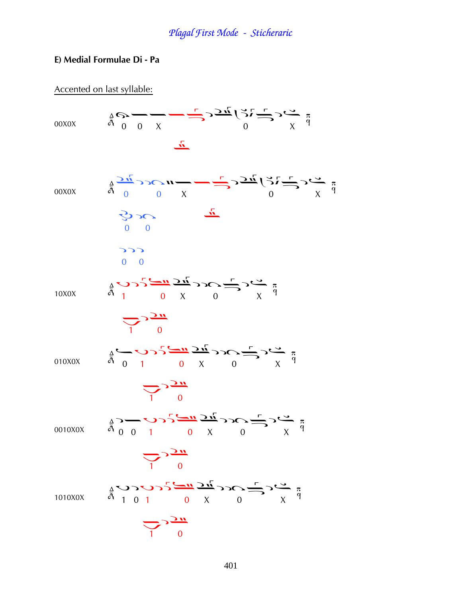#### E) Medial Formulae Di - Pa

Accented on last syllable:

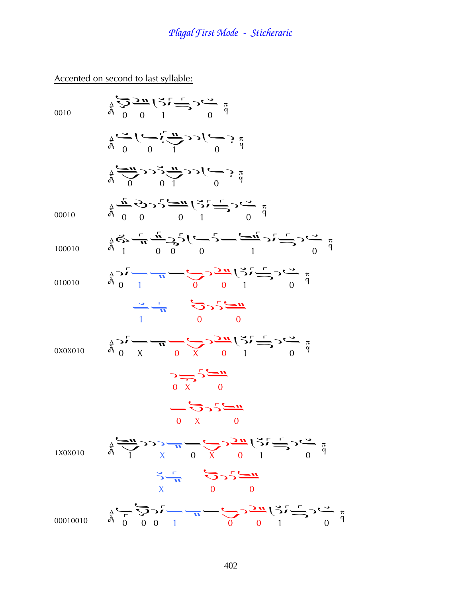Accented on second to last syllable:

| 0010     | $\begin{array}{c}\n\frac{d}{d} \sum_{i=1}^{d} \sum_{j=1}^{d} \sum_{i=1}^{d} \sum_{j=1}^{d} \sum_{j=1}^{d} \sum_{j=1}^{d} \sum_{j=1}^{d} \sum_{j=1}^{d} \sum_{j=1}^{d} \sum_{j=1}^{d} \sum_{j=1}^{d} \sum_{j=1}^{d} \sum_{j=1}^{d} \sum_{j=1}^{d} \sum_{j=1}^{d} \sum_{j=1}^{d} \sum_{j=1}^{d} \sum_{j=1}^{d} \sum_{j=1}^{d} \sum_{j=1}^{d} \sum_{j=$                                                                                           |
|----------|------------------------------------------------------------------------------------------------------------------------------------------------------------------------------------------------------------------------------------------------------------------------------------------------------------------------------------------------------------------------------------------------------------------------------------------------|
|          | $\frac{a}{4} \sum_{i=1}^{n} \left( \sum_{i=1}^{n} \frac{1}{n} 3 \right) \n= \sum_{i=1}^{n} \left( \sum_{i=1}^{n} \frac{1}{n} 3 \right) \n= \sum_{i=1}^{n} \left( \sum_{i=1}^{n} \frac{1}{n} 3 \right) \n= \sum_{i=1}^{n} \left( \sum_{i=1}^{n} \frac{1}{n} 3 \right) \n= \sum_{i=1}^{n} \left( \sum_{i=1}^{n} \frac{1}{n} 3 \right) \n= \sum_{i=1}^{n} \left($                                                                                 |
|          | $\frac{1}{4} \sum_{i=1}^{u} \sum_{j=1}^{u} \sum_{j=1}^{u} \sum_{j=1}^{u} \sum_{j=1}^{u} \sum_{j=1}^{u} \sum_{j=1}^{u} \sum_{j=1}^{u} \sum_{j=1}^{u} \sum_{j=1}^{u} \sum_{j=1}^{u} \sum_{j=1}^{u} \sum_{j=1}^{u} \sum_{j=1}^{u} \sum_{j=1}^{u} \sum_{j=1}^{u} \sum_{j=1}^{u} \sum_{j=1}^{u} \sum_{j=1}^{u} \sum_{j=1}^{u} \sum_{j=1}^{u} \sum_{$                                                                                                |
| 00010    | $\frac{1}{4}$ $\frac{1}{4}$ $\frac{1}{5}$ $\frac{1}{5}$ $\frac{1}{5}$ $\frac{1}{5}$ $\frac{1}{5}$ $\frac{1}{5}$ $\frac{1}{5}$ $\frac{1}{5}$ $\frac{1}{5}$ $\frac{1}{5}$ $\frac{1}{6}$ $\frac{1}{6}$                                                                                                                                                                                                                                            |
| 100010   | $\frac{1}{4}$                                                                                                                                                                                                                                                                                                                                                                                                                                  |
| 010010   | $\frac{5}{9} \sum_{i=1}^{n} \frac{1}{i}$                                                                                                                                                                                                                                                                                                                                                                                                       |
|          | $\frac{1}{1}$ $\frac{1}{1}$ $\frac{1}{0}$ $\frac{1}{0}$ $\frac{1}{0}$ $\frac{1}{0}$                                                                                                                                                                                                                                                                                                                                                            |
| 0X0X010  | $\sum_{\substack{a \ b \ b \ b}}^{n} \frac{1}{\sqrt{2}} \frac{1}{\sqrt{2}} \frac{1}{\sqrt{2}} \frac{1}{\sqrt{2}} \sum_{\substack{b \ b \ b \ b \ b}}^{n} \frac{1}{\sqrt{2}} \frac{1}{\sqrt{2}} \sum_{\substack{b \ b \ b \ b \ b \ b \ b \ b}}^{n} \frac{1}{\sqrt{2}}$                                                                                                                                                                         |
|          | $\begin{array}{c}\n\sum_{x} 2x \\ \sum_{x} 0\n\end{array}$                                                                                                                                                                                                                                                                                                                                                                                     |
|          | $-53544$<br>0 X 0                                                                                                                                                                                                                                                                                                                                                                                                                              |
| 1X0X010  | $\frac{1}{4} \sum_{i=1}^{n} \sum_{j=1}^{n} \sum_{j=1}^{n} \sum_{j=1}^{n} \sum_{j=1}^{n} \sum_{j=1}^{n} \sum_{j=1}^{n} \sum_{j=1}^{n} \sum_{j=1}^{n} \sum_{j=1}^{n} \sum_{j=1}^{n} \sum_{j=1}^{n} \sum_{j=1}^{n} \sum_{j=1}^{n} \sum_{j=1}^{n} \sum_{j=1}^{n} \sum_{j=1}^{n} \sum_{j=1}^{n} \sum_{j=1}^{n} \sum_{j=1}^{n} \sum_{j=1}^{n} \sum_{$                                                                                                |
|          | $\begin{array}{ccc}\n\frac{1}{\sqrt{2}} & \frac{1}{\sqrt{2}} & \frac{1}{\sqrt{2}} & \frac{1}{\sqrt{2}} \\ \frac{1}{\sqrt{2}} & \frac{1}{\sqrt{2}} & \frac{1}{\sqrt{2}} & \frac{1}{\sqrt{2}} & \frac{1}{\sqrt{2}} \\ \frac{1}{\sqrt{2}} & \frac{1}{\sqrt{2}} & \frac{1}{\sqrt{2}} & \frac{1}{\sqrt{2}} & \frac{1}{\sqrt{2}} & \frac{1}{\sqrt{2}} \\ \frac{1}{\sqrt{2}} & \frac{1}{\sqrt{2}} & \frac{1}{\sqrt{2}} & \frac{1}{\sqrt{2}} & \frac{$ |
| 00010010 | $\frac{1}{4}$ $\frac{1}{4}$ $\frac{1}{2}$ $\frac{1}{2}$ $\frac{1}{2}$ $\frac{1}{2}$ $\frac{1}{2}$ $\frac{1}{2}$ $\frac{1}{2}$ $\frac{1}{2}$ $\frac{1}{2}$ $\frac{1}{2}$ $\frac{1}{2}$ $\frac{1}{2}$ $\frac{1}{2}$ $\frac{1}{2}$ $\frac{1}{2}$ $\frac{1}{2}$ $\frac{1}{2}$ $\frac{1}{2}$ $\frac{1}{2}$ $\frac{1}{2}$                                                                                                                            |
|          |                                                                                                                                                                                                                                                                                                                                                                                                                                                |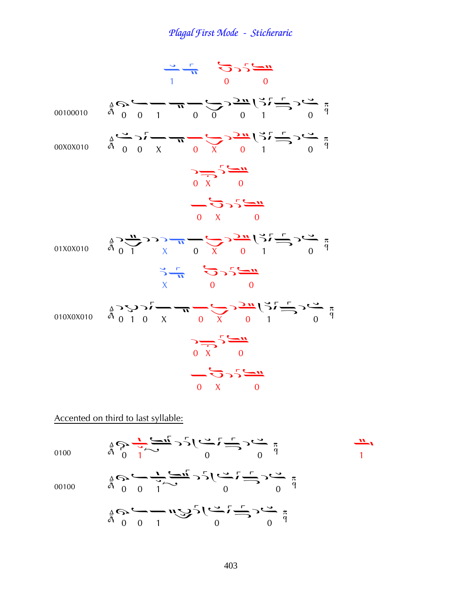

#### Accented on third to last syllable:

$$
\frac{4}{9} \sum_{1}^{4} \frac{1}{2} \sum_{1}^{4} \frac{1}{2} \sum_{1}^{4} \frac{1}{2} \sum_{1}^{4} \frac{1}{2} \sum_{1}^{4} \frac{1}{2} \sum_{1}^{4} \frac{1}{2} \sum_{1}^{4} \frac{1}{2} \sum_{1}^{4} \frac{1}{2} \sum_{1}^{4} \frac{1}{2} \sum_{1}^{4} \frac{1}{2} \sum_{1}^{4} \frac{1}{2} \sum_{1}^{4} \frac{1}{2} \sum_{1}^{4} \frac{1}{2} \sum_{1}^{4} \frac{1}{2} \sum_{1}^{4} \frac{1}{2} \sum_{1}^{4} \frac{1}{2} \sum_{1}^{4} \frac{1}{2} \sum_{1}^{4} \frac{1}{2} \sum_{1}^{4} \frac{1}{2} \sum_{1}^{4} \frac{1}{2} \sum_{1}^{4} \frac{1}{2} \sum_{1}^{4} \frac{1}{2} \sum_{1}^{4} \frac{1}{2} \sum_{1}^{4} \frac{1}{2} \sum_{1}^{4} \frac{1}{2} \sum_{1}^{4} \frac{1}{2} \sum_{1}^{4} \frac{1}{2} \sum_{1}^{4} \frac{1}{2} \sum_{1}^{4} \frac{1}{2} \sum_{1}^{4} \frac{1}{2} \sum_{1}^{4} \frac{1}{2} \sum_{1}^{4} \frac{1}{2} \sum_{1}^{4} \frac{1}{2} \sum_{1}^{4} \frac{1}{2} \sum_{1}^{4} \frac{1}{2} \sum_{1}^{4} \frac{1}{2} \sum_{1}^{4} \frac{1}{2} \sum_{1}^{4} \frac{1}{2} \sum_{1}^{4} \frac{1}{2} \sum_{1}^{4} \frac{1}{2} \sum_{1}^{4} \frac{1}{2} \sum_{1}^{4} \frac{1}{2} \sum_{1}^{4} \frac{1}{2} \sum_{1}^{4} \frac{1}{2} \sum_{1}^{4} \frac{1}{2} \sum_{1}^{4} \frac{1}{2} \sum_{1}^{4} \frac{1}{2} \sum_{1}^{4} \frac{1}{2} \sum_{1}^{4} \frac{1}{2} \sum_{1}^{4} \frac{1}{2} \sum_{
$$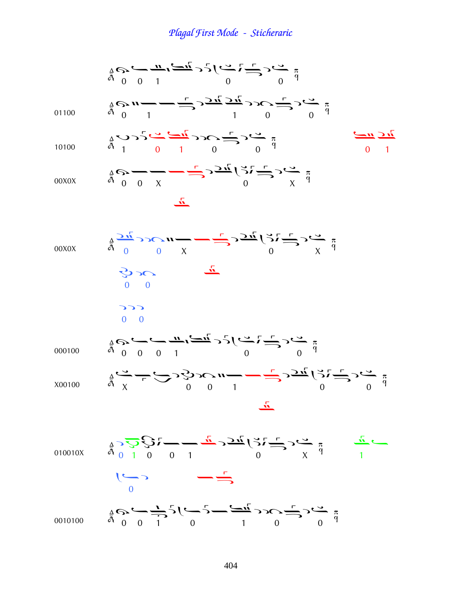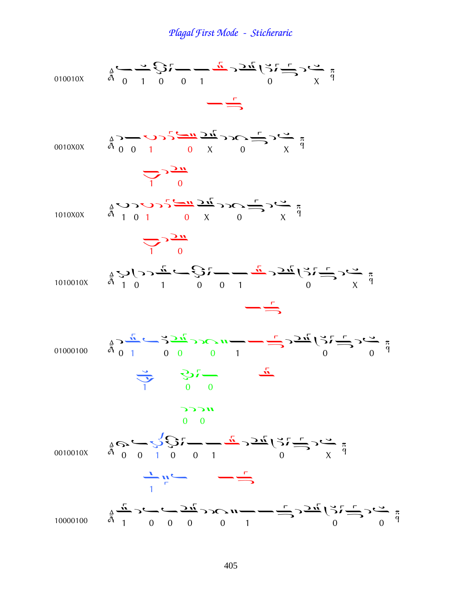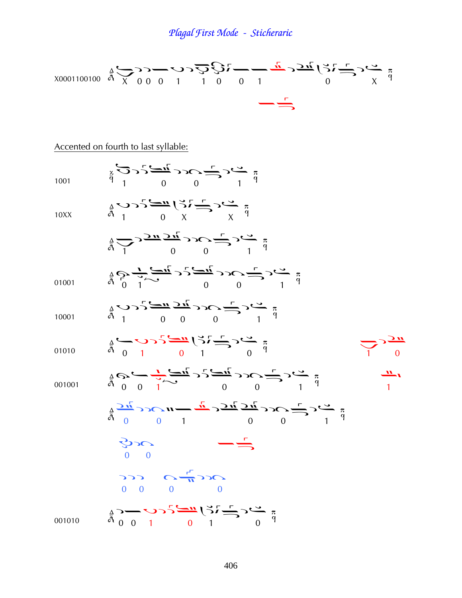$$
\frac{1}{4} \sum_{0}^{4} \sum_{0}^{4} \sum_{0}^{4} \sum_{1}^{5} \sum_{1}^{6} \sum_{0}^{7} \sum_{1}^{7} \sum_{0}^{7} \sum_{1}^{7} \sum_{0}^{7} \sum_{1}^{8} \sum_{0}^{8} \sum_{0}^{7} \sum_{0}^{8} \sum_{0}^{8} \sum_{0}^{8} \sum_{0}^{8} \sum_{0}^{8} \sum_{0}^{8} \sum_{0}^{8} \sum_{0}^{8} \sum_{1}^{8} \sum_{0}^{8} \sum_{0}^{8} \sum_{0}^{8} \sum_{0}^{8} \sum_{0}^{8} \sum_{0}^{8} \sum_{0}^{8} \sum_{0}^{8} \sum_{0}^{8} \sum_{1}^{8} \sum_{0}^{8} \sum_{0}^{8} \sum_{0}^{8} \sum_{0}^{8} \sum_{0}^{8} \sum_{0}^{8} \sum_{0}^{8} \sum_{0}^{8} \sum_{0}^{8} \sum_{0}^{8} \sum_{0}^{8} \sum_{0}^{8} \sum_{0}^{8} \sum_{0}^{8} \sum_{0}^{8} \sum_{0}^{8} \sum_{0}^{8} \sum_{0}^{8} \sum_{0}^{8} \sum_{0}^{8} \sum_{0}^{8} \sum_{0}^{8} \sum_{0}^{8} \sum_{0}^{8} \sum_{0}^{8} \sum_{0}^{8} \sum_{0}^{8} \sum_{0}^{8} \sum_{0}^{8} \sum_{0}^{8} \sum_{0}^{8} \sum_{0}^{8} \sum_{0}^{8} \sum_{0}^{8} \sum_{0}^{8} \sum_{0}^{8} \sum_{0}^{8} \sum_{0}^{8} \sum_{0}^{8} \sum_{0}^{8} \sum_{0}^{8} \sum_{0}^{8} \sum_{0}^{8} \sum_{0}^{8} \sum_{0}^{8} \sum_{0}^{8} \sum_{0}^{8} \sum_{0}^{8} \sum_{0}^{8} \sum_{0}^{8} \sum_{0}^{8} \sum_{0}^{8} \sum_{0}^{8} \sum_{0}^{8} \sum_{0}^{8} \sum_{0}^{8} \sum_{0}^{8} \sum_{0}^{8} \sum_{0}^{8} \sum_{0}^{8} \sum_{0}^{8} \sum_{0}^{8} \
$$

### Accented on fourth to last syllable: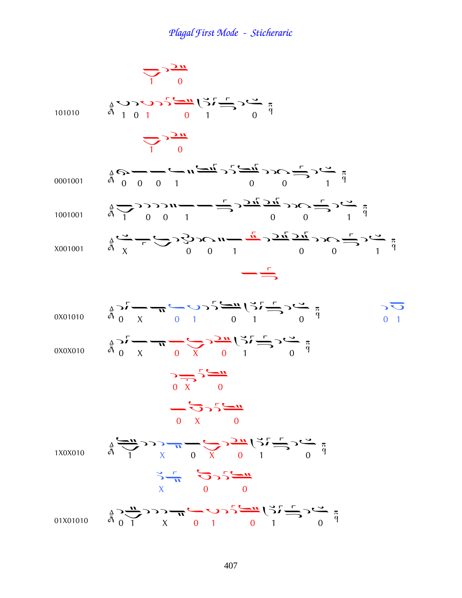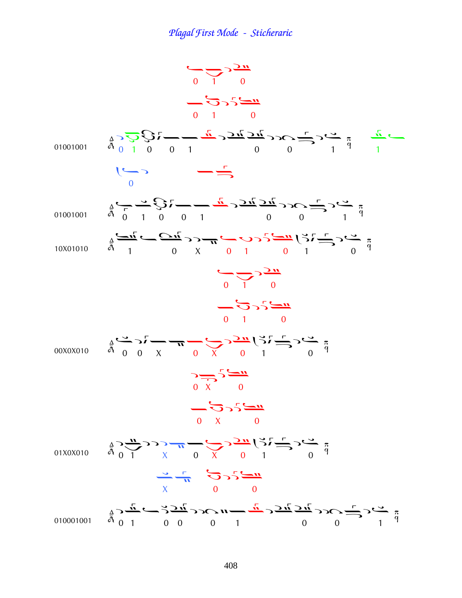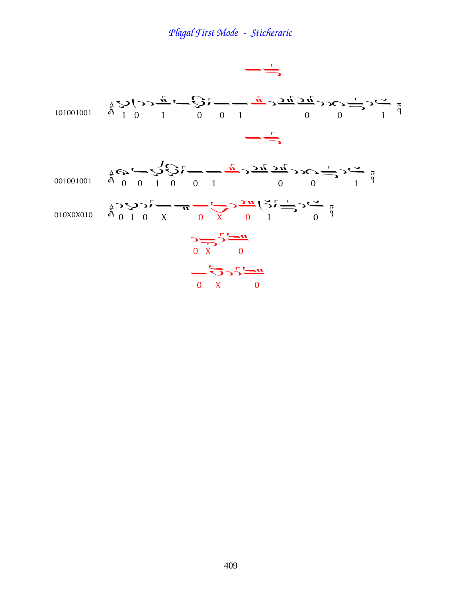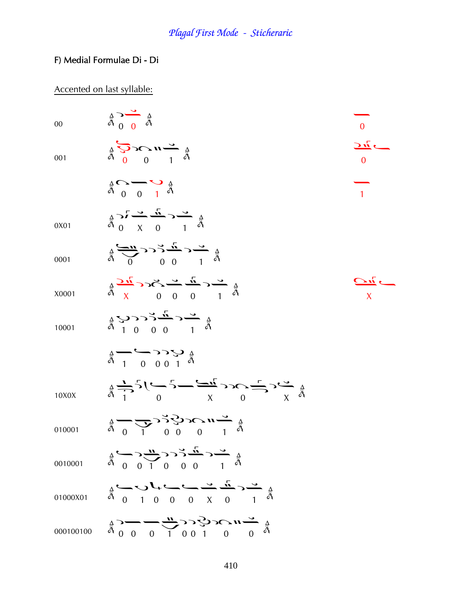### F) Medial Formulae Di - Di

## Accented on last syllable:

| $00\,$ | $\frac{A}{A}$ $\frac{O}{A}$ $\frac{A}{A}$                                                                                                                                                                                                                                                                                                                                                                                                                                     | $\overline{0}$                                                   |
|--------|-------------------------------------------------------------------------------------------------------------------------------------------------------------------------------------------------------------------------------------------------------------------------------------------------------------------------------------------------------------------------------------------------------------------------------------------------------------------------------|------------------------------------------------------------------|
| 001    | $\begin{array}{ccccccc}\n & \mathcal{L} & \mathcal{L} & \mathcal{L} & \mathcal{L} & \mathcal{L} \\  & \mathcal{L} & \mathcal{L} & \mathcal{L} & \mathcal{L} & \mathcal{L} \\  & \mathcal{L} & & \mathcal{L} & \mathcal{L} & \mathcal{L} \\  & \mathcal{L} & & \mathcal{L} & \mathcal{L} & \mathcal{L} \\  & & \mathcal{L} & & \mathcal{L} & \mathcal{L} & \mathcal{L} \\  & & & \mathcal{L} & & \mathcal{L} & \mathcal{L} \\  & & & & \mathcal{L} & \mathcal{L} & \mathcal{L$ | $\overline{\mathcal{M}}$ $\overline{\mathcal{M}}$<br>$\Omega$    |
|        | $\frac{1}{\alpha}$ $\frac{1}{\alpha}$ $\frac{1}{\alpha}$                                                                                                                                                                                                                                                                                                                                                                                                                      | $\overline{1}$                                                   |
| 0X01   | $\frac{A}{A}$ $\frac{A}{A}$ $\frac{C}{A}$ $\frac{C}{A}$ $\frac{C}{A}$ $\frac{C}{A}$ $\frac{C}{A}$                                                                                                                                                                                                                                                                                                                                                                             |                                                                  |
| 0001   | $\frac{1}{4} \sum_{0}^{n} C C C \frac{n!}{2}$                                                                                                                                                                                                                                                                                                                                                                                                                                 |                                                                  |
| X0001  |                                                                                                                                                                                                                                                                                                                                                                                                                                                                               | $\overline{\mathcal{C}^{\prime\prime}}$ $\overline{\mathcal{C}}$ |
| 10001  |                                                                                                                                                                                                                                                                                                                                                                                                                                                                               |                                                                  |
|        | $\frac{1}{6}$ $\frac{1}{1}$ 0 0 0 1 d                                                                                                                                                                                                                                                                                                                                                                                                                                         |                                                                  |
| 10X0X  | $\frac{1}{4} \sum_{i=1}^{4} 5 \left( 2 \sum_{i=1}^{4} 2 \sum_{i=1}^{4} 2 \sum_{i=1}^{4} 2 \sum_{i=1}^{4} 2 \sum_{i=1}^{4} 2 \sum_{i=1}^{4} 2 \sum_{i=1}^{4} 2 \sum_{i=1}^{4} 2 \sum_{i=1}^{4} 2 \sum_{i=1}^{4} 2 \sum_{i=1}^{4} 2 \sum_{i=1}^{4} 2 \sum_{i=1}^{4} 2 \sum_{i=1}^{4} 2 \sum_{i=1}^{4} 2 \sum_{i=1}^{4} 2 \sum_{i$                                                                                                                                               |                                                                  |
| 010001 | $\frac{1}{4} - \frac{1}{4} - \frac{1}{4} - \frac{1}{4} - \frac{1}{4} - \frac{1}{4}$                                                                                                                                                                                                                                                                                                                                                                                           |                                                                  |
|        | 0010001 $A = 0$ 0 0 0 0 0 1 $A = 0$ 0 0 0 1 $A = 0$ 0 0 0 1 $A = 0$ 0 0 0 1 $A = 0$ 0 0 0 1 $A = 0$ 0 0 0 1 $A = 0$ 0 0 0 1 $A = 0$ 0 0 0 1 $A = 0$ 0 0 0 1 $A = 0$ 0 0 0 1 $A = 0$ 0 0 0 1 $A = 0$ 0 0 0 1 $A = 0$ 0 0 0 1 $A = 0$ 0 0 0 1                                                                                                                                                                                                                                   |                                                                  |
|        | 01000X01 $\overset{A}{\circ}$ ( ) 1 0 0 0 x 0 1 $\overset{A}{\circ}$                                                                                                                                                                                                                                                                                                                                                                                                          |                                                                  |
|        |                                                                                                                                                                                                                                                                                                                                                                                                                                                                               |                                                                  |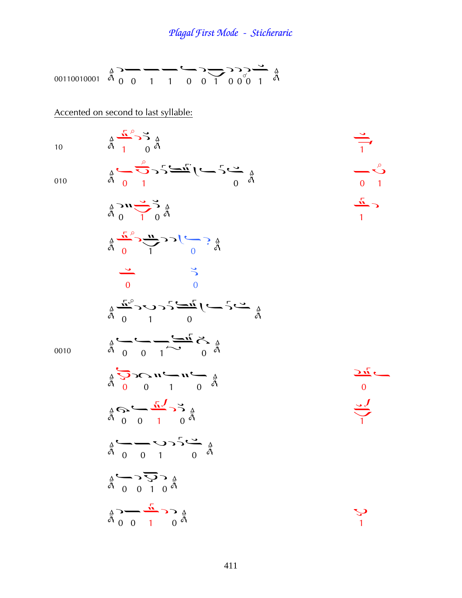00110010001 ¦¤¢¢¤¦¢ ¦¦¦ ¢

Accented on second to last syllable:

 $\frac{4}{9}$   $\frac{1}{1}$  0

$$
1\\0
$$

10 
$$
\bar{A}
$$
 1 0  $\bar{A}$   
\n $\bar{A}$  0  $\bar{A}$   
\n010  $\bar{A}$  0 1  $\bar{A}$   
\n0  
\n0  
\n0  
\n0  
\n0

$$
\frac{2}{9} \sum_{\substack{a \text{odd } b}} \frac{1}{3} \sum_{\substack{a \text{odd } b}} \frac{1}{3} \sum_{\substack{a \text{odd } b}} \frac{1}{3} \sum_{\substack{a \text{odd } b}} \frac{1}{3} \sum_{\substack{a \text{odd } b}} \frac{1}{3} \sum_{\substack{a \text{odd } b}} \frac{1}{3} \sum_{\substack{a \text{odd } b}} \frac{1}{3} \sum_{\substack{a \text{odd } b}} \frac{1}{3} \sum_{\substack{a \text{odd } b}} \frac{1}{3} \sum_{\substack{a \text{odd } b}} \frac{1}{3} \sum_{\substack{a \text{odd } b}} \frac{1}{3} \sum_{\substack{a \text{odd } b}} \frac{1}{3} \sum_{\substack{a \text{odd } b}} \frac{1}{3} \sum_{\substack{a \text{odd } b}} \frac{1}{3} \sum_{\substack{a \text{odd } b}} \frac{1}{3} \sum_{\substack{a \text{odd } b}} \frac{1}{3} \sum_{\substack{a \text{odd } b}} \frac{1}{3} \sum_{\substack{a \text{odd } b}} \frac{1}{3} \sum_{\substack{a \text{odd } b}} \frac{1}{3} \sum_{\substack{a \text{odd } b}} \frac{1}{3} \sum_{\substack{a \text{odd } b}} \frac{1}{3} \sum_{\substack{a \text{odd } b}} \frac{1}{3} \sum_{\substack{a \text{odd } b}} \frac{1}{3} \sum_{\substack{a \text{odd } b}} \frac{1}{3} \sum_{\substack{a \text{odd } b}} \frac{1}{3} \sum_{\substack{a \text{odd } b}} \frac{1}{3} \sum_{\substack{a \text{odd } b}} \frac{1}{3} \sum_{\substack{a \text{odd } b}} \frac{1}{3} \sum_{\substack{a \text{odd } b}} \frac{1}{3} \sum_{\substack{a \text{odd } b}} \frac{1}{3} \sum_{\substack{a \text{odd } b}} \frac{1}{3} \sum_{\substack{a \text{odd } b}} \frac{1}{3} \sum_{\substack{a \text{odd } b}} \frac{1}{3} \sum_{\substack{a \text{odd } b}} \frac{1}{3} \sum_{\sub
$$

0010

 à à¢¤ ¤ à¤ ¢ ¦ ¢ ¤¤Þ ¤ ¤¦Þ¦ ¦¤ ¢ ¦

 $\frac{1}{\ddot{a}}\sum_{i=0}^{\dot{a}}\sum_{j=0}^{\dot{a}}\sum_{j=0}^{a} \sum_{j=0}^{\dot{a}}\sum_{j=0}^{\dot{a}}\sum_{j=0}^{\dot{a}}$ 

 $\frac{1}{\sqrt{1}}$  $\overrightarrow{a}$   $\overrightarrow{a}$   $\overrightarrow{a}$   $\overrightarrow{a}$   $\overrightarrow{a}$   $\overrightarrow{a}$   $\overrightarrow{a}$   $\overrightarrow{a}$   $\overrightarrow{a}$   $\overrightarrow{a}$   $\overrightarrow{a}$   $\overrightarrow{a}$   $\overrightarrow{a}$   $\overrightarrow{a}$   $\overrightarrow{a}$   $\overrightarrow{a}$   $\overrightarrow{a}$   $\overrightarrow{a}$   $\overrightarrow{a}$   $\overrightarrow{a}$   $\overline{1}$ 

ړ.<br>1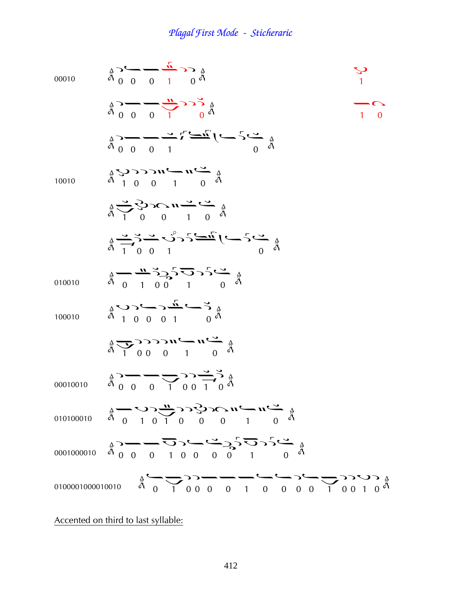| 00010    | $\frac{A}{A}$ $\sim$ $\frac{A}{A}$ $\sim$ $\frac{A}{A}$ $\sim$ $\frac{A}{A}$                                                                                                                                                                                                                                                                                                                                                                                       |                                                                  |
|----------|--------------------------------------------------------------------------------------------------------------------------------------------------------------------------------------------------------------------------------------------------------------------------------------------------------------------------------------------------------------------------------------------------------------------------------------------------------------------|------------------------------------------------------------------|
|          | $\frac{1}{4}$ $\frac{1}{6}$ $\frac{1}{1}$ $\frac{1}{6}$ $\frac{1}{4}$ $\frac{1}{6}$                                                                                                                                                                                                                                                                                                                                                                                | $\begin{array}{c}\n\bullet \\ \bullet \\ \bullet \\ \end{array}$ |
|          | $\frac{1}{4}$ $\frac{1}{2}$ $\frac{1}{2}$ $\frac{1}{2}$ $\frac{1}{2}$ $\frac{1}{2}$ $\frac{1}{2}$ $\frac{1}{2}$ $\frac{1}{2}$ $\frac{1}{2}$ $\frac{1}{2}$ $\frac{1}{2}$ $\frac{1}{2}$ $\frac{1}{2}$ $\frac{1}{2}$ $\frac{1}{2}$ $\frac{1}{2}$ $\frac{1}{2}$ $\frac{1}{2}$ $\frac{1}{2}$ $\frac{1}{2}$ $\frac{1}{2}$                                                                                                                                                |                                                                  |
| 10010    |                                                                                                                                                                                                                                                                                                                                                                                                                                                                    |                                                                  |
|          | $\frac{1}{4} \sum_{1}^{4} \sum_{0}^{4} \sum_{0}^{4} \sum_{1}^{4} \sum_{0}^{4} \sum_{0}^{4}$                                                                                                                                                                                                                                                                                                                                                                        |                                                                  |
|          | $\sum_{\substack{a \\ b \\ c_1, c_2, c_3}} \sum_{\substack{a \\ c_1, c_2, c_3}} \sum_{\substack{a \\ c_2, c_3}} \sum_{\substack{a \\ c_1, c_2, c_3}} \sum_{\substack{b \\ c_1, c_2, c_3}} \sum_{\substack{b \\ c_1, c_2, c_3}} \sum_{\substack{b \\ c_1, c_2, c_3}} \sum_{\substack{b \\ c_1, c_2, c_3}} \sum_{\substack{b \\ c_1, c_2, c_3}} \sum_{\substack{b \\ c_1, c_2, c_3}} \sum_{\substack{b \\ c_1$                                                       |                                                                  |
| 010010   |                                                                                                                                                                                                                                                                                                                                                                                                                                                                    |                                                                  |
| 100010   |                                                                                                                                                                                                                                                                                                                                                                                                                                                                    |                                                                  |
|          | $\frac{1}{9}$ $\frac{1}{9}$ $\frac{1}{9}$ $\frac{1}{9}$ $\frac{1}{9}$ $\frac{1}{9}$ $\frac{1}{9}$ $\frac{1}{9}$ $\frac{1}{9}$ $\frac{1}{9}$ $\frac{1}{9}$ $\frac{1}{9}$ $\frac{1}{9}$ $\frac{1}{9}$ $\frac{1}{9}$ $\frac{1}{9}$ $\frac{1}{9}$ $\frac{1}{9}$ $\frac{1}{9}$ $\frac{1}{9}$                                                                                                                                                                            |                                                                  |
| 00010010 | $\frac{1}{9} \sum_{i=1}^{n} \frac{1}{1} \sum_{i=1}^{n} \sum_{j=1}^{n} \sum_{j=1}^{n} \sum_{j=1}^{n} \frac{1}{1} \sum_{j=1}^{n} \sum_{j=1}^{n} \frac{1}{1} \sum_{j=1}^{n} \sum_{j=1}^{n} \sum_{j=1}^{n} \sum_{j=1}^{n} \sum_{j=1}^{n} \sum_{j=1}^{n} \sum_{j=1}^{n} \sum_{j=1}^{n} \sum_{j=1}^{n} \sum_{j=1}^{n} \sum_{j=1}^{n} \sum_{j=1}^{n} \sum$                                                                                                                |                                                                  |
|          | 010100010 $\stackrel{A}{\phantom{a}}\stackrel{A}{\phantom{a}}\stackrel{A}{\phantom{a}}\stackrel{A}{\phantom{a}}\stackrel{A}{\phantom{a}}\stackrel{A}{\phantom{a}}\stackrel{A}{\phantom{a}}\stackrel{A}{\phantom{a}}\stackrel{A}{\phantom{a}}\stackrel{A}{\phantom{a}}\stackrel{A}{\phantom{a}}\stackrel{A}{\phantom{a}}\stackrel{A}{\phantom{a}}\stackrel{A}{\phantom{a}}\stackrel{A}{\phantom{a}}\stackrel{A}{\phantom{a}}\stackrel{A}{\phantom{a}}\stackrel{A}{$ |                                                                  |
|          |                                                                                                                                                                                                                                                                                                                                                                                                                                                                    |                                                                  |
|          |                                                                                                                                                                                                                                                                                                                                                                                                                                                                    |                                                                  |

Accented on third to last syllable: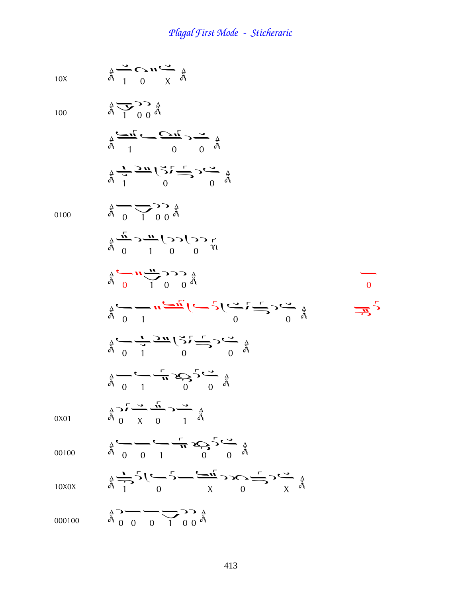10X 
$$
\mathop{\mathbf{a}}\limits^{\Delta}\longrightarrow\mathop{\mathbf{C}}\limits^{\Delta}\mathop{\mathbf{u}}\limits^{\Delta}\mathop{\mathbf{A}}\limits^{\Delta}\mathop{\mathbf{a}}_{\mathop{\mathbf{A}}\limits^{\Delta}}
$$

100

 $\frac{4}{9}$   $\frac{1}{1}$   $\frac{1}{9}$   $\frac{4}{9}$ 

$$
\frac{2}{9} \xrightarrow{1} \frac{1}{9} \xrightarrow{0} \frac{1}{9}
$$
  

$$
\frac{1}{9} \xrightarrow{1} \frac{3\pi}{9} \left(\frac{3}{9} \right) \xrightarrow{1} \frac{1}{9}
$$
  

$$
\frac{1}{9} \xrightarrow{1} \frac{3\pi}{9} \left(\frac{3}{9} \right) \xrightarrow{1} \frac{1}{9}
$$

0100

0X01

10X0X

$$
\frac{1}{h} \frac{1}{0} \frac{1}{0} \frac{1}{h} \frac{1}{h} \frac{1}{h} \frac{1}{h} \frac{1}{h} \frac{1}{h} \frac{1}{h} \frac{1}{h} \frac{1}{h} \frac{1}{h} \frac{1}{h} \frac{1}{h} \frac{1}{h} \frac{1}{h} \frac{1}{h} \frac{1}{h} \frac{1}{h} \frac{1}{h} \frac{1}{h} \frac{1}{h} \frac{1}{h} \frac{1}{h} \frac{1}{h} \frac{1}{h} \frac{1}{h} \frac{1}{h} \frac{1}{h} \frac{1}{h} \frac{1}{h} \frac{1}{h} \frac{1}{h} \frac{1}{h} \frac{1}{h} \frac{1}{h} \frac{1}{h} \frac{1}{h} \frac{1}{h} \frac{1}{h} \frac{1}{h} \frac{1}{h} \frac{1}{h} \frac{1}{h} \frac{1}{h} \frac{1}{h} \frac{1}{h} \frac{1}{h} \frac{1}{h} \frac{1}{h} \frac{1}{h} \frac{1}{h} \frac{1}{h} \frac{1}{h} \frac{1}{h} \frac{1}{h} \frac{1}{h} \frac{1}{h} \frac{1}{h} \frac{1}{h} \frac{1}{h} \frac{1}{h} \frac{1}{h} \frac{1}{h} \frac{1}{h} \frac{1}{h} \frac{1}{h} \frac{1}{h} \frac{1}{h} \frac{1}{h} \frac{1}{h} \frac{1}{h} \frac{1}{h} \frac{1}{h} \frac{1}{h} \frac{1}{h} \frac{1}{h} \frac{1}{h} \frac{1}{h} \frac{1}{h} \frac{1}{h} \frac{1}{h} \frac{1}{h} \frac{1}{h} \frac{1}{h} \frac{1}{h} \frac{1}{h} \frac{1}{h} \frac{1}{h} \frac{1}{h} \frac{1}{h} \frac{1}{h} \frac{1}{h} \frac{1}{h} \frac{1}{h} \frac{1}{h} \frac{1}{h} \frac{1}{h} \frac{1}{h} \frac{1}{h} \frac{1}{h} \frac{1}{h} \frac{1}{h} \frac{1}{h} \frac{1}{h} \frac{1}{h} \frac{1}{h} \frac{1
$$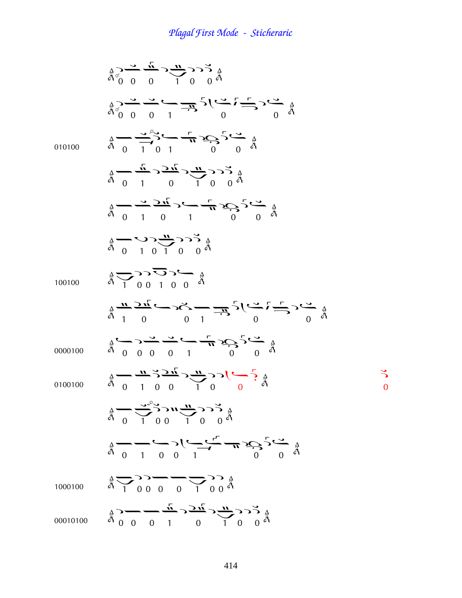$\frac{a}{a}$   $\frac{a}{b}$   $\frac{b}{c}$   $\frac{c}{c}$   $\frac{d}{d}$   $\frac{a}{c}$  $\frac{a}{a}$   $\frac{a}{b}$   $\frac{a}{c}$   $\frac{a}{c}$   $\frac{a}{c}$   $\frac{a}{d}$   $\frac{a}{c}$   $\frac{a}{c}$   $\frac{a}{c}$   $\frac{a}{c}$   $\frac{a}{d}$ 010100  $\frac{4}{9}$   $\frac{4}{9}$   $\frac{4}{1}$   $\frac{4}{9}$   $\frac{4}{1}$   $\frac{4}{9}$   $\frac{4}{9}$   $\frac{4}{9}$ 1  $\frac{4}{9}$   $\frac{1}{9}$   $\frac{1}{9}$   $\frac{1}{10}$   $\frac{1}{9}$   $\frac{1}{9}$  $\frac{a}{a}$   $\frac{a}{b}$   $\frac{1}{c}$   $\frac{1}{c}$   $\frac{1}{c}$   $\frac{1}{c}$   $\frac{1}{c}$   $\frac{1}{c}$   $\frac{1}{c}$   $\frac{1}{c}$  $\frac{a}{a}$  0 1 0 1 0 0  $\frac{a}{b}$ 100100  $\frac{4}{9}$  $\frac{1}{1}$  $\frac{0}{0}$  $\frac{1}{1}$  $\frac{0}{0}$  $\frac{3}{9}$  $\frac{a}{a}$   $\frac{1}{1}$  0 0 1  $\frac{1}{1}$  0 0 1 0000100  $\frac{1}{a}$   $\frac{1}{a}$   $\frac{1}{a}$   $\frac{1}{a}$   $\frac{1}{a}$   $\frac{1}{a}$   $\frac{1}{a}$   $\frac{1}{a}$   $\frac{1}{a}$ 0100100  $\frac{1}{a}$   $\frac{1}{0}$   $\frac{1}{0}$   $\frac{1}{0}$   $\frac{1}{0}$   $\frac{1}{0}$  $\stackrel{A}{\stackrel{A}{\stackrel{A}{\stackrel{A}{\stackrel{A}{\stackrel{A}{\stackrel{A}{\stackrel{A}{\stackrel{A}{\stackrel{A}{\stackrel{A}{\stackrel{A}{\stackrel{A}{\stackrel{A}{\stackrel{A}{\stackrel{A}{\stackrel{A}{\stackrel{A}{\stackrel{A}{\stackrel{A}{\stackrel{A}{\stackrel{A}{\stackrel{A}{\stackrel{A}{\stackrel{A}{\stackrel{A}{\stackrel{A}{\stackrel{A}{\stackrel{A}{\stackrel{A}{\stackrel{A}{\stackrel{A}{\stackrel{A}{\stackrel{A}{\stackrel{A}{\stackrel{A}{\stackrel{$  $\frac{4}{9}$   $\frac{1}{1}$   $\frac{1}{0}$   $\frac{1}{1}$   $\frac{1}{0}$   $\frac{1}{0}$   $\frac{1}{0}$   $\frac{1}{0}$  $\ddot{\phantom{0}}$  $\frac{a}{a}$   $\frac{1}{0}$   $\frac{0}{0}$   $\frac{1}{1}$   $\frac{1}{0}$   $\frac{1}{0}$   $\frac{1}{0}$   $\frac{1}{0}$   $\frac{1}{0}$ 1000100  $\frac{4}{9}$   $\frac{1}{1}$  00000  $\frac{1}{1}$  000 $\frac{4}{9}$ 00010100  $\frac{1}{4}$   $\frac{1}{4}$   $\frac{1}{4}$   $\frac{1}{4}$   $\frac{1}{4}$   $\frac{1}{4}$   $\frac{1}{4}$   $\frac{1}{4}$   $\frac{1}{4}$   $\frac{1}{4}$   $\frac{1}{4}$   $\frac{1}{4}$   $\frac{1}{4}$   $\frac{1}{4}$   $\frac{1}{4}$   $\frac{1}{4}$   $\frac{1}{4}$   $\frac{1}{4}$   $\frac{1}{4}$   $\frac{1}{4}$   $\frac{1}{4}$   $\frac{1}{4}$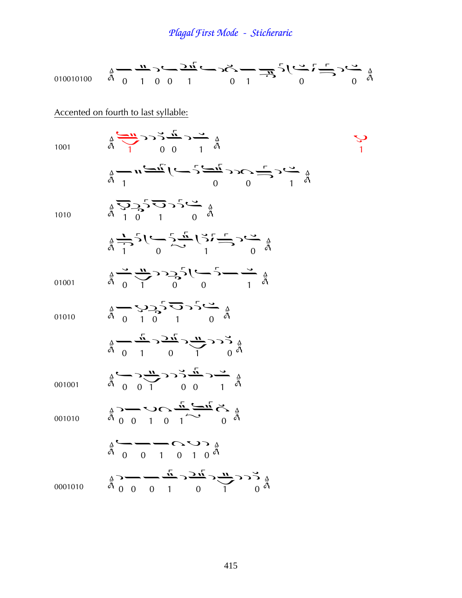| 010010100                            | $\frac{1}{4} - \frac{11}{4} - \frac{1}{4} - \frac{1}{2} - \frac{1}{2} - \frac{1}{2} - \frac{1}{2} - \frac{1}{2} - \frac{1}{2} - \frac{1}{2} - \frac{1}{2} - \frac{1}{2} - \frac{1}{2} - \frac{1}{2} - \frac{1}{2} - \frac{1}{2} - \frac{1}{2} - \frac{1}{2} - \frac{1}{2} - \frac{1}{2} - \frac{1}{2} - \frac{1}{2} - \frac{1}{2} - \frac{1}{2} - \frac{1}{2} - \frac{1}{2} - \frac{1}{2} - \frac{$                                                                                                                                                                                                                                                                                                  |  |
|--------------------------------------|------------------------------------------------------------------------------------------------------------------------------------------------------------------------------------------------------------------------------------------------------------------------------------------------------------------------------------------------------------------------------------------------------------------------------------------------------------------------------------------------------------------------------------------------------------------------------------------------------------------------------------------------------------------------------------------------------|--|
| Accented on fourth to last syllable: |                                                                                                                                                                                                                                                                                                                                                                                                                                                                                                                                                                                                                                                                                                      |  |
| 1001                                 | $\frac{1}{4} \sum_{1}^{4} C \sum_{1}^{4} C \sum_{0}^{4} C \sum_{1}^{4} C \sum_{0}^{4} C \sum_{1}^{4} C \sum_{0}^{4} C \sum_{1}^{4} C \sum_{0}^{4} C \sum_{1}^{4} C \sum_{0}^{4} C \sum_{1}^{4} C \sum_{1}^{4} C \sum_{0}^{4} C \sum_{1}^{4} C \sum_{1}^{4} C \sum_{1}^{4} C \sum_{1}^{4} C \sum_{1}^{4} C \sum_{1}^{4} C \sum_{1}^{4} C \sum_{1}^{4} C \sum_{1}^{4} C \sum_{1}^{$                                                                                                                                                                                                                                                                                                                    |  |
|                                      | $\frac{1}{4} - n \frac{2\pi}{\pi} \left( -2c\epsilon \frac{u-2}{2}c - 1 \frac{2u-1}{2}u - \frac{4}{4}u \right)$                                                                                                                                                                                                                                                                                                                                                                                                                                                                                                                                                                                      |  |
| 1010                                 | $\begin{array}{c}\nA \\ \frac{\partial}{\partial t} \\ \frac{\partial}{\partial t} \\ \frac{\partial}{\partial t} \\ \frac{\partial}{\partial t} \\ \frac{\partial}{\partial t} \\ \frac{\partial}{\partial t} \\ \frac{\partial}{\partial t} \\ \frac{\partial}{\partial t} \\ \frac{\partial}{\partial t} \\ \frac{\partial}{\partial t} \\ \frac{\partial}{\partial t} \\ \frac{\partial}{\partial t} \\ \frac{\partial}{\partial t} \\ \frac{\partial}{\partial t} \\ \frac{\partial}{\partial t} \\ \frac{\partial}{\partial t} \\ \frac{\partial}{\partial t} \\ \frac{\partial}{\partial t} \\ \frac{\partial}{\partial t} \\ \frac{\partial}{\partial t} \\ \frac{\partial}{\partial t} \\ $ |  |
|                                      | $\frac{1}{4} \sum_{i=1}^{4} 5 \left( \sum_{i=1}^{6} \frac{1}{i} \sum_{i=1}^{4} \left( \sum_{i=1}^{4} 1 \sum_{i=1}^{4} 1 \sum_{i=1}^{4} 1 \sum_{i=1}^{4} 1 \right) \right)$                                                                                                                                                                                                                                                                                                                                                                                                                                                                                                                           |  |
| 01001                                | $\frac{A}{A}$ $\frac{C}{A}$ $\frac{C}{A}$ $\frac{C}{A}$ $\frac{C}{A}$ $\frac{C}{A}$ $\frac{C}{A}$ $\frac{C}{A}$ $\frac{C}{A}$ $\frac{C}{A}$ $\frac{C}{A}$ $\frac{C}{A}$                                                                                                                                                                                                                                                                                                                                                                                                                                                                                                                              |  |
| 01010                                | $\frac{1}{4} - \frac{1}{4} - \frac{1}{4}$                                                                                                                                                                                                                                                                                                                                                                                                                                                                                                                                                                                                                                                            |  |
|                                      | $\begin{array}{ccccccc}\n& \Delta & - & \frac{i}{\mu} & - & \frac{i}{\mu} & - & \frac{i}{\mu} & - & \frac{i}{\mu} & - & \frac{i}{\mu} & - & \frac{i}{\mu} & - & \frac{i}{\mu} & - & \frac{i}{\mu} & - & \frac{i}{\mu} & - & \frac{i}{\mu} & - & \frac{i}{\mu} & - & \frac{i}{\mu} & - & \frac{i}{\mu} & - & \frac{i}{\mu} & - & \frac{i}{\mu} & - & \frac{i}{\mu} & - & \frac{i}{\mu} & - & \frac{i}{\mu} & - & \frac{i}{\mu} & - & \frac{i}{\mu} & - & \frac{i}{\$                                                                                                                                                                                                                                  |  |
| 001001                               | $\frac{1}{4}$                                                                                                                                                                                                                                                                                                                                                                                                                                                                                                                                                                                                                                                                                        |  |
| 001010                               |                                                                                                                                                                                                                                                                                                                                                                                                                                                                                                                                                                                                                                                                                                      |  |
|                                      | $\frac{1}{a}$ $\frac{1}{a}$ $0$ $0$ $1$ $0$ $1$ $0$ $0$                                                                                                                                                                                                                                                                                                                                                                                                                                                                                                                                                                                                                                              |  |
| 0001010                              | A $5 < \frac{n}{\sqrt{n}} > \frac{n}{\sqrt{n}} < \frac{n}{\sqrt{n}} > \frac{n}{\sqrt{n}}$                                                                                                                                                                                                                                                                                                                                                                                                                                                                                                                                                                                                            |  |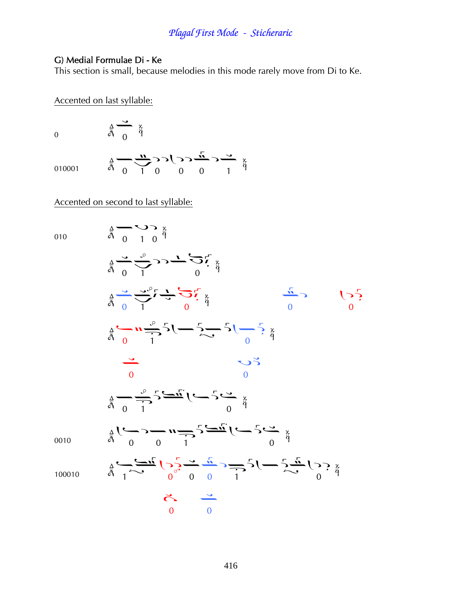#### G) Medial Formulae Di - Ke

This section is small, because melodies in this mode rarely move from Di to Ke.

Accented on last syllable:

0

010001

$$
\frac{1}{\ddot{\theta}}\longrightarrow \frac{1}{\sqrt{2}}\longrightarrow \frac{1}{\sqrt{2}}\longrightarrow \frac{1}{\ddot{\theta}}\longrightarrow \frac{1}{\ddot{\theta}}
$$

#### Accented on second to last syllable:

 $\frac{4}{9}$   $\frac{3}{9}$   $\frac{x}{9}$ 

010

0010

010  
\n
$$
\frac{1}{4} - \frac{1}{4} - \frac{1}{4} - \frac{1}{4} - \frac{1}{4} - \frac{1}{4} - \frac{1}{4} - \frac{1}{4} - \frac{1}{4} - \frac{1}{4} - \frac{1}{4} - \frac{1}{4} - \frac{1}{4} - \frac{1}{4} - \frac{1}{4} - \frac{1}{4} - \frac{1}{4} - \frac{1}{4} - \frac{1}{4} - \frac{1}{4} - \frac{1}{4} - \frac{1}{4} - \frac{1}{4} - \frac{1}{4} - \frac{1}{4} - \frac{1}{4} - \frac{1}{4} - \frac{1}{4} - \frac{1}{4} - \frac{1}{4} - \frac{1}{4} - \frac{1}{4} - \frac{1}{4} - \frac{1}{4} - \frac{1}{4} - \frac{1}{4} - \frac{1}{4} - \frac{1}{4} - \frac{1}{4} - \frac{1}{4} - \frac{1}{4} - \frac{1}{4} - \frac{1}{4} - \frac{1}{4} - \frac{1}{4} - \frac{1}{4} - \frac{1}{4} - \frac{1}{4} - \frac{1}{4} - \frac{1}{4} - \frac{1}{4} - \frac{1}{4} - \frac{1}{4} - \frac{1}{4} - \frac{1}{4} - \frac{1}{4} - \frac{1}{4} - \frac{1}{4} - \frac{1}{4} - \frac{1}{4} - \frac{1}{4} - \frac{1}{4} - \frac{1}{4} - \frac{1}{4} - \frac{1}{4} - \frac{1}{4} - \frac{1}{4} - \frac{1}{4} - \frac{1}{4} - \frac{1}{4} - \frac{1}{4} - \frac{1}{4} - \frac{1}{4} - \frac{1}{4} - \frac{1}{4} - \frac{1}{4} - \frac{1}{4} - \frac{1}{4} - \frac{1}{4} - \frac{1}{4} - \frac{1}{4} - \frac{1}{4} - \frac{1}{4} - \frac{1}{4} - \frac{1}{4} - \frac{1}{4} - \frac{1}{4} - \frac{1}{4} - \frac{1}{4} - \frac{1}{4} - \frac{1}{4} - \frac{1}{4} - \frac{1}{4} - \frac{1}{4} - \frac{1}{
$$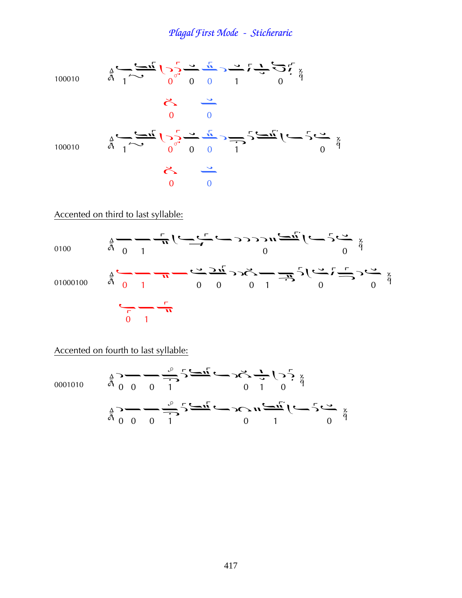100010  
\n
$$
\frac{1}{4}\sqrt{1-\frac{1}{4}}\sqrt{1-\frac{1}{4}}\sqrt{1-\frac{1}{4}}\sqrt{1-\frac{1}{4}}\sqrt{1-\frac{1}{4}}\sqrt{1-\frac{1}{4}}
$$
  
\n $\frac{1}{4}\sqrt{1-\frac{1}{4}}\sqrt{1-\frac{1}{4}}\sqrt{1-\frac{1}{4}}\sqrt{1-\frac{1}{4}}\sqrt{1-\frac{1}{4}}\sqrt{1-\frac{1}{4}}\sqrt{1-\frac{1}{4}}$   
\n $\frac{1}{4}\sqrt{1-\frac{1}{4}}\sqrt{1-\frac{1}{4}}\sqrt{1-\frac{1}{4}}\sqrt{1-\frac{1}{4}}\sqrt{1-\frac{1}{4}}\sqrt{1-\frac{1}{4}}\sqrt{1-\frac{1}{4}}\sqrt{1-\frac{1}{4}}\sqrt{1-\frac{1}{4}}\sqrt{1-\frac{1}{4}}\sqrt{1-\frac{1}{4}}\sqrt{1-\frac{1}{4}}\sqrt{1-\frac{1}{4}}\sqrt{1-\frac{1}{4}}\sqrt{1-\frac{1}{4}}\sqrt{1-\frac{1}{4}}\sqrt{1-\frac{1}{4}}\sqrt{1-\frac{1}{4}}\sqrt{1-\frac{1}{4}}\sqrt{1-\frac{1}{4}}\sqrt{1-\frac{1}{4}}\sqrt{1-\frac{1}{4}}\sqrt{1-\frac{1}{4}}\sqrt{1-\frac{1}{4}}\sqrt{1-\frac{1}{4}}\sqrt{1-\frac{1}{4}}\sqrt{1-\frac{1}{4}}\sqrt{1-\frac{1}{4}}\sqrt{1-\frac{1}{4}}\sqrt{1-\frac{1}{4}}\sqrt{1-\frac{1}{4}}\sqrt{1-\frac{1}{4}}\sqrt{1-\frac{1}{4}}\sqrt{1-\frac{1}{4}}\sqrt{1-\frac{1}{4}}\sqrt{1-\frac{1}{4}}\sqrt{1-\frac{1}{4}}\sqrt{1-\frac{1}{4}}\sqrt{1-\frac{1}{4}}\sqrt{1-\frac{1}{4}}\sqrt{1-\frac{1}{4}}\sqrt{1-\frac{1}{4}}\sqrt{1-\frac{1}{4}}\sqrt{1-\frac{1}{4}}\sqrt{1-\frac{1}{4}}\sqrt{1-\frac{1}{4}}\sqrt{1-\frac{1}{4}}\sqrt{1-\frac{1}{4}}\sqrt{1-\frac{1}{4}}\sqrt{1-\frac{1}{4}}\sqrt{1-\frac{1}{4}}\sqrt{1-\frac{1}{4}}\sqrt{1-\frac{$ 

Accented on third to last syllable:



Accented on fourth to last syllable:

0001010

$$
\frac{2}{9} - \frac{1}{9} - \frac{3}{9} = \frac{3}{9} - \frac{1}{9}
$$
  

$$
\frac{2}{9} - \frac{1}{9} = \frac{3}{9} - \frac{1}{9} = \frac{3}{9}
$$
  

$$
\frac{2}{9} - \frac{1}{9} = \frac{3}{9} = \frac{3}{9} = \frac{1}{9}
$$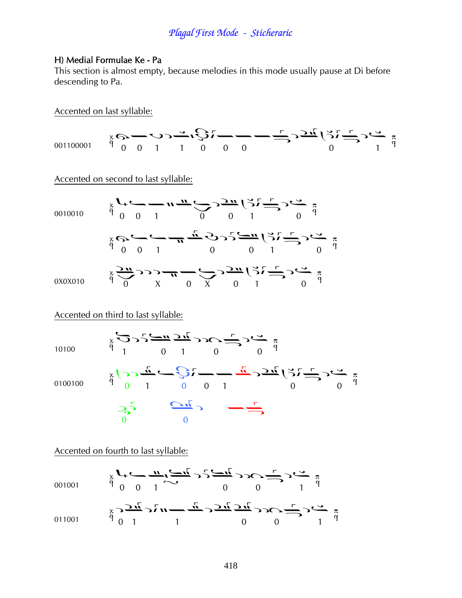#### H) Medial Formulae Ke - Pa

This section is almost empty, because melodies in this mode usually pause at Di before descending to Pa.

Accented on last syllable:

Accented on second to last syllable:

0010010 
$$
x
$$
  $y$   $y$   $y$   $y$   $y$   $y$   $y$   $y$   $y$   $y$   $y$   $y$   $y$   $y$   $y$   $y$   $y$   $y$   $y$   $y$   $y$   $y$   $y$   $y$   $y$   $y$   $y$   $y$   $y$   $y$   $y$   $y$   $y$   $y$   $y$   $y$   $y$   $y$   $y$   $y$   $y$   $y$   $y$   $y$   $y$   $y$   $y$   $y$   $y$   $y$   $y$   $y$   $y$   $y$   $y$   $y$   $y$   $y$   $y$   $y$   $y$   $y$   $y$   $y$   $y$   $y$   $y$   $y$   $y$   $y$   $y$   $y$   $y$   $y$   $y$   $y$   $y$   $y$   $y$   $y$   $y$   $y$   $y$   $y$   $y$   $y$   $y$   $y$   $y$   $y$   $y$   $y$   $y$   $y$   $y$   $y$   $y$   $y$   $y$   $y$   $y$   $y$   $y$   $y$   $y$   $y$   $y$   $y$   $y$   $y$   $y$   $y$   $y$   $y$   $y$   $y$   $y$   $y$   $y$   $y$   $y$   $y$   $y$   $y$   $y$  

Accented on third to last syllable:

10100  
\n
$$
\frac{1}{4}
$$
  
\n $\frac{1}{4}$   
\n $\frac{1}{4}$   
\n $\frac{1}{4}$   
\n $\frac{1}{4}$   
\n $\frac{1}{4}$   
\n $\frac{1}{4}$   
\n $\frac{1}{4}$   
\n $\frac{1}{4}$   
\n $\frac{1}{4}$   
\n $\frac{1}{4}$   
\n $\frac{1}{4}$   
\n $\frac{1}{4}$   
\n $\frac{1}{4}$   
\n $\frac{1}{4}$   
\n $\frac{1}{4}$   
\n $\frac{1}{4}$   
\n $\frac{1}{4}$   
\n $\frac{1}{4}$   
\n $\frac{1}{4}$   
\n $\frac{1}{4}$   
\n $\frac{1}{4}$   
\n $\frac{1}{4}$   
\n $\frac{1}{4}$   
\n $\frac{1}{4}$   
\n $\frac{1}{4}$   
\n $\frac{1}{4}$   
\n $\frac{1}{4}$   
\n $\frac{1}{4}$   
\n $\frac{1}{4}$   
\n $\frac{1}{4}$   
\n $\frac{1}{4}$   
\n $\frac{1}{4}$   
\n $\frac{1}{4}$   
\n $\frac{1}{4}$   
\n $\frac{1}{4}$   
\n $\frac{1}{4}$   
\n $\frac{1}{4}$   
\n $\frac{1}{4}$   
\n $\frac{1}{4}$   
\n $\frac{1}{4}$   
\n $\frac{1}{4}$   
\n $\frac{1}{4}$   
\n $\frac{1}{4}$   
\n $\frac{1}{4}$   
\n $\frac{1}{4}$   
\n $\frac{1}{4}$   
\n $\frac{1}{4}$   
\n $\frac{1}{4}$   
\n $\frac{1}{4}$   
\n $\frac{1}{4}$   
\n $\frac{1}{4}$   
\n $\frac{1}{4}$   
\n $\frac{1}{4}$   
\n<

Accented on fourth to last syllable:

001001 
$$
\frac{x}{9}
$$
  $\frac{y}{6}$   $\frac{1}{1}$   $\frac{y}{1}$   $\frac{y}{1}$   $\frac{y}{1}$   $\frac{y}{1}$   $\frac{y}{1}$   $\frac{y}{1}$   $\frac{y}{1}$   $\frac{y}{1}$   $\frac{y}{1}$   $\frac{y}{1}$   $\frac{y}{1}$   $\frac{y}{1}$   $\frac{y}{1}$   $\frac{y}{1}$   $\frac{y}{1}$   $\frac{y}{1}$   $\frac{y}{1}$   $\frac{y}{1}$   $\frac{y}{1}$   $\frac{y}{1}$   $\frac{y}{1}$   $\frac{y}{1}$   $\frac{y}{1}$   $\frac{y}{1}$   $\frac{y}{1}$   $\frac{y}{1}$   $\frac{y}{1}$   $\frac{y}{1}$   $\frac{y}{1}$   $\frac{y}{1}$   $\frac{y}{1}$   $\frac{y}{1}$   $\frac{y}{1}$   $\frac{y}{1}$   $\frac{y}{1}$   $\frac{y}{1}$   $\frac{y}{1}$   $\frac{y}{1}$   $\frac{y}{1}$   $\frac{y}{1}$   $\frac{y}{1}$   $\frac{y}{1}$   $\frac{y}{1}$   $\frac{y}{1}$   $\frac{y}{1}$   $\frac{y}{1}$   $\frac{y}{1}$   $\frac{y}{1}$   $\frac{y}{1}$   $\frac{y}{1}$   $\frac{y}{1}$   $\frac{y}{1}$   $\frac{y}{1}$   $\frac{y}{1}$   $\frac{y}{1}$   $\frac{y}{1}$   $\frac{y}{1}$   $\frac{y}{1}$   $\frac{y}{1}$   $\frac{y}{1}$   $\frac{y}{1}$   $\frac{y}{1}$   $\frac{y}{1}$   $\frac{y}{1}$   $\frac{y}{1}$   $\frac{y}{1}$  <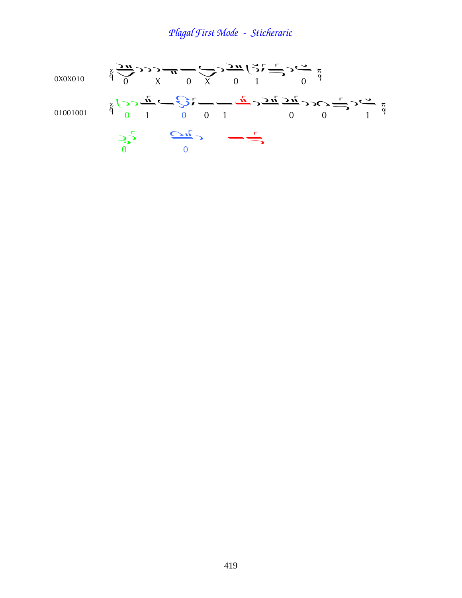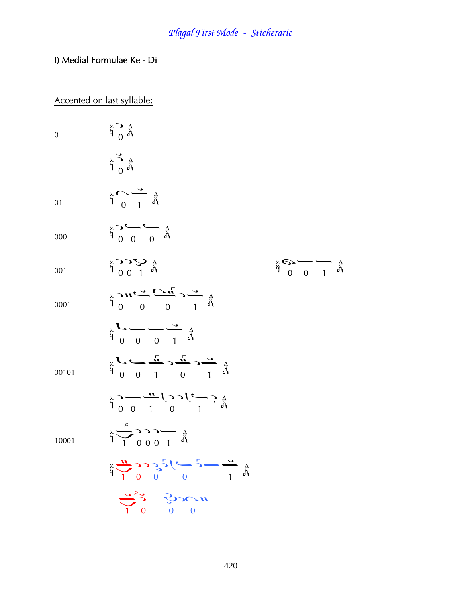#### I) Medial Formulae Ke - Di

#### Accented on last syllable:

 $\ddot{\ddot{\theta}} \sim \ddot{\ddot{\theta}}$  $\overline{0}$  $\sum_{\alpha=0}^{\infty} \frac{\Delta}{\alpha}$  $\frac{x}{9}$   $\overrightarrow{0}$   $\frac{3}{4}$ 01  $\stackrel{\triangle}{\tilde{\rho}} \stackrel{\triangle}{\longrightarrow} \stackrel{\triangle}{\sim} \stackrel{\triangle}{\tilde{\rho}}$ 000  $\begin{array}{c}\n\stackrel{\triangle}{\rightarrow} & \stackrel{\triangle}{\rightarrow} & \stackrel{\triangle}{\rightarrow} \\
\stackrel{\triangle}{\rightarrow} & \stackrel{\triangle}{\rightarrow} & \stackrel{\triangle}{\rightarrow} \\
\stackrel{\triangle}{\rightarrow} & \stackrel{\triangle}{\rightarrow} & \stackrel{\triangle}{\rightarrow} & \stackrel{\triangle}{\rightarrow} \\
\stackrel{\triangle}{\rightarrow} & \stackrel{\triangle}{\rightarrow} & \stackrel{\triangle}{\rightarrow} & \stackrel{\triangle}{\rightarrow} & \stackrel{\triangle}{\rightarrow} \\
\stackrel{\triangle}{\rightarrow} & \stackrel{\triangle}{\rightarrow} & \stackrel{\triangle}{\rightarrow} & \stackrel{\triangle}{\rightarrow} & \stackrel{\triangle}{\rightarrow} & \stackrel{\triangle}{\rightarrow} & \stack$  $\frac{x}{9}$   $\frac{0}{1}$   $\frac{1}{9}$ 001  $\sum_{\alpha=0}^{\alpha} \sum_{\alpha=0}^{\alpha} \sum_{\alpha=0}^{\alpha} \sum_{\alpha=0}^{\alpha} \sum_{\beta=0}^{\alpha} \sum_{\beta=0}^{\beta}$ 0001  $\sum_{\alpha=0}^{\infty} \frac{1}{\alpha} \frac{1}{\alpha} \frac{1}{\alpha} \sum_{\alpha=0}^{\infty} \frac{1}{\alpha} \frac{1}{\alpha}$  $\sum_{\substack{x\\0\\0\\1}}$ 00101  $\frac{A}{\ddot{\rho}}$   $\frac{A}{\rho}$   $\frac{A}{\rho}$   $\frac{A}{\rho}$   $\frac{A}{\rho}$   $\frac{A}{\rho}$   $\frac{A}{\rho}$   $\frac{A}{\rho}$   $\frac{A}{\rho}$  $\frac{1}{9}$   $\frac{1}{9}$   $\frac{1}{9}$   $\frac{1}{9}$   $\frac{1}{9}$   $\frac{1}{9}$ 10001  $\sum_{\alpha=1}^{N} \sum_{i=1}^{N} \sum_{j=1}^{N} \sum_{j=1}^{N} (-1)^{j} \sum_{j=1}^{N} \sum_{j=1}^{N} (-1)^{j} \sum_{j=1}^{N} (-1)^{j} \sum_{j=1}^{N} (-1)^{j} \sum_{j=1}^{N} (-1)^{j} \sum_{j=1}^{N} (-1)^{j} \sum_{j=1}^{N} (-1)^{j} \sum_{j=1}^{N} (-1)^{j} \sum_{j=1}^{N} (-1)^{j} \sum_{j=1}^{N} (-1)^{j} \sum_{j=1}^{N} (-1)^{j} \sum_{$  $\frac{1}{2}$   $\frac{1}{2}$   $\frac{1}{2}$   $\frac{1}{2}$   $\frac{1}{2}$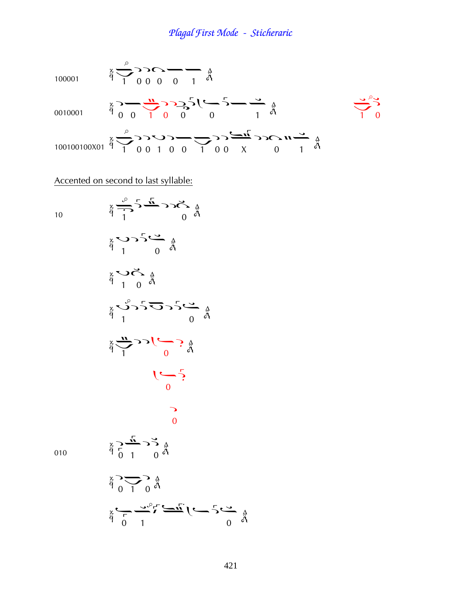

Accented on second to last syllable:

10 ¢ à Þ ¤ Þà Þ ¤ ¢ ¤ ¤ 010 ¦¢¦ ¦¢ ¦

 $\frac{1}{9}$   $\frac{1}{1}$   $\frac{1}{1}$   $\frac{1}{1}$   $\frac{1}{1}$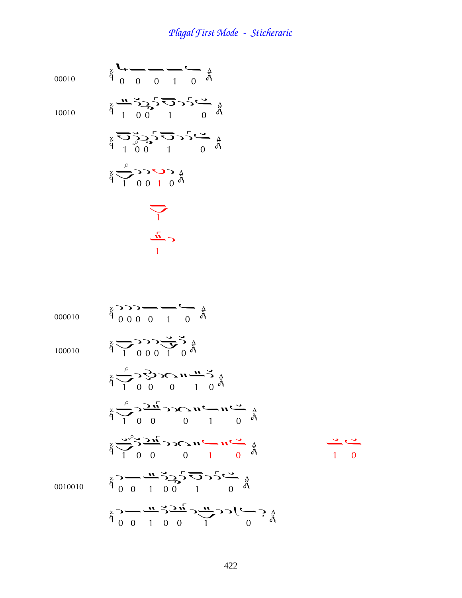00010  $\frac{a}{9}$   $\frac{a}{0}$   $\frac{a}{0}$   $\frac{a}{1}$   $\frac{a}{0}$   $\frac{a}{0}$ 10010  $\ddot{\theta}$  1 0 0 1 0  $\ddot{\theta}$  $\ddot{\theta}$   $\frac{1}{1}$   $\begin{pmatrix} 0 & 1 \\ 0 & 0 \end{pmatrix}$   $\ddot{\theta}$  $\frac{3}{9}$   $\frac{1}{1}$  0 0 1 0  $\frac{3}{9}$ ֧֦֧֚֡֝<u>֚</u><br>֚

$$
\frac{1}{\sqrt{1}}
$$

000010 
$$
\frac{1}{4}
$$
 0  $\frac{1}{4}$  0  $\frac{1}{4}$  0  $\frac{1}{4}$  0  $\frac{1}{4}$  0  $\frac{1}{4}$  0  $\frac{1}{4}$  0  $\frac{1}{4}$  0  $\frac{1}{4}$  0  $\frac{1}{4}$  0  $\frac{1}{4}$  0  $\frac{1}{4}$  0  $\frac{1}{4}$  0  $\frac{1}{4}$  0  $\frac{1}{4}$  0  $\frac{1}{4}$  0  $\frac{1}{4}$  0  $\frac{1}{4}$  0  $\frac{1}{4}$  0  $\frac{1}{4}$  0  $\frac{1}{4}$  0  $\frac{1}{4}$  0  $\frac{1}{4}$  0  $\frac{1}{4}$  0  $\frac{1}{4}$  0  $\frac{1}{4}$  0  $\frac{1}{4}$  0  $\frac{1}{4}$  0  $\frac{1}{4}$  0  $\frac{1}{4}$  0  $\frac{1}{4}$  0  $\frac{1}{4}$  0  $\frac{1}{4}$  0  $\frac{1}{4}$  0  $\frac{1}{4}$  0  $\frac{1}{4}$  0  $\frac{1}{4}$  0  $\frac{1}{4}$  0  $\frac{1}{4}$  0  $\frac{1}{4}$  0  $\frac{1}{4}$  0  $\frac{1}{4}$  0  $\frac{1}{4}$  0  $\frac{1}{4}$  0  $\frac{1}{4}$  0  $\frac{1}{4}$  0  $\frac{1}{4}$  0  $\frac{1}{4}$  0  $\frac{1}{4}$  0  $\frac{1}{4}$  0  $\frac{1}{4}$  0  $\frac{1}{4}$  0  $\frac{1}{4}$  0  $\frac{1}{4}$  0  $\frac{1}{4}$  0  $\frac{1}{4}$  0  $\frac{1}{4}$  0  $\frac{1}{4}$  0  $\frac{$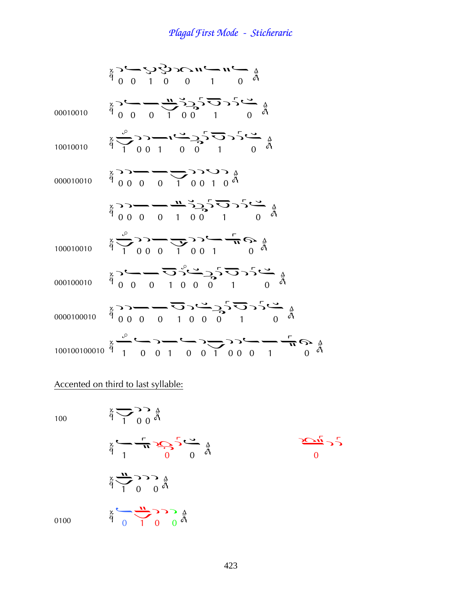| 00010010   | $\frac{1}{9} \sum_{i=0}^{4} \frac{1}{1} \sum_{j=0}^{4} \sum_{i=1}^{4} \sum_{j=0}^{4} \sum_{j=0}^{4} \sum_{j=0}^{4} \sum_{j=0}^{4} \sum_{j=0}^{4} \sum_{j=0}^{4} \sum_{j=0}^{4} \sum_{j=0}^{4} \sum_{j=0}^{4} \sum_{j=0}^{4} \sum_{j=0}^{4} \sum_{j=0}^{4} \sum_{j=0}^{4} \sum_{j=0}^{4} \sum_{j=0}^{4} \sum_{j=0}^{4} \sum_{j=0}^{4} \sum_{j=0$ |
|------------|-------------------------------------------------------------------------------------------------------------------------------------------------------------------------------------------------------------------------------------------------------------------------------------------------------------------------------------------------|
| 10010010   | $\frac{1}{9}$ $\frac{1}{9}$ $\frac{1}{1}$ 0 0 1 0 0 1 0 0 4 0 $\frac{3}{1}$                                                                                                                                                                                                                                                                     |
| 000010010  | $\begin{array}{c}\n\stackrel{\circ}{\beta} & \stackrel{\circ}{\gamma} & \stackrel{\circ}{\gamma} & \stackrel{\circ}{\gamma} & \stackrel{\circ}{\gamma} & \stackrel{\circ}{\gamma} \\ \stackrel{\circ}{\beta} & 0 & 0 & 0 & 1 & 0 \\ \end{array}$                                                                                                |
|            |                                                                                                                                                                                                                                                                                                                                                 |
| 100010010  | $\frac{1}{4} \sum_{0}^{0} \sum_{0}^{0} \sum_{1}^{0} \sum_{0}^{0} \sum_{1}^{1} \sum_{0}^{0} \sum_{1}^{0} \sum_{0}^{0} \sum_{0}^{0}$                                                                                                                                                                                                              |
| 000100010  |                                                                                                                                                                                                                                                                                                                                                 |
| 0000100010 |                                                                                                                                                                                                                                                                                                                                                 |
|            |                                                                                                                                                                                                                                                                                                                                                 |

### Accented on third to last syllable:

100

$$
\frac{2}{9} \sum_{\substack{a \text{ odd}}} \frac{1}{1} \sum_{\substack{a \text{ odd}}} \frac{1}{9} \sum_{\substack{a \text{ odd}}} \frac{1}{9} \sum_{\substack{a \text{ odd}}} \frac{1}{9} \sum_{\substack{a \text{ odd}}} \frac{1}{9} \sum_{\substack{a \text{ odd}}} \frac{1}{9} \sum_{\substack{a \text{ odd}}} \frac{1}{9} \sum_{\substack{a \text{ odd}}} \frac{1}{9} \sum_{\substack{a \text{ odd}}} \frac{1}{9} \sum_{\substack{a \text{ odd}}} \frac{1}{9} \sum_{\substack{a \text{ odd}}} \frac{1}{9} \sum_{\substack{a \text{ odd}}} \frac{1}{9} \sum_{\substack{a \text{ odd}}} \frac{1}{9} \sum_{\substack{a \text{ odd}}} \frac{1}{9} \sum_{\substack{a \text{ odd}}} \frac{1}{9} \sum_{\substack{a \text{ odd}}} \frac{1}{9} \sum_{\substack{a \text{ odd}}} \frac{1}{9} \sum_{\substack{a \text{ odd}}} \frac{1}{9} \sum_{\substack{a \text{ odd}}} \frac{1}{9} \sum_{\substack{a \text{ odd}}} \frac{1}{9} \sum_{\substack{a \text{ odd}}} \frac{1}{9} \sum_{\substack{a \text{ odd}}} \frac{1}{9} \sum_{\substack{a \text{ odd}}} \frac{1}{9} \sum_{\substack{a \text{ odd}}} \frac{1}{9} \sum_{\substack{a \text{ odd}}} \frac{1}{9} \sum_{\substack{a \text{ odd}}} \frac{1}{9} \sum_{\substack{a \text{ odd}}} \frac{1}{9} \sum_{\substack{a \text{ odd}}} \frac{1}{9} \sum_{\substack{a \text{ odd}}} \frac{1}{9} \sum_{\substack{a \text{ odd}}} \frac{1}{9} \sum_{\substack{a \text{ odd}}} \frac{1}{9} \sum_{\substack{a \text{ odd}}} \frac{1}{9} \sum_{\substack{a \text{ odd}}} \frac{1}{9} \sum_{\substack{a \text{ odd}}} \frac{1}{9} \sum_{\substack{a \text{ odd}}} \frac{1}{9} \sum_{\substack{a \text{ odd}}} \frac{1}{9} \sum_{\substack{a \text{ odd}}} \frac{1}{9} \sum_{\substack{a \text{ odd}}}
$$

0100

 $\frac{1}{2}$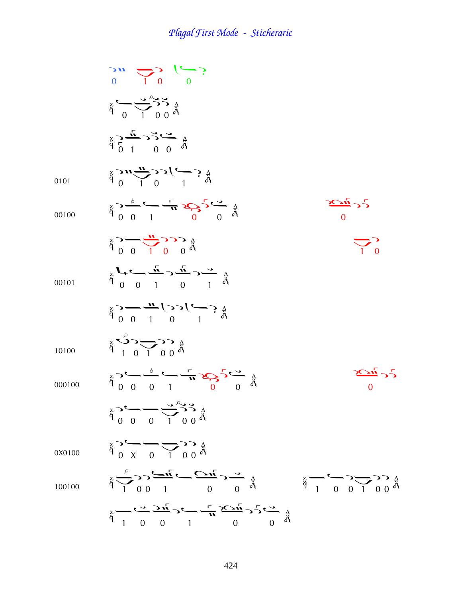|        | $\sum_{0}^{0} \sum_{1}^{1} 0$                                                                                                                                                                                                                                                                                                                                                                                                                                                                               |                                                     |
|--------|-------------------------------------------------------------------------------------------------------------------------------------------------------------------------------------------------------------------------------------------------------------------------------------------------------------------------------------------------------------------------------------------------------------------------------------------------------------------------------------------------------------|-----------------------------------------------------|
|        | $\sum_{\beta}^{\alpha} \sum_{\beta}^{\beta} \sum_{\beta}^{\beta} \sum_{\beta}^{\beta}$                                                                                                                                                                                                                                                                                                                                                                                                                      |                                                     |
|        | $\sum_{\substack{x \\ B \\ D}} \frac{L}{1} \sum_{j=0}^{N} C_{j} \frac{1}{2} \sum_{j=0}^{N} C_{j} \sum_{j=0}^{N}$                                                                                                                                                                                                                                                                                                                                                                                            |                                                     |
| 0101   | $\sum_{\alpha=1}^{4}$ $\sum_{\alpha=1}^{4}$ $\sum_{\alpha=1}^{4}$ $\sum_{\alpha=1}^{4}$ $\sum_{\alpha=1}^{4}$                                                                                                                                                                                                                                                                                                                                                                                               |                                                     |
| 00100  | $\frac{4}{9}$ $\frac{6}{9}$ $\frac{6}{9}$ $\frac{1}{1}$ $\frac{1}{9}$ $\frac{1}{9}$ $\frac{1}{9}$ $\frac{1}{9}$ $\frac{1}{9}$ $\frac{1}{9}$ $\frac{1}{9}$                                                                                                                                                                                                                                                                                                                                                   | $\sum_{i=1}^{n} 2\sum_{i=1}^{n}$                    |
|        | $\frac{1}{9}$ $\frac{1}{9}$ $\frac{1}{9}$ $\frac{1}{9}$ $\frac{1}{9}$ $\frac{1}{9}$                                                                                                                                                                                                                                                                                                                                                                                                                         | $\Delta$ ,                                          |
| 00101  | $\frac{1}{9}$ $\left( \frac{1}{9} \right)$ $\frac{1}{1}$ $\left( \frac{1}{9} \right)$ $\frac{1}{9}$ $\left( \frac{1}{9} \right)$                                                                                                                                                                                                                                                                                                                                                                            |                                                     |
|        | $\frac{a}{p}$ $\frac{a}{p}$ $\frac{a}{p}$ $\frac{a}{p}$ $\frac{a}{p}$ $\frac{a}{p}$ $\frac{a}{p}$ $\frac{a}{p}$                                                                                                                                                                                                                                                                                                                                                                                             |                                                     |
| 10100  | $\overset{\triangle}{\phi} \overset{\triangle}{\leftrightarrow} \overset{\triangle}{\leftrightarrow} \overset{\triangle}{\leftrightarrow} \overset{\triangle}{\circ} \overset{\triangle}{\circ}$                                                                                                                                                                                                                                                                                                            |                                                     |
| 000100 | $\mathop{\mathbb{E}}_{\substack{\mathbf{a} \\ \mathbf{b}}} \mathop{\mathbb{E}}_{\substack{\mathbf{a} \\ \mathbf{b}}} \mathop{\mathbb{E}}_{\substack{\mathbf{a} \\ \mathbf{b}}} \mathop{\mathbb{E}}_{\substack{\mathbf{a} \\ \mathbf{b}}} \mathop{\mathbb{E}}_{\substack{\mathbf{a} \\ \mathbf{b}}} \mathop{\mathbb{E}}_{\substack{\mathbf{a} \\ \mathbf{b}}} \mathop{\mathbb{E}}_{\substack{\mathbf{a} \\ \mathbf{b}}} \mathop{\mathbb{E}}_{\substack{\mathbf{a} \\ \mathbf{b}}} \mathop{\mathbb{E}}_{\sub$ | $\overrightarrow{C}$ is $\overrightarrow{C}$        |
|        | $\frac{1}{4}$ $\frac{1}{6}$ $\frac{1}{6}$ $\frac{1}{6}$ $\frac{1}{6}$ $\frac{1}{6}$ $\frac{1}{6}$                                                                                                                                                                                                                                                                                                                                                                                                           |                                                     |
| 0X0100 | $\frac{4}{9}$ $\frac{6}{9}$ $\frac{6}{9}$ $\frac{6}{9}$ $\frac{6}{9}$ $\frac{6}{9}$ $\frac{6}{9}$                                                                                                                                                                                                                                                                                                                                                                                                           |                                                     |
| 100100 | $\frac{3}{9} \sum_{1}^{9} 2 \sum_{1} \frac{1}{9} \sum_{2} \frac{1}{9} \sum_{1} \frac{1}{9} \sum_{2} \frac{1}{9} \sum_{1} \frac{1}{9} \sum_{2} \sum_{1} \frac{1}{9} \sum_{1} \frac{1}{9} \sum_{1} \frac{1}{9} \sum_{1} \frac{1}{9} \sum_{1} \frac{1}{9} \sum_{1} \frac{1}{9} \sum_{1} \frac{1}{9} \sum_{1} \frac{1}{9} \sum_{1} \frac{1}{9} \sum_{1} \frac{1}{9} \sum_{1} \frac{1}{9} \sum_{1} \$                                                                                                            | $\frac{3}{4}$ $\frac{1}{1}$ 0 0 1 0 0 $\frac{5}{4}$ |
|        | $\frac{1}{9} - \frac{1}{9} - \frac{1}{9} - \frac{1}{9} - \frac{1}{10} - \frac{1}{10} - \frac{1}{10} - \frac{1}{10} - \frac{1}{10}$                                                                                                                                                                                                                                                                                                                                                                          |                                                     |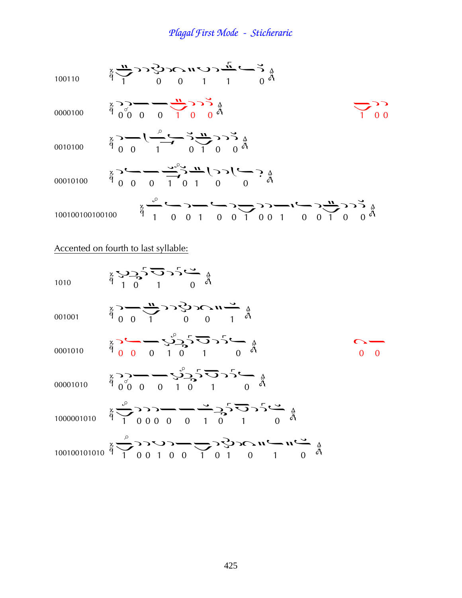100110 ¢ ààÞ¢¦ 0000100 ¦¦ ¤¤ ¦¦ ¢¦¦ 0010100 ¦¤¢ ¦¢ ¦¦ 00010100 ¦¤¤¢ ¦¢¦¤ 100100100100100 ¢ ¤¦¢¤¦¢ ¦¦¢¤¦¢ ¦¦ Accented on fourth to last syllable: 1010 Þ¦ Þ ¤ 001001 ¦¤¢ àà¢ 0001010 ¦¤¤Þ ¦ Þ ¤ à¤ 00001010 ¦¦ ¤¤Þ ¦ Þ ¤ 1000001010 ¢ ¦¦¦¤¤¢¦ Þ ¤ 100100101010 ¢ ¦¦Þ¦¤¢ ¦Þà¢¤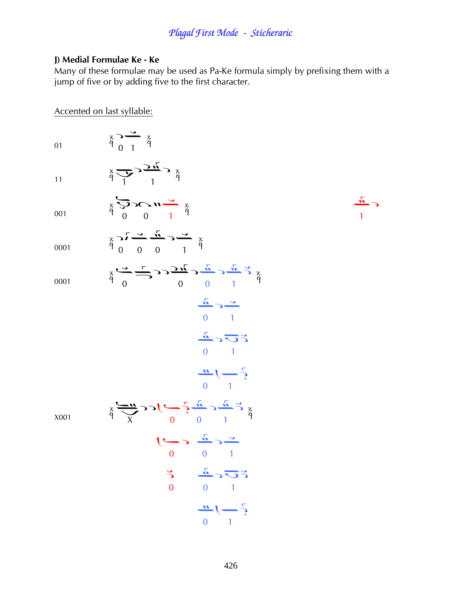#### J) Medial Formulae Ke - Ke

Many of these formulae may be used as Pa-Ke formula simply by prefixing them with a jump of five or by adding five to the first character.

 $\epsilon$   $\frac{\hbar}{2}$ 

#### Accented on last syllable:

 $\begin{array}{c}\n\stackrel{\times}{\rightarrow} \stackrel{\rightarrow}{\rightarrow} \stackrel{\times}{\beta}\n\end{array}$ 01  $\sum_{\alpha}^{\alpha} \sum_{i=1}^{n} \sum_{j=1}^{n} \sum_{j=1}^{n}$  $11$  $\sum_{\alpha=1}^{\infty} \sum_{\beta=1}^{\infty} \sum_{\beta=1}^{\infty} \sum_{\beta=1}^{\infty} \sum_{\beta=1}^{\infty} \sum_{\beta=1}^{\infty} \sum_{\beta=1}^{\infty} \sum_{\beta=1}^{\infty} \sum_{\beta=1}^{\infty} \sum_{\beta=1}^{\infty} \sum_{\beta=1}^{\infty} \sum_{\beta=1}^{\infty} \sum_{\beta=1}^{\infty} \sum_{\beta=1}^{\infty} \sum_{\beta=1}^{\infty} \sum_{\beta=1}^{\infty} \sum_{\beta=1}^{\infty$ 001  $\frac{2}{9}$   $\frac{5}{9}$   $\frac{3}{9}$   $\frac{5}{9}$   $\frac{5}{9}$   $\frac{5}{9}$   $\frac{3}{9}$ 0001 0001

 $\underset{\beta}{\times} \underset{\alpha}{\xrightarrow{\sim}} \underset{0}{\xrightarrow{\sim}} \underset{\alpha}{\xrightarrow{\sim}} \underset{\alpha}{\xrightarrow{\sim}} \underset{\alpha}{\xrightarrow{\sim}} \underset{\alpha}{\xrightarrow{\sim}} \underset{\beta}{\xrightarrow{\sim}} \underset{\beta}{\xrightarrow{\sim}}$  $\frac{\sqrt{n}}{0}$  $\frac{1}{\sqrt{n}} > \frac{1}{\sqrt{2}}$  $\frac{11}{\sqrt{11}}\left(-\frac{5}{2}\right)$  $\sum_{\alpha=1}^{x} \sum_{j=1}^{n} \sum_{j=1}^{n} (-1)^{j} C \sum_{j=1}^{n} \sum_{j=1}^{n} \sum_{j=1}^{n}$  $\overline{\mathcal{C}}$  $\geq$ 

X001

$$
\begin{array}{c}\n\frac{\pi}{2} & \frac{\pi}{2} \\
0 & 0 \\
0 & 1\n\end{array}
$$
\n
$$
\begin{array}{c}\n\frac{\pi}{2} & \frac{\pi}{2} \\
0 & 1\n\end{array}
$$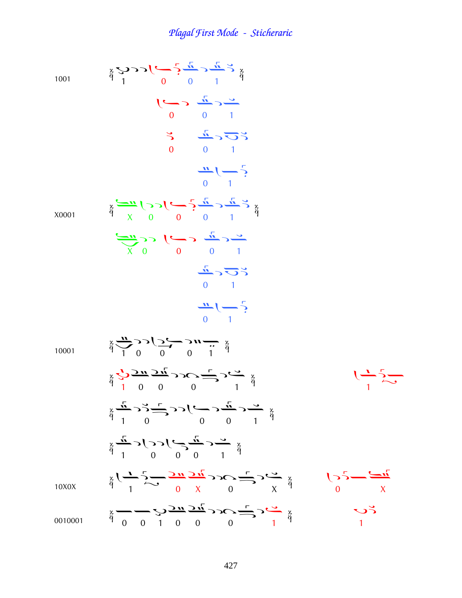1001  $\frac{1}{9}$   $\frac{1}{1}$  0 0 1  $\frac{2}{9}$  $\begin{array}{c}\n\bullet \\
\bullet \\
\end{array}$  $\overline{a}$  $\begin{array}{c} 0 \\ 1 \end{array}$  $\overline{0}$   $\overline{1}$ X0001  $\frac{1}{9}$   $\frac{1}{x}$  0 0 0 1  $\frac{2}{9}$  $\frac{1}{x}$   $\frac{1}{x}$   $\frac{1}{x}$   $\frac{1}{x}$   $\frac{1}{x}$  $\overline{0}$  1  $\overline{0}$   $\overline{1}$ 10001  $\frac{1}{9}$   $\frac{1}{1}$   $\frac{0}{0}$   $\frac{0}{0}$   $\frac{0}{1}$   $\frac{1}{9}$  $\frac{3}{9}$   $\frac{4}{1}$  0 0 0 1  $\frac{3}{9}$  $\frac{1}{2}$  $\frac{8}{9}$  $\frac{\frac{1}{11}}{1}$  $\frac{6}{9}$  $\frac{1}{1}$  $\frac{6}{9}$  $\frac{1}{1}$  $\frac{6}{9}$  $\frac{3}{9}$  1 0 0 0 1  $\frac{3}{9}$ 10X0X  $\frac{3}{9}$   $\frac{1}{1}$   $\frac{1}{1}$   $\frac{1}{1}$   $\frac{1}{9}$   $\frac{1}{1}$   $\frac{1}{1}$   $\frac{1}{1}$   $\frac{1}{1}$   $\frac{1}{1}$   $\frac{1}{1}$   $\frac{1}{1}$   $\frac{1}{1}$   $\frac{1}{1}$   $\frac{1}{1}$   $\frac{1}{1}$   $\frac{1}{1}$   $\frac{1}{1}$   $\frac{1}{1}$   $\frac{1}{1}$   $\frac{1}{1}$   $\frac{1}{1}$  0010001  $\frac{1}{9}$   $\frac{1}{9}$   $\frac{1}{9}$   $\frac{1}{9}$   $\frac{1}{9}$   $\frac{1}{9}$   $\frac{1}{9}$   $\frac{1}{9}$   $\frac{1}{9}$   $\frac{1}{9}$   $\frac{1}{9}$   $\frac{1}{9}$  $\ddot{q}$  1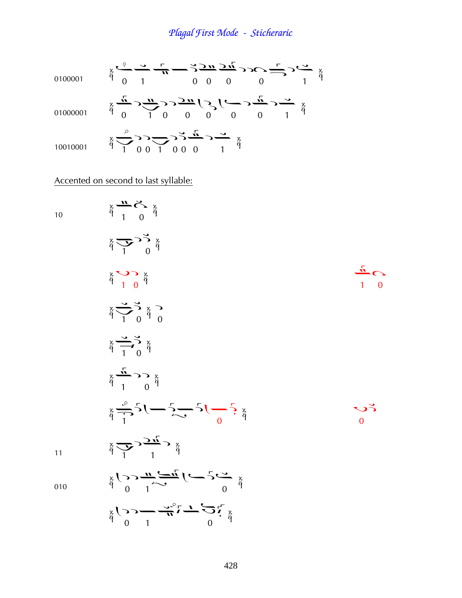0100001 
$$
\ddot{\theta}
$$
  $\frac{\partial}{\partial t} = \frac{\partial}{\partial t} = \frac{\partial}{\partial t} = \frac{\partial}{\partial t} = \frac{\partial}{\partial t} = \frac{\partial}{\partial t} = \frac{\partial}{\partial t} = \frac{\partial}{\partial t} = 0$   
\n0100001  $\ddot{\theta}$   $\frac{\partial}{\partial t} = \frac{\partial}{\partial t} = \frac{\partial}{\partial t} = \frac{\partial}{\partial t} = \frac{\partial}{\partial t} = \frac{\partial}{\partial t} = \frac{\partial}{\partial t} = \frac{\partial}{\partial t} = \frac{\partial}{\partial t} = 0$   
\n0100001  $\ddot{\theta}$   $\frac{\partial}{\partial t} = \frac{\partial}{\partial t} = \frac{\partial}{\partial t} = \frac{\partial}{\partial t} = \frac{\partial}{\partial t} = \frac{\partial}{\partial t} = \frac{\partial}{\partial t} = \frac{\partial}{\partial t} = \frac{\partial}{\partial t} = \frac{\partial}{\partial t} = \frac{\partial}{\partial t} = \frac{\partial}{\partial t} = \frac{\partial}{\partial t} = \frac{\partial}{\partial t} = \frac{\partial}{\partial t} = \frac{\partial}{\partial t} = \frac{\partial}{\partial t} = \frac{\partial}{\partial t} = \frac{\partial}{\partial t} = \frac{\partial}{\partial t} = \frac{\partial}{\partial t} = \frac{\partial}{\partial t} = \frac{\partial}{\partial t} = \frac{\partial}{\partial t} = \frac{\partial}{\partial t} = \frac{\partial}{\partial t} = \frac{\partial}{\partial t} = \frac{\partial}{\partial t} = \frac{\partial}{\partial t} = \frac{\partial}{\partial t} = \frac{\partial}{\partial t} = \frac{\partial}{\partial t} = \frac{\partial}{\partial t} = \frac{\partial}{\partial t} = \frac{\partial}{\partial t} = \frac{\partial}{\partial t} = \frac{\partial}{\partial t} = \frac{\partial}{\partial t} = \frac{\partial}{\partial t} = \frac{\partial}{\partial t} = \frac{\partial}{\partial t} = \frac{\partial}{\partial t} = \frac{\partial}{\partial t} = \frac{\partial}{\partial t} = \frac{\partial}{\partial t} = \frac{\partial}{\partial t} = \frac{\partial}{\partial t} = \frac{\partial}{\partial t} = \frac{\partial}{\partial t} = \frac{\partial}{\partial t} = \frac{\partial}{\partial t} = \frac{\partial}{\partial t} = \frac$ 

### Accented on second to last syllable:

10  
\n
$$
\frac{1}{4} \frac{1}{1} \frac{1}{0} \frac{1}{4}
$$
\n
$$
\frac{1}{4} \frac{1}{1} \frac{1}{0} \frac{1}{4}
$$
\n
$$
\frac{1}{4} \frac{1}{1} \frac{1}{0} \frac{1}{4}
$$
\n
$$
\frac{1}{4} \frac{1}{1} \frac{1}{0} \frac{1}{4}
$$
\n
$$
\frac{1}{4} \frac{1}{1} \frac{1}{0} \frac{1}{4}
$$
\n
$$
\frac{1}{4} \frac{1}{1} \frac{1}{0} \frac{1}{4}
$$
\n
$$
\frac{1}{4} \frac{1}{1} \frac{1}{0} \frac{1}{4}
$$
\n
$$
\frac{1}{4} \frac{1}{1} \frac{1}{0} \frac{1}{4}
$$
\n
$$
\frac{1}{4} \frac{1}{1} \frac{1}{0} \frac{1}{4}
$$
\n
$$
\frac{1}{4} \frac{1}{1} \frac{1}{1} \frac{1}{1} \frac{1}{4}
$$
\n
$$
\frac{1}{4} \frac{1}{1} \frac{1}{1} \frac{1}{1} \frac{1}{1} \frac{1}{1} \frac{1}{1} \frac{1}{1} \frac{1}{1} \frac{1}{1} \frac{1}{1} \frac{1}{1} \frac{1}{1} \frac{1}{1} \frac{1}{1} \frac{1}{1} \frac{1}{1} \frac{1}{1} \frac{1}{1} \frac{1}{1} \frac{1}{1} \frac{1}{1} \frac{1}{1} \frac{1}{1} \frac{1}{1} \frac{1}{1} \frac{1}{1} \frac{1}{1} \frac{1}{1} \frac{1}{1} \frac{1}{1} \frac{1}{1} \frac{1}{1} \frac{1}{1} \frac{1}{1} \frac{1}{1} \frac{1}{1} \frac{1}{1} \frac{1}{1} \frac{1}{1} \frac{1}{1} \frac{1}{1} \frac{1}{1} \frac{1}{1} \frac{1}{1} \frac{1}{1} \frac{1}{1} \frac{1}{1} \frac{1}{1} \frac{1}{1} \frac{1}{1} \frac{1}{1} \frac{1}{1} \frac{1}{1} \frac{1}{1} \frac{
$$

$$
\frac{1}{10}
$$

à

428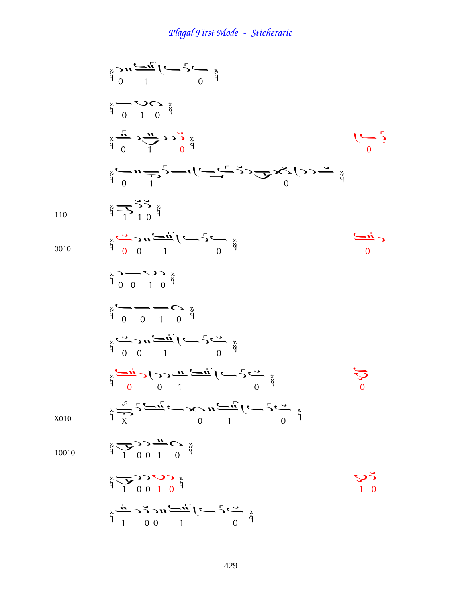$$
\frac{3}{4} \sum_{10010} \frac{1}{4} \sum_{10010} \frac{1}{4} \sum_{10010} \frac{1}{4} \sum_{10010} \frac{1}{4} \sum_{10010} \frac{1}{4} \sum_{10010} \frac{1}{4} \sum_{10010} \frac{1}{4} \sum_{10010} \frac{1}{4} \sum_{10010} \frac{1}{4} \sum_{10010} \frac{1}{4} \sum_{10010} \frac{1}{4} \sum_{10010} \frac{1}{4} \sum_{10010} \frac{1}{4} \sum_{10010} \frac{1}{4} \sum_{10010} \frac{1}{4} \sum_{10010} \frac{1}{4} \sum_{10010} \frac{1}{4} \sum_{10010} \sum_{10010} \frac{1}{4} \sum_{10010} \sum_{10010} \frac{1}{4} \sum_{10010} \sum_{10010} \frac{1}{4} \sum_{10010} \sum_{10010} \frac{1}{4} \sum_{10010} \sum_{10010} \sum_{10010} \frac{1}{4} \sum_{10010} \sum_{10010} \sum_{10010} \frac{1}{4} \sum_{100100} \sum_{10010} \sum_{10010} \sum_{10010} \sum_{10010} \sum_{10010} \sum_{10010} \sum_{10010} \sum_{10010} \sum_{10010} \sum_{10010} \sum_{10010} \sum_{10010} \sum_{10010} \sum_{10010} \sum_{10010} \sum_{10010} \sum_{10010} \sum_{10010} \sum_{10010} \sum_{10010} \sum_{10010} \sum_{10010} \sum_{10010} \sum_{10010} \sum_{10010} \sum_{10010} \sum_{10010} \sum_{10010} \sum_{10010} \sum_{10010} \sum_{10010} \sum_{10010} \sum_{10010} \sum_{100
$$

110

0010

X010

10010

429

 $\ddot{\ddot{\theta}}$   $\frac{1}{1}$  0.0 1 0  $\ddot{\ddot{\theta}}$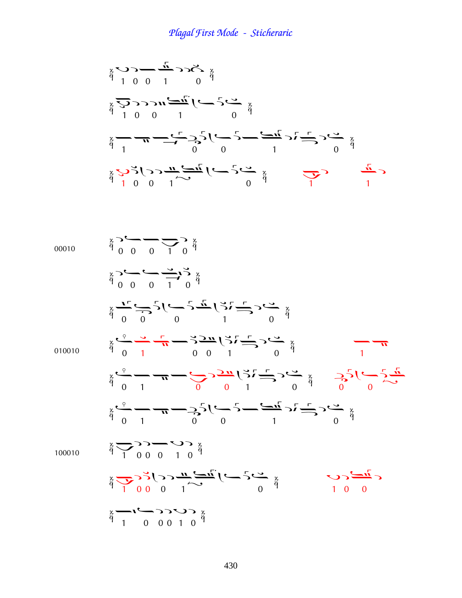Þ¦¤¢à Þ¦¦¢ ¤ ¢¦ ¤ ¢¤ Þ ¦¦¢ ¤ ¢ ¢

00010 
$$
\frac{3}{4}
$$
  $\frac{3}{4}$   $\frac{1}{4}$   $\frac{1}{4}$   $\frac{3}{4}$   $\frac{1}{4}$   $\frac{3}{4}$   $\frac{3}{4}$   $\frac{3}{4}$   $\frac{3}{4}$   $\frac{3}{4}$   $\frac{3}{4}$   $\frac{3}{4}$   $\frac{3}{4}$   $\frac{3}{4}$   $\frac{3}{4}$   $\frac{3}{4}$   $\frac{3}{4}$   $\frac{3}{4}$   $\frac{3}{4}$   $\frac{3}{4}$   $\frac{3}{4}$   $\frac{3}{4}$   $\frac{3}{4}$   $\frac{3}{4}$   $\frac{3}{4}$   $\frac{3}{4}$   $\frac{3}{4}$   $\frac{3}{4}$   $\frac{3}{4}$   $\frac{3}{4}$   $\frac{3}{4}$   $\frac{3}{4}$   $\frac{3}{4}$   $\frac{3}{4}$   $\frac{3}{4}$   $\frac{3}{4}$   $\frac{3}{4}$   $\frac{3}{4}$   $\frac{3}{4}$   $\frac{3}{4}$   $\frac{3}{4}$   $\frac{3}{4}$   $\frac{3}{4}$   $\frac{3}{4}$   $\frac{3}{4}$   $\frac{3}{4}$   $\frac{3}{4}$   $\frac{3}{4}$   $\frac{3}{4}$   $\frac{3}{4}$   $\frac{3}{4}$   $\frac{3}{4}$   $\frac{3}{4}$   $\frac{3}{4}$   $\frac{3}{4}$   $\frac{3}{4}$   $\frac{3}{4}$   $\frac{3}{4}$   $\frac{3}{4}$   $\frac{3}{4}$   $\frac{3}{4}$   $\frac{3}{4}$   $\frac{3}{4}$   $\frac{3}{4}$   $\frac{3}{4}$   $\frac{3}{4}$   $\frac{3}{4}$   $\frac{3}{4}$  <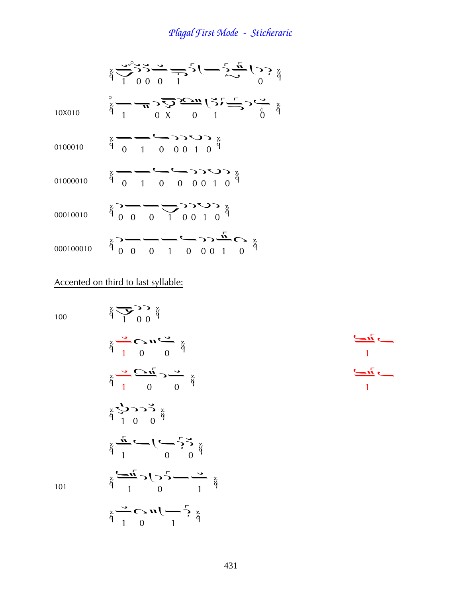

Accented on third to last syllable:

100

101

100  
\n
$$
\frac{3}{4} \sum_{1}^{3} \sum_{0}^{3} \frac{1}{4} \sum_{0}^{3} \frac{1}{4} \sum_{0}^{3} \frac{1}{4} \sum_{0}^{3} \frac{1}{4} \sum_{0}^{3} \frac{1}{4} \sum_{0}^{3} \frac{1}{4} \sum_{0}^{3} \frac{1}{4} \sum_{0}^{3} \frac{1}{4} \sum_{0}^{3} \frac{1}{4} \sum_{0}^{3} \frac{1}{4} \sum_{0}^{3} \frac{1}{4} \sum_{0}^{3} \frac{1}{4} \sum_{0}^{3} \frac{1}{4} \sum_{0}^{3} \frac{1}{4} \sum_{0}^{3} \frac{1}{4} \sum_{0}^{3} \frac{1}{4} \sum_{0}^{3} \frac{1}{4} \sum_{0}^{3} \frac{1}{4} \sum_{0}^{3} \frac{1}{4} \sum_{0}^{3} \frac{1}{4} \sum_{0}^{3} \frac{1}{4} \sum_{0}^{3} \frac{1}{4} \sum_{0}^{3} \frac{1}{4} \sum_{0}^{3} \frac{1}{4} \sum_{0}^{3} \frac{1}{4} \sum_{0}^{3} \frac{1}{4} \sum_{0}^{3} \frac{1}{4} \sum_{0}^{3} \frac{1}{4} \sum_{0}^{3} \frac{1}{4} \sum_{0}^{3} \frac{1}{4} \sum_{0}^{3} \frac{1}{4} \sum_{0}^{3} \frac{1}{4} \sum_{0}^{3} \frac{1}{4} \sum_{0}^{3} \frac{1}{4} \sum_{0}^{3} \frac{1}{4} \sum_{0}^{3} \frac{1}{4} \sum_{0}^{3} \frac{1}{4} \sum_{0}^{3} \frac{1}{4} \sum_{0}^{3} \frac{1}{4} \sum_{0}^{3} \frac{1}{4} \sum_{0}^{3} \frac{1}{4} \sum_{0}^{3} \frac{1}{4} \sum_{0}^{3} \frac{1}{4} \sum_{0}^{3} \frac{1}{4} \sum_{0}^{3} \frac{1}{4} \sum_{0}^{3} \frac{1}{4} \sum_{0}^{3} \frac{1}{4} \sum_{0}^{3} \frac{1}{4} \sum_{0}^{3} \frac{1}{4} \sum_{0
$$

¢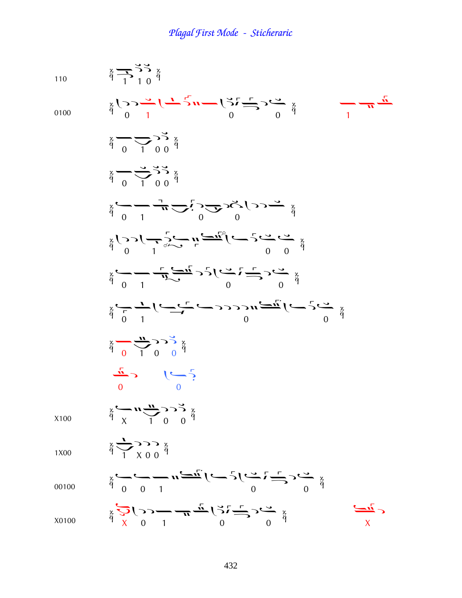110  
\n
$$
\frac{5}{4} + \frac{7}{10} + \frac{7}{10} + \frac{7}{10} + \frac{7}{10} + \frac{7}{10} + \frac{7}{10} + \frac{7}{10} + \frac{7}{10} + \frac{7}{10} + \frac{7}{10} + \frac{7}{10} + \frac{7}{10} + \frac{7}{10} + \frac{7}{10} + \frac{7}{10} + \frac{7}{10} + \frac{7}{10} + \frac{7}{10} + \frac{7}{10} + \frac{7}{10} + \frac{7}{10} + \frac{7}{10} + \frac{7}{10} + \frac{7}{10} + \frac{7}{10} + \frac{7}{10} + \frac{7}{10} + \frac{7}{10} + \frac{7}{10} + \frac{7}{10} + \frac{7}{10} + \frac{7}{10} + \frac{7}{10} + \frac{7}{10} + \frac{7}{10} + \frac{7}{10} + \frac{7}{10} + \frac{7}{10} + \frac{7}{10} + \frac{7}{10} + \frac{7}{10} + \frac{7}{10} + \frac{7}{10} + \frac{7}{10} + \frac{7}{10} + \frac{7}{10} + \frac{7}{10} + \frac{7}{10} + \frac{7}{10} + \frac{7}{10} + \frac{7}{10} + \frac{7}{10} + \frac{7}{10} + \frac{7}{10} + \frac{7}{10} + \frac{7}{10} + \frac{7}{10} + \frac{7}{10} + \frac{7}{10} + \frac{7}{10} + \frac{7}{10} + \frac{7}{10} + \frac{7}{10} + \frac{7}{10} + \frac{7}{10} + \frac{7}{10} + \frac{7}{10} + \frac{7}{10} + \frac{7}{10} + \frac{7}{10} + \frac{7}{10} + \frac{7}{10} + \frac{7}{10} + \frac{7}{10} + \frac{7}{10} + \frac{7}{10} + \frac{7}{10} + \frac{7}{10} + \frac{7}{10} + \frac{7}{10} + \frac{7}{10} + \frac{7}{10} + \frac{7}{10}
$$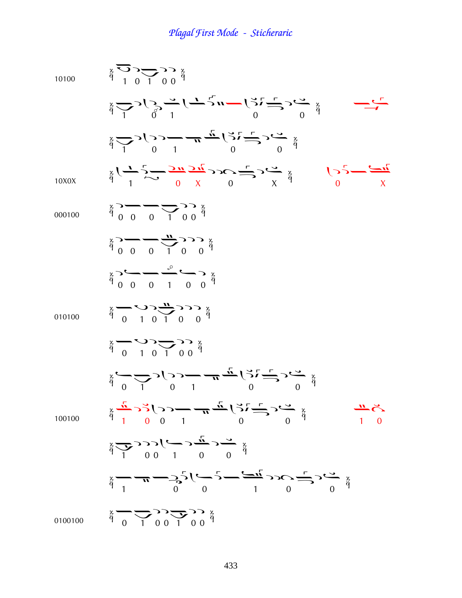| 10100   | $\begin{array}{c}\n\begin{array}{c}\n\circ \\ \circ \\ \circ\n\end{array} & \begin{array}{c}\n\circ \\ \circ \\ \circ\n\end{array} & \begin{array}{c}\n\circ \\ \circ \\ \circ\n\end{array} & \begin{array}{c}\n\circ \\ \circ \\ \circ\n\end{array} & \begin{array}{c}\n\circ \\ \circ \\ \circ\n\end{array} & \begin{array}{c}\n\circ \\ \circ \\ \circ\n\end{array} & \begin{array}{c}\n\circ \\ \circ \\ \circ\n\end{array} & \begin{array}{c}\n\circ \\ \circ \\ \circ\n\end{array} & \begin{array}{c}\n\circ \\ \circ \\ \circ\n\end{array} & \begin{array}{$ |
|---------|---------------------------------------------------------------------------------------------------------------------------------------------------------------------------------------------------------------------------------------------------------------------------------------------------------------------------------------------------------------------------------------------------------------------------------------------------------------------------------------------------------------------------------------------------------------------|
|         | $\sum_{i=1}^{x} \sum_{j=1}^{x} \sum_{j=1}^{x} \sum_{j=1}^{x} (-1)^{j} \sum_{j=1}^{x} (-1)^{j} \sum_{j=1}^{x} (-1)^{x} \sum_{j=1}^{x} (-1)^{x} \sum_{j=1}^{x} (-1)^{x} \sum_{j=1}^{x} (-1)^{x} \sum_{j=1}^{x} (-1)^{x} \sum_{j=1}^{x} (-1)^{x} \sum_{j=1}^{x} (-1)^{x} \sum_{j=1}^{x} (-1)^{x} \sum_{j=1}^{x} (-1)^{x} \sum_{j=1}^{x} (-1)^{$<br>$\stackrel{\cdot}{\longrightarrow}$                                                                                                                                                                                 |
|         | $\sum_{i=0}^{k} \sum_{i=0}^{n} \sum_{j=0}^{n} \sum_{j=0}^{n} \frac{1}{j} \sum_{j=0}^{n} \sum_{j=0}^{n} \sum_{j=0}^{n} \sum_{j=0}^{n} \sum_{j=0}^{n} \sum_{j=0}^{n} \sum_{j=0}^{n} \sum_{j=0}^{n} \sum_{j=0}^{n} \sum_{j=0}^{n} \sum_{j=0}^{n} \sum_{j=0}^{n} \sum_{j=0}^{n} \sum_{j=0}^{n} \sum_{j=0}^{n} \sum_{j=0}^{n} \sum_{j=0}^{n} \sum_{$                                                                                                                                                                                                                     |
| 10X0X   | $\frac{x}{9}$ $($ $\frac{1}{9}$ $\frac{5}{9}$ $\frac{3\pi}{29}$ $\frac{2\pi}{29}$ $\frac{5}{9}$ $\frac{5}{9}$ $\frac{5}{9}$ $\frac{2\pi}{3}$ $\frac{5\pi}{3}$ $\frac{5\pi}{3}$ $\frac{5\pi}{3}$ $\frac{5\pi}{3}$ $\frac{5\pi}{3}$                                                                                                                                                                                                                                                                                                                                   |
| 000100  | $\frac{1}{9}$ $\frac{1}{9}$ $\frac{1}{9}$ $\frac{1}{9}$ $\frac{1}{9}$ $\frac{1}{9}$                                                                                                                                                                                                                                                                                                                                                                                                                                                                                 |
|         | $\frac{1}{9}$ $\frac{1}{9}$ $\frac{1}{9}$ $\frac{1}{9}$ $\frac{1}{9}$ $\frac{1}{9}$                                                                                                                                                                                                                                                                                                                                                                                                                                                                                 |
|         | $\ddot{\xi} \rightarrow 0 \qquad \frac{\nu}{1} \qquad \frac{\nu}{1} \qquad \frac{\nu}{1} \qquad \frac{\nu}{1} \qquad \frac{\nu}{1} \qquad \frac{\nu}{1} \qquad \frac{\nu}{1} \qquad \frac{\nu}{1} \qquad \frac{\nu}{1} \qquad \frac{\nu}{1} \qquad \frac{\nu}{1} \qquad \frac{\nu}{1} \qquad \frac{\nu}{1} \qquad \frac{\nu}{1} \qquad \frac{\nu}{1} \qquad \frac{\nu}{1} \qquad \frac{\nu}{1} \qquad \frac{\nu}{1} \qquad \frac{\nu}{1} \qquad \frac{\nu}{1} \qquad \frac{\nu}{1}$                                                                                 |
| 010100  | $\sum_{\beta}^{\times}$ $\sum_{\beta}^{\infty}$ $\sum_{\beta}^{\infty}$ $\sum_{\beta}^{\infty}$ $\sum_{\beta}^{\infty}$ $\sum_{\beta}^{\infty}$                                                                                                                                                                                                                                                                                                                                                                                                                     |
|         | $\sum_{\beta}^{\times}$ $\sum_{\beta}^{\infty}$ $\sum_{\beta}^{\infty}$ $\sum_{\beta}^{\infty}$ $\sum_{\beta}^{\infty}$ $\sum_{\beta}^{\infty}$                                                                                                                                                                                                                                                                                                                                                                                                                     |
|         | $\sum_{\alpha=0}^{N} \sum_{i=0}^{N} \sum_{j=0}^{N} \sum_{j=0}^{N} \sum_{j=0}^{N} \sum_{j=0}^{N} \sum_{j=0}^{N} \sum_{j=0}^{N} \sum_{j=0}^{N} \sum_{j=0}^{N} \sum_{j=0}^{N} \sum_{j=0}^{N} \sum_{j=0}^{N} \sum_{j=0}^{N} \sum_{j=0}^{N} \sum_{j=0}^{N} \sum_{j=0}^{N} \sum_{j=0}^{N} \sum_{j=0}^{N} \sum_{j=0}^{N} \sum_{j=0}^{N} \sum_{j=0}^{N$                                                                                                                                                                                                                     |
| 100100  | $\sum_{\alpha=0}^{x} \sum_{i=0}^{n} \sum_{j=0}^{n} \frac{1}{j} \sum_{j=0}^{n} \frac{1}{j} \sum_{j=0}^{n} \sum_{j=0}^{n} \sum_{j=0}^{n} \sum_{j=0}^{n} \sum_{j=0}^{n} \sum_{j=0}^{n} \sum_{j=0}^{n} \sum_{j=0}^{n} \sum_{j=0}^{n} \sum_{j=0}^{n} \sum_{j=0}^{n} \sum_{j=0}^{n} \sum_{j=0}^{n} \sum_{j=0}^{n} \sum_{j=0}^{n} \sum_{j=0}^{n} \sum_{j=$                                                                                                                                                                                                                 |
|         | $\frac{3}{7} \sum_{1}^{6} \sum_{0}^{6} \sum_{1}^{6} (-1)^{6} \sum_{1}^{6} (-1)^{6} \sum_{1}^{6} (-1)^{6}$                                                                                                                                                                                                                                                                                                                                                                                                                                                           |
|         | $\frac{3}{9} - \pi - 35\left(-5 - \frac{24}{9}\right) - 3 - 5\left(-5 - \frac{24}{9}\right)$                                                                                                                                                                                                                                                                                                                                                                                                                                                                        |
| 0100100 | $\frac{3}{9}$ $\frac{1}{9}$ $\frac{1}{9}$ $\frac{0}{9}$ $\frac{1}{2}$ $\frac{0}{2}$ $\frac{3}{2}$ $\frac{3}{2}$                                                                                                                                                                                                                                                                                                                                                                                                                                                     |
|         |                                                                                                                                                                                                                                                                                                                                                                                                                                                                                                                                                                     |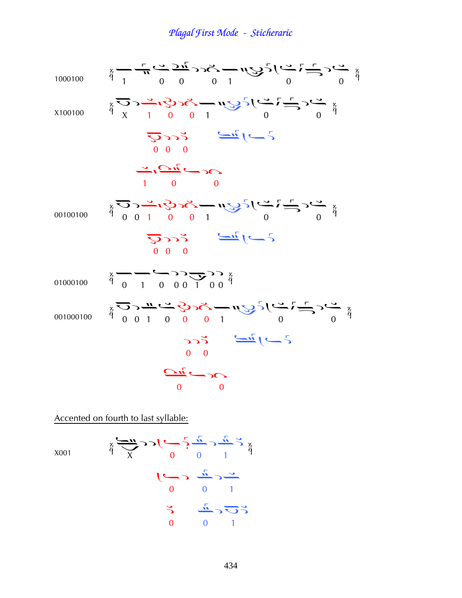10001000  
\n
$$
\frac{2}{7} - \frac{1}{7} \sum_{1000}^{7} \frac{1}{2} \sum_{1000}^{7} \frac{1}{2} \sum_{1000}^{7} \frac{1}{2} \sum_{1000}^{7} \frac{1}{2} \sum_{1000}^{7} \frac{1}{2} \sum_{1000}^{7} \frac{1}{2} \sum_{1000}^{7} \frac{1}{2} \sum_{1000}^{7} \frac{1}{2} \sum_{1000}^{7} \frac{1}{2} \sum_{1000}^{7} \frac{1}{2} \sum_{1000}^{7} \frac{1}{2} \sum_{1000}^{7} \frac{1}{2} \sum_{1000}^{7} \frac{1}{2} \sum_{1000}^{7} \frac{1}{2} \sum_{1000}^{7} \frac{1}{2} \sum_{1000}^{7} \frac{1}{2} \sum_{1000}^{7} \frac{1}{2} \sum_{1000}^{7} \frac{1}{2} \sum_{1000}^{7} \frac{1}{2} \sum_{1000}^{7} \frac{1}{2} \sum_{1000}^{7} \frac{1}{2} \sum_{1000}^{7} \frac{1}{2} \sum_{1000}^{7} \frac{1}{2} \sum_{1000}^{7} \frac{1}{2} \sum_{1000}^{7} \frac{1}{2} \sum_{1000}^{7} \frac{1}{2} \sum_{1000}^{7} \frac{1}{2} \sum_{1000}^{7} \frac{1}{2} \sum_{1000}^{7} \frac{1}{2} \sum_{1000}^{7} \frac{1}{2} \sum_{1000}^{7} \frac{1}{2} \sum_{1000}^{7} \frac{1}{2} \sum_{1000}^{7} \frac{1}{2} \sum_{1000}^{7} \frac{1}{2} \sum_{1000}^{7} \frac{1}{2} \sum_{1000}^{7} \frac{1}{2} \sum_{1000}^{7} \frac{1}{2} \sum_{1000}^{7} \frac{1}{2} \sum_{1000}^{7} \frac{1}{2} \sum_{1000}^{7} \frac{1}{2} \sum_{1000}^{7} \frac{
$$

Accented on fourth to last syllable:

X001

$$
\begin{array}{ccc}\n & \frac{1}{2} & \frac{1}{2} & \frac{1}{2} & \frac{1}{2} & \frac{1}{2} \\
 & \frac{1}{2} & \frac{1}{2} & \frac{1}{2} & \frac{1}{2} & \frac{1}{2} \\
 & & \frac{1}{2} & \frac{1}{2} & \frac{1}{2} & \frac{1}{2} & \frac{1}{2} \\
 & & \frac{1}{2} & \frac{1}{2} & \frac{1}{2} & \frac{1}{2} & \frac{1}{2} & \frac{1}{2} \\
 & & \frac{1}{2} & \frac{1}{2} & \frac{1}{2} & \frac{1}{2} & \frac{1}{2} & \frac{1}{2} & \frac{1}{2} \\
 & & \frac{1}{2} & \frac{1}{2} & \frac{1}{2} & \frac{1}{2} & \frac{1}{2} & \frac{1}{2} & \frac{1}{2} & \frac{1}{2} & \frac{1}{2} \\
 & & \frac{1}{2} & \frac{1}{2} & \frac{1}{2} & \frac{1}{2} & \frac{1}{2} & \frac{1}{2} & \frac{1}{2} & \frac{1}{2} & \frac{1}{2} & \frac{1}{2} \\
 & & & \frac{1}{2} & \frac{1}{2} & \frac{1}{2} & \frac{1}{2} & \frac{1}{2} & \frac{1}{2} & \frac{1}{2} & \frac{1}{2} & \frac{1}{2} & \frac{1}{2} & \frac{1}{2} & \frac{1}{2} & \frac{1}{2} \\
 & & & \frac{1}{2} & \frac{1}{2} & \frac{1}{2} & \frac{1}{2} & \frac{1}{2} & \frac{1}{2} & \frac{1}{2} & \frac{1}{2} & \frac{1}{2} & \frac{1}{2} & \frac{1}{2} & \frac{1}{2} & \frac{1}{2} & \frac{1}{2} & \frac{1}{2} & \frac{1}{2} \\
 & & & & \frac{1}{2} & \frac{1}{2} & \frac{1}{2} & \frac{1}{2} & \frac{1}{2} & \frac{1}{2} & \frac{1}{2} & \frac{1}{2} & \frac{1}{2} & \frac{1}{2} & \frac{1}{2} & \frac{1}{2} & \frac{1}{2} & \frac{1}{2} & \frac{1}{2} & \frac
$$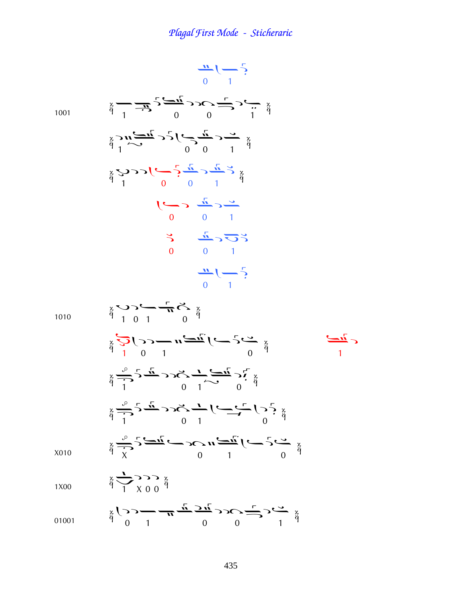$\frac{11}{0}$   $\left(-\frac{5}{1}\right)$  $\sum_{i=1}^{8} \frac{1}{i} \sum_{i=1}^{1} \frac{1}{i} \sum_{j=1}^{1} \sum_{j=1}^{1} \sum_{j=1}^{1} \sum_{j=1}^{1} \sum_{j=1}^{1} \sum_{j=1}^{1} \sum_{j=1}^{1} \sum_{j=1}^{1} \sum_{j=1}^{1} \sum_{j=1}^{1} \sum_{j=1}^{1} \sum_{j=1}^{1} \sum_{j=1}^{1} \sum_{j=1}^{1} \sum_{j=1}^{1} \sum_{j=1}^{1} \sum_{j=1}^{1} \sum_{j=1}^{1} \sum_{j=1$ 1001  $\sum_{\substack{x \\ \text{if } x \\ \text{if } y}} \sum_{i=1}^{n} \sum_{j=1}^{n} \sum_{j=1}^{n} \sum_{j=1}^{n} \sum_{j=1}^{n} \sum_{j=1}^{n} \sum_{j=1}^{n} \sum_{j=1}^{n} \sum_{j=1}^{n} \sum_{j=1}^{n} \sum_{j=1}^{n} \sum_{j=1}^{n} \sum_{j=1}^{n} \sum_{j=1}^{n} \sum_{j=1}^{n} \sum_{j=1}^{n} \sum_{j=1}^{n} \sum_{j=1}^{n} \sum_{j=1}^{n} \sum_{j=1}^{$  $\sum_{\alpha=0}^{\infty} \sum_{\alpha=0}^{\infty} \sum_{\alpha=0}^{\infty} \sum_{\alpha=0}^{\infty} \sum_{\alpha=0}^{\infty} \sum_{\alpha=0}^{\infty} \sum_{\beta=0}^{\infty} \sum_{\beta=0}^{\infty}$  $\frac{1}{\sqrt{1}}$  $\begin{array}{ccc} \n\check{\mathbf{C}} & \mathbf{C} & \mathbf{L} & \mathbf{C} \\ \n\check{\mathbf{C}} & \mathbf{C} & \mathbf{0} & \mathbf{0} \\ \n\mathbf{0} & \mathbf{0} & \mathbf{0} & \mathbf{0} \n\end{array}$  $\frac{11}{1}$  ( - 5)  $\sum_{\alpha=0}^{\infty}$ 1010  $\sum_{\alpha=0}^{n} \sum_{i=0}^{n} (-1)^{n} \sum_{j=0}^{n} \sum_{j=0}^{n} (-1)^{n-j} \sum_{j=0}^{n}$  $\sum_{\alpha=1}^{\infty} \sum_{\alpha=1}^{n} \sum_{\alpha=1}^{n} \sum_{\alpha=1}^{n} \sum_{\alpha=1}^{n} \sum_{\alpha=1}^{n} \sum_{\beta=1}^{n} \sum_{\beta=1}^{n}$  $\sum_{\alpha=0}^{\infty} \frac{1}{\alpha} 3 \sum_{n=0}^{\infty}$  $\sum_{x}^{x} \frac{1}{x^{2}} \sum_{i=1}^{n} \frac{1}{x^{2}} \sum_{i=1}^{n} (-1)^{i} \sum_{j=1}^{n} (-1)^{j} \sum_{j=1}^{n} (-1)^{j} \sum_{j=1}^{n} (-1)^{j} \sum_{j=1}^{n} (-1)^{j} \sum_{j=1}^{n} (-1)^{j} \sum_{j=1}^{n} (-1)^{j} \sum_{j=1}^{n} (-1)^{j} \sum_{j=1}^{n} (-1)^{j} \sum_{j=1}^{n} (-1)^{j} \sum_{j=1}^{n} (-1)^{j} \sum_{j=1}^{$ 

X010

 $\frac{3}{9}$   $\frac{1}{1}$   $\frac{1}{8}$   $\frac{1}{9}$   $\frac{3}{9}$ 1X00

$$
\begin{array}{ccc}\n & \text{if } & \text{if } & \text{if } & \text{if } & \text{if } & \text{if } & \text{if } & \text{if } & \text{if } & \text{if } & \text{if } & \text{if } & \text{if } & \text{if } & \text{if } & \text{if } & \text{if } & \text{if } & \text{if } & \text{if } & \text{if } & \text{if } & \text{if } & \text{if } & \text{if } & \text{if } & \text{if } & \text{if } & \text{if } & \text{if } & \text{if } & \text{if } & \text{if } & \text{if } & \text{if } & \text{if } & \text{if } & \text{if } & \text{if } & \text{if } & \text{if } & \text{if } & \text{if } & \text{if } & \text{if } & \text{if } & \text{if } & \text{if } & \text{if } & \text{if } & \text{if } & \text{if } & \text{if } & \text{if } & \text{if } & \text{if } & \text{if } & \text{if } & \text{if } & \text{if } & \text{if } & \text{if } & \text{if } & \text{if } & \text{if } & \text{if } & \text{if } & \text{if } & \text{if } & \text{if } & \text{if } & \text{if } & \text{if } & \text{if } & \text{if } & \text{if } & \text{if } & \text{if } & \text{if } & \text{if } & \text{if } & \text{if } & \text{if } & \text{if } & \text{if } & \text{if } & \text{if } & \text{if } & \text{if } & \text{if } & \text{if } & \text{if } & \text{if } & \text{if } & \text{if } & \text{if } & \text{if } & \text{if } & \text{if } & \text{if } & \text{if } & \text{if } & \text{if } & \text{if } & \text{if } & \text{if } & \text{if } & \text{if } & \text{if } & \text{if } & \text{if } & \text{if } & \text{if } & \text{if } & \text{if } & \text{if } & \text{if } & \text{if } & \text{if } & \text{if } & \text{if } & \text{if } & \text{if } & \text{if } & \text{if } & \
$$

 $\overline{\phantom{a}}$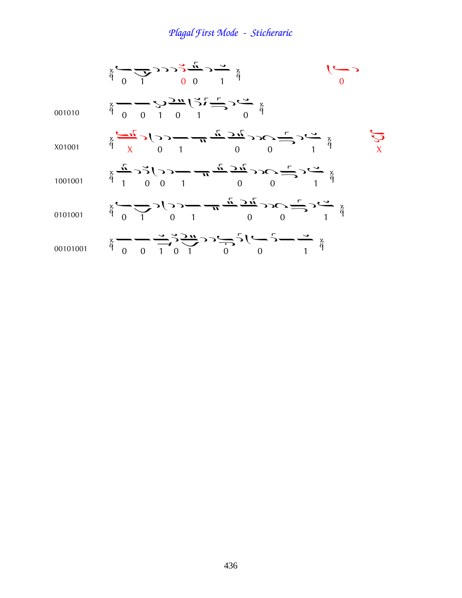|          | $\frac{x}{9}$ $\frac{y}{9}$ $\frac{y}{1}$ $\frac{y}{1}$ $\frac{y}{1}$ $\frac{y}{1}$ $\frac{y}{1}$ $\frac{y}{1}$ $\frac{y}{1}$ $\frac{y}{1}$ $\frac{y}{1}$ $\frac{y}{1}$ $\frac{y}{1}$ $\frac{y}{1}$ $\frac{y}{1}$ $\frac{y}{1}$ $\frac{y}{1}$ $\frac{y}{1}$ $\frac{y}{1}$ $\frac{y}{1}$ $\frac{y}{1}$ $\frac{y}{1}$ $\$                                                                             |  |
|----------|-----------------------------------------------------------------------------------------------------------------------------------------------------------------------------------------------------------------------------------------------------------------------------------------------------------------------------------------------------------------------------------------------------|--|
| 001010   | $\frac{1}{9} - \frac{1}{9} - \frac{1}{9} - \frac{1}{9} - \frac{1}{9} - \frac{1}{9}$                                                                                                                                                                                                                                                                                                                 |  |
| X01001   | $\frac{1}{4} \sum_{\mu=1}^{\infty} 2 \sum_{\nu=1}^{\infty} 2 \sum_{\nu=1}^{\infty} \frac{1}{\mu} \sum_{\nu=1}^{\infty} 2 \sum_{\nu=1}^{\infty} 2 \sum_{\nu=1}^{\infty} 2 \sum_{\nu=1}^{\infty} 2 \sum_{\nu=1}^{\infty} 2 \sum_{\nu=1}^{\infty} 2 \sum_{\nu=1}^{\infty} 2 \sum_{\nu=1}^{\infty} 2 \sum_{\nu=1}^{\infty} 2 \sum_{\nu=1}^{\infty} 2 \sum_{\nu=1}^{\infty$                              |  |
| 1001001  | $\frac{1}{4} + \frac{1}{2} + \frac{1}{2} + \frac{1}{2} + \frac{1}{2} + \frac{1}{2} + \frac{1}{2} + \frac{1}{2} + \frac{1}{2} + \frac{1}{2} + \frac{1}{2} + \frac{1}{2} + \frac{1}{2} + \frac{1}{2} + \frac{1}{2} + \frac{1}{2} + \frac{1}{2} + \frac{1}{2} + \frac{1}{2} + \frac{1}{2} + \frac{1}{2} + \frac{1}{2} + \frac{1}{2} + \frac{1}{2} + \frac{1}{2} + \frac{1}{2} + \frac{1}{2} + \frac{1$ |  |
| 0101001  | $\frac{1}{4} \sum_{i=1}^{n} \sum_{j=1}^{n} \sum_{j=1}^{n} \frac{1}{j} \sum_{i=1}^{n} \frac{1}{n} \sum_{j=1}^{n} \sum_{j=1}^{n} \sum_{j=1}^{n} \sum_{j=1}^{n} \sum_{j=1}^{n} \sum_{j=1}^{n} \sum_{j=1}^{n} \sum_{j=1}^{n} \sum_{j=1}^{n} \sum_{j=1}^{n} \sum_{j=1}^{n} \sum_{j=1}^{n} \sum_{j=1}^{n} \sum_{j=1}^{n} \sum_{j=1}^{n} \sum_{j=1}^{n$                                                    |  |
| 00101001 | $\frac{1}{9}$ = $\frac{1}{9}$ = $\frac{1}{1}$ $\frac{1}{1}$ $\frac{1}{1}$ $\frac{1}{1}$ $\frac{1}{1}$ $\frac{1}{1}$ $\frac{1}{1}$ $\frac{1}{1}$ $\frac{1}{1}$ $\frac{1}{1}$ $\frac{1}{1}$ $\frac{1}{1}$ $\frac{1}{1}$ $\frac{1}{1}$ $\frac{1}{1}$ $\frac{1}{1}$ $\frac{1}{1}$ $\frac{1}{1}$ $\frac{1}{1}$ $\frac{1}{1$                                                                              |  |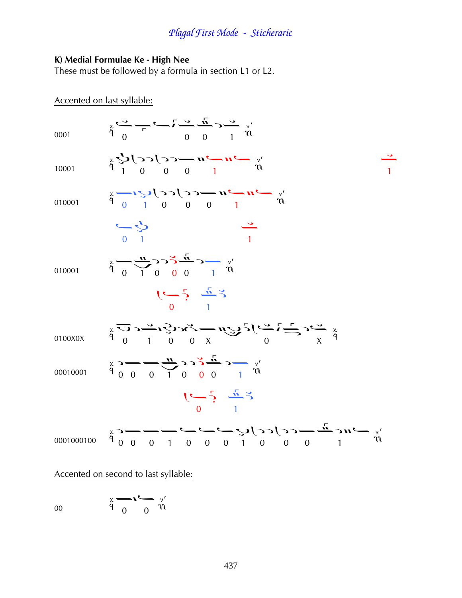### K) Medial Formulae Ke - High Nee

These must be followed by a formula in section L1 or L2.

Accented on last syllable:

| 0001       | $\frac{1}{9} \sum_{i=1}^{N} \frac{1}{10} \sum_{i=1}^{N} \frac{1}{10} \sum_{i=1}^{N} \frac{1}{10} \sum_{i=1}^{N} \frac{1}{10} \sum_{i=1}^{N} \frac{1}{10} \sum_{i=1}^{N} \frac{1}{10} \sum_{i=1}^{N} \frac{1}{10} \sum_{i=1}^{N} \frac{1}{10} \sum_{i=1}^{N} \frac{1}{10} \sum_{i=1}^{N} \frac{1}{10} \sum_{i=1}^{N} \frac{1}{10} \sum_{i=1}^{N} \frac{1}{$                                                                                                                        |  |
|------------|-----------------------------------------------------------------------------------------------------------------------------------------------------------------------------------------------------------------------------------------------------------------------------------------------------------------------------------------------------------------------------------------------------------------------------------------------------------------------------------|--|
| 10001      | $\frac{v}{r}$ $\frac{v}{r}$ $\frac{v}{r}$ $\frac{v}{r}$ $\frac{v}{r}$ $\frac{v}{r}$ $\frac{v}{r}$ $\frac{v}{r}$ $\frac{v}{r}$ $\frac{v}{r}$                                                                                                                                                                                                                                                                                                                                       |  |
| 010001     | $\frac{x}{r}$ $\frac{1}{r}$ $\frac{1}{r}$ $\frac{1}{r}$ $\frac{1}{r}$ $\frac{1}{r}$ $\frac{1}{r}$ $\frac{1}{r}$ $\frac{1}{r}$ $\frac{1}{r}$ $\frac{1}{r}$ $\frac{1}{r}$ $\frac{1}{r}$ $\frac{1}{r}$ $\frac{1}{r}$ $\frac{1}{r}$ $\frac{1}{r}$ $\frac{1}{r}$ $\frac{1}{r}$ $\frac{1}{r}$ $\frac{1}{r}$ $\frac{1}{r}$ $\$                                                                                                                                                           |  |
|            | $\begin{array}{c} 2 \rightarrow 0 \\ 0 \rightarrow 1 \end{array}$                                                                                                                                                                                                                                                                                                                                                                                                                 |  |
| 010001     | $\frac{3}{9}$ $\frac{1}{9}$ $\frac{1}{1}$ $\frac{0}{1}$ $\frac{0}{1}$ $\frac{0}{1}$ $\frac{1}{1}$ $\frac{1}{1}$ $\frac{1}{1}$ $\frac{1}{1}$                                                                                                                                                                                                                                                                                                                                       |  |
|            | $1 - 5 - \frac{1}{2}$                                                                                                                                                                                                                                                                                                                                                                                                                                                             |  |
| 0100X0X    | $\sum_{\alpha=0}^{\infty} \sum_{j=0}^{\infty} \sum_{j=0}^{\infty} \sum_{j=0}^{\infty} \sum_{j=0}^{\infty} \sum_{j=0}^{\infty} \sum_{j=0}^{\infty} \sum_{j=0}^{\infty} \sum_{j=0}^{\infty} \sum_{j=0}^{\infty} \sum_{j=0}^{\infty} \sum_{j=0}^{\infty} \sum_{j=0}^{\infty} \sum_{j=0}^{\infty} \sum_{j=0}^{\infty} \sum_{j=0}^{\infty} \sum_{j=0}^{\infty} \sum_{j=0}^{\infty} \sum_{$                                                                                             |  |
| 00010001   | $\frac{x}{9}$ 0 0 1 0 0 0 1 m                                                                                                                                                                                                                                                                                                                                                                                                                                                     |  |
|            | $1-\frac{1}{2}$ $\frac{1}{2}$                                                                                                                                                                                                                                                                                                                                                                                                                                                     |  |
| 0001000100 | $\frac{1}{9} \times \frac{1}{9} \times \frac{1}{9} \times \frac{1}{9} \times \frac{1}{9} \times \frac{1}{9} \times \frac{1}{9} \times \frac{1}{9} \times \frac{1}{9} \times \frac{1}{9} \times \frac{1}{9} \times \frac{1}{9} \times \frac{1}{9} \times \frac{1}{9} \times \frac{1}{9} \times \frac{1}{9} \times \frac{1}{9} \times \frac{1}{9} \times \frac{1}{9} \times \frac{1}{9} \times \frac{1}{9} \times \frac{1}{9} \times \frac{1}{9} \times \frac{1}{9} \times \frac{1$ |  |
|            |                                                                                                                                                                                                                                                                                                                                                                                                                                                                                   |  |

Accented on second to last syllable:

$$
\begin{array}{ccc}\n & \stackrel{\circ}{\circ} & \stackrel{\circ}{\circ} & \stackrel{\circ}{\circ} \\
 & \stackrel{\circ}{\circ} & \stackrel{\circ}{\circ} & \stackrel{\circ}{\circ} \\
 & & \stackrel{\circ}{\circ} & \stackrel{\circ}{\circ} \\
 & & \stackrel{\circ}{\circ} & \stackrel{\circ}{\circ} \\
 & & \stackrel{\circ}{\circ} & \stackrel{\circ}{\circ} \\
 & & \stackrel{\circ}{\circ} & \stackrel{\circ}{\circ} \\
 & & \stackrel{\circ}{\circ} & \stackrel{\circ}{\circ} \\
 & & \stackrel{\circ}{\circ} & \stackrel{\circ}{\circ} \\
 & & \stackrel{\circ}{\circ} & \stackrel{\circ}{\circ} \\
 & & \stackrel{\circ}{\circ} & \stackrel{\circ}{\circ} \\
 & & \stackrel{\circ}{\circ} & \stackrel{\circ}{\circ} \\
 & & \stackrel{\circ}{\circ} & \stackrel{\circ}{\circ} \\
 & & \stackrel{\circ}{\circ} & \stackrel{\circ}{\circ} \\
 & & \stackrel{\circ}{\circ} & \stackrel{\circ}{\circ} \\
 & & \stackrel{\circ}{\circ} & \stackrel{\circ}{\circ} \\
 & & \stackrel{\circ}{\circ} & \stackrel{\circ}{\circ} \\
 & & \stackrel{\circ}{\circ} & \stackrel{\circ}{\circ} \\
 & & \stackrel{\circ}{\circ} & \stackrel{\circ}{\circ} \\
 & & \stackrel{\circ}{\circ} & \stackrel{\circ}{\circ} \\
 & & \stackrel{\circ}{\circ} & \stackrel{\circ}{\circ} \\
 & & \stackrel{\circ}{\circ} & \stackrel{\circ}{\circ} \\
 & & \stackrel{\circ}{\circ} & \stackrel{\circ}{\circ} \\
 & & \stackrel{\circ}{\circ} & \stackrel{\circ}{\circ} \\
 & & \stackrel{\circ}{\circ} & \stackrel{\circ}{\circ} \\
 & & \stackrel{\circ}{\circ} & \stackrel{\circ}{\circ} \\
 & & \stackrel{\circ}{\circ} & \stackrel{\circ}{\circ} \\
 & & \stackrel{\circ}{\circ} & \stackrel{\circ}{\circ} \\
 & & \stackrel{\circ}{\circ} & \stackrel{\circ}{\circ} \\
 & & \stackrel{\circ}{\circ} & \stackrel{\circ}{\circ} \\
 & & \stackrel{\circ}{\circ} & \stackrel{\circ}{\circ} \\
 & & \stackrel{\circ}{\circ} & \stackrel{\circ}{\circ} \\
 & & \stackrel{\circ}{\circ} & \stackrel{\circ}{\circ} \\
 & & \stackrel{\circ}{\circ} & \stackrel{\circ}{\circ} \\
 & & \stackrel{\circ}{
$$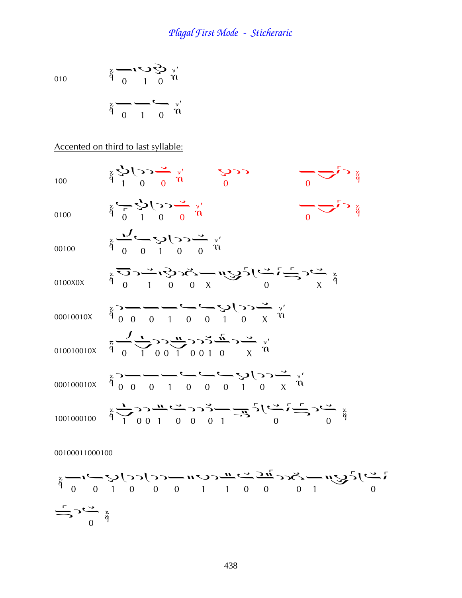010 
$$
\begin{array}{ccc}\n & \frac{x}{q} & \stackrel{\sqrt{3}}{q} & \stackrel{\sqrt{3}}{q} & \stackrel{\sqrt{7}}{q} \\
 & \stackrel{\sqrt{3}}{q} & \stackrel{\sqrt{3}}{q} & \stackrel{\sqrt{7}}{q} \\
 & & \stackrel{\sqrt{7}}{q} & \stackrel{\sqrt{7}}{q} \\
 & & \stackrel{\sqrt{7}}{q} & \stackrel{\sqrt{7}}{q} \\
 & & \stackrel{\sqrt{7}}{q} & \stackrel{\sqrt{7}}{q} \\
 & & \stackrel{\sqrt{7}}{q} & \stackrel{\sqrt{7}}{q} \\
 & & \stackrel{\sqrt{7}}{q} & \stackrel{\sqrt{7}}{q} \\
 & & \stackrel{\sqrt{7}}{q} & \stackrel{\sqrt{7}}{q} \\
 & & \stackrel{\sqrt{7}}{q} & \stackrel{\sqrt{7}}{q} \\
 & & & \stackrel{\sqrt{7}}{q} & \stackrel{\sqrt{7}}{q} \\
 & & & \stackrel{\sqrt{7}}{q} & \stackrel{\sqrt{7}}{q} \\
 & & & \stackrel{\sqrt{7}}{q} & \stackrel{\sqrt{7}}{q} \\
 & & & & \frac{\sqrt{7}}{q} & \frac{\sqrt{7}}{q} \\
 & & & & & \frac{\sqrt{7}}{q} \\
 & & & & & & \frac{\sqrt{7}}{q} \\
 & & & & & & & \frac{\sqrt{7}}{q} \\
 & & & & & & & \frac{\sqrt{7}}{q} \\
 & & & & & & & & \frac{\sqrt{7}}{q} \\
 & & & & & & & & \frac{\sqrt{7}}{q} \\
 & & & & & & & & \frac{\sqrt{7}}{q} \\
 & & & & & & & & \frac{\sqrt{7}}{q} \\
 & & & & & & & & & \frac{\sqrt{7}}{q} \\
 & & & & & & & & & \frac{\sqrt{7}}{q} \\
 & & & & & & & & & \frac{\sqrt{7}}{q} \\
 & & & & & & & & & \frac{\sqrt{7}}{q} \\
 & & & & & & & & & \frac{\sqrt{7}}{q} \\
 & & & & & & & & & \frac{\sqrt{7}}{q} \\
 & & & & & & & & & \frac{\sqrt{7}}{q} \\
 & & & & & & & & & & \frac{\sqrt{7}}{q} \\
 & & & & & & & & & & \frac{\sqrt{7}}{q} \\
 & & & & & & & & & & \frac{\sqrt{7}}{q} \\
 & & & & & & & & & & \frac{\sqrt{7}}{q} \\
 & & & & & & & & & &
$$

Accented on third to last syllable:

<sup>100</sup> Þ¦¤ à ¤ <sup>0100</sup> ¤Þ¦¤ ¤ <sup>00100</sup> ¤¤Þ¦¤ 0100X0X à¢àà¥ ¤¥ 00010010X ¦¤¤¢¤¤Þ¦¥ 010010010X ¤¢ ¦¦¢ ¦¦°¤¥ 000100010X ¦¤¤¢¤¤¤Þ¦¥ <sup>1001000100</sup> ¢ ¦¦¢¤¦¦¢ ¤¤ 00100011000100

 $\frac{3}{9}$  0 1 0 0 0 1 1 0 0 0 1 0 0 1 0  $\sum_{r=0}^{n}$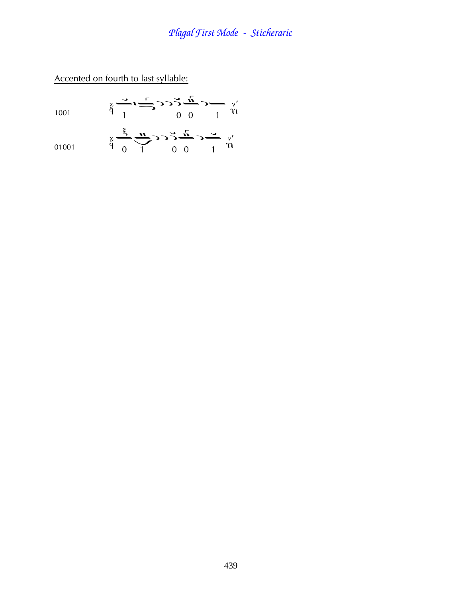### Accented on fourth to last syllable:

| 1001  | $\sum_{\substack{x \\ y \\ y}}^{\infty}$                                                                                           |  |
|-------|------------------------------------------------------------------------------------------------------------------------------------|--|
| 01001 | $\frac{x}{9}$ $\frac{y}{9}$ $\frac{y}{1}$ $\frac{z}{1}$ $\frac{z}{10}$ $\frac{z}{10}$ $\frac{z}{10}$ $\frac{z}{10}$ $\frac{z}{10}$ |  |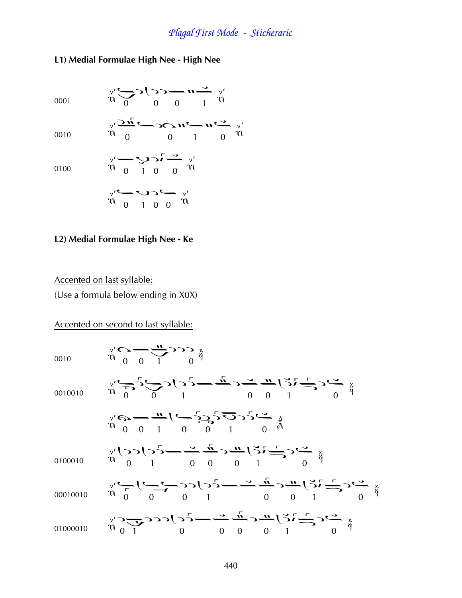### L1) Medial Formulae High Nee - High Nee

0001

 $\gamma'$   $\rightarrow$   $\gamma$   $\rightarrow$   $\gamma$   $\rightarrow$   $\gamma'$ <br>0 0 0 1 m  $\begin{array}{ccccc}\n\gamma' & \stackrel{\sim}{\longrightarrow} & \mathbf{n} & \stackrel{\sim}{\longrightarrow} & \mathbf{n} & \stackrel{\sim}{\longrightarrow} & \gamma'\\
\gamma' & \stackrel{\sim}{\longrightarrow} & & & & & \\
\gamma & \stackrel{\sim}{\longrightarrow} & & & & \\
\gamma & \stackrel{\sim}{\longrightarrow} & & & & \\
\gamma & \stackrel{\sim}{\longrightarrow} & & & & \\
\gamma & \stackrel{\sim}{\longrightarrow} & & & & \\
\gamma & \stackrel{\sim}{\longrightarrow} & & & & \\
\gamma & \stackrel{\sim}{\longrightarrow} & & & & \\
\gamma & \stackrel{\sim}{\longrightarrow} & & & & \\
\gamma & \stackrel{\sim}{\longrightarrow} & & & & \\
\gamma & \stack$ 

0010

0100

$$
\gamma' \longrightarrow \mathbf{C} \longrightarrow \gamma'
$$
\n
$$
\gamma' \longrightarrow \gamma \longrightarrow \gamma'
$$

$$
\gamma' \longrightarrow \longrightarrow \gamma \longrightarrow \gamma'
$$

#### L2) Medial Formulae High Nee - Ke

Accented on last syllable:

(Use a formula below ending in X0X)

Accented on second to last syllable: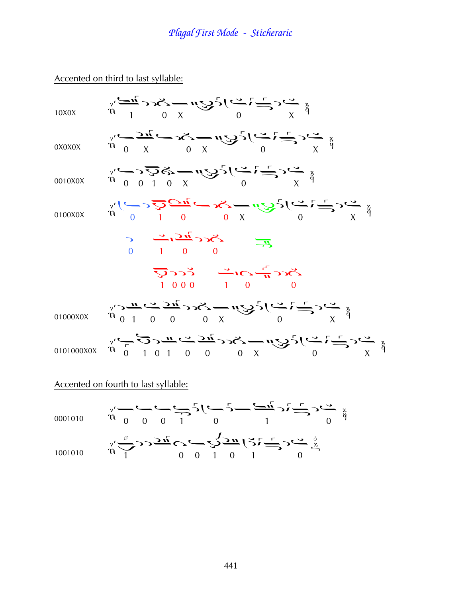Accented on third to last syllable:

| 10X0X      | $\sum_{y=0}^{x} \sum_{i=1}^{n} \sum_{j=0}^{n} \sum_{j=0}^{n} y_{ij} = \sum_{y=0}^{n} \sum_{j=0}^{n} \sum_{j=0}^{n} \sum_{j=0}^{n} y_{ij}$                                                                                                                                                                                                                                                                                                                                             |
|------------|---------------------------------------------------------------------------------------------------------------------------------------------------------------------------------------------------------------------------------------------------------------------------------------------------------------------------------------------------------------------------------------------------------------------------------------------------------------------------------------|
| 0X0X0X     | $\frac{1}{2} \sum_{\substack{y \\ y \\ y}} \frac{1}{2} \sum_{\substack{u \\ u \\ v}} \frac{1}{2} \sum_{\substack{v \\ v \\ v \\ v}} \frac{1}{2} \sum_{\substack{v \\ v \\ v \\ v}} \frac{1}{2} \sum_{\substack{v \\ v \\ v \\ v}} \frac{1}{2} \sum_{\substack{v \\ v \\ v \\ v}} \frac{1}{2} \sum_{\substack{v \\ v \\ v \\ v}} \frac{1}{2} \sum_{\substack{v \\ v \\ v \\ v}} \frac{1}{2} \sum_{\substack{v \\ v \\ v \\ v}} \frac{1}{2} \sum_{\substack{v \\ v \\ v \\ v}} \frac{1$ |
| 0010X0X    | $\sum_{y_1 \sim 0}^{x_2 \sim 0} \sum_{y_2 \sim 0}^{x_3 \sim 0} \sum_{y_3 \sim 0}^{x_4 \sim 0} \sum_{y_4 \sim 0}^{x_5 \sim 0} \sum_{y_5 \sim 0}^{x_6 \sim 0} \sum_{y_6 \sim 0}^{x_7 \sim 0} \sum_{y_7 \sim 0}^{x_8 \sim 0}$                                                                                                                                                                                                                                                            |
| 0100X0X    | $\lim_{n \to \infty} \sum_{i=0}^{n} \frac{1}{n} \sum_{i=0}^{n} (-1)^{i} x^{i} - \sum_{i=0}^{n} (-1)^{i} x^{i} + \sum_{i=0}^{n} (-1)^{i} x^{i} + \sum_{i=0}^{n} (-1)^{i} x^{i} + \sum_{i=0}^{n} (-1)^{i} x^{i} + \sum_{i=0}^{n} (-1)^{i} x^{i} + \sum_{i=0}^{n} (-1)^{i} x^{i} + \sum_{i=0}^{n} (-1)^{i} x^{i} + \sum_{i=0}^{n} (-1)^{i} x^{i} + \sum_{i$                                                                                                                              |
|            | $\begin{array}{ccc} 0 & 1 & 0 & 0 \\ 0 & 1 & 0 & 0 \end{array}$                                                                                                                                                                                                                                                                                                                                                                                                                       |
|            | $5225$ $-100$ $10$                                                                                                                                                                                                                                                                                                                                                                                                                                                                    |
|            | $\sum_{y=0}^{x} \sum_{i=0}^{n} \sum_{j=0}^{n} \sum_{j=0}^{n} \sum_{j=0}^{n} \sum_{j=0}^{n} \sum_{j=0}^{n} \sum_{j=0}^{n} \sum_{j=0}^{n} \sum_{j=0}^{n} \sum_{j=0}^{n} \sum_{j=0}^{n} \sum_{j=0}^{n} \sum_{j=0}^{n} \sum_{j=0}^{n} \sum_{j=0}^{n} \sum_{j=0}^{n} \sum_{j=0}^{n} \sum_{j=0}^{n} \sum_{j=0}^{n} \sum_{j=0}^{n} \sum_{j=0}^{n}$                                                                                                                                           |
| 0101000X0X |                                                                                                                                                                                                                                                                                                                                                                                                                                                                                       |
|            | Accented on fourth to last syllable:                                                                                                                                                                                                                                                                                                                                                                                                                                                  |
| 0001010    | $\frac{1}{n} \sum_{i=1}^{n} (-1)^{i} \sum_{j=1}^{n} (-1)^{j} (-1)^{j} (-1)^{j} (-1)^{j} (-1)^{j} (-1)^{j} (-1)^{j} (-1)^{j} (-1)^{j} (-1)^{j} (-1)^{j} (-1)^{j} (-1)^{j} (-1)^{j} (-1)^{j} (-1)^{j} (-1)^{j} (-1)^{j} (-1)^{j} (-1)^{j} (-1)^{j} (-1)^{j} (-1)^{j} (-1)^{j} (-1)^{j} (-1)^{j} (-1)^{j} (-1)^{j} (-1)^{j} (-1)^{j} (-1)^{j} (-$                                                                                                                                        |

 $\frac{1001010}{1001010}$   $\frac{1}{100}$   $\frac{1}{100}$   $\frac{1}{100}$   $\frac{1}{100}$   $\frac{1}{100}$   $\frac{1}{100}$   $\frac{1}{100}$   $\frac{1}{100}$   $\frac{1}{100}$   $\frac{1}{100}$   $\frac{1}{100}$   $\frac{1}{100}$   $\frac{1}{100}$   $\frac{1}{100}$   $\frac{1}{100}$   $\frac{1}{100}$   $\frac{1}{1$  $\ddot{\phantom{a}}$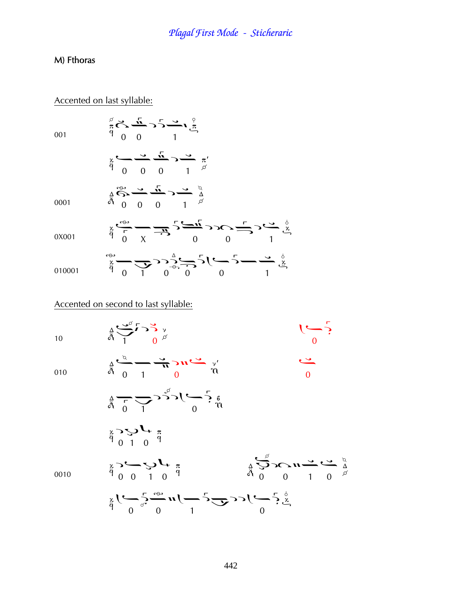### M) Fthoras

#### Accented on last syllable:

001

$$
\frac{3}{\pi} \sum_{\alpha=0}^{\infty} \frac{\sqrt{2}}{\alpha} \sum_{\beta=0}^{\infty} \frac{1}{\alpha} \sum_{\beta=0}^{\infty} \frac{1}{\alpha} \sum_{\beta=0}^{\infty} \frac{1}{\alpha} \sum_{\beta=0}^{\infty} \frac{1}{\alpha} \sum_{\beta=0}^{\infty} \frac{1}{\alpha} \sum_{\beta=0}^{\infty} \frac{1}{\alpha} \sum_{\beta=0}^{\infty} \frac{1}{\alpha} \sum_{\beta=0}^{\infty} \frac{1}{\alpha} \sum_{\beta=0}^{\infty} \frac{1}{\alpha} \sum_{\beta=0}^{\infty} \frac{1}{\alpha} \sum_{\beta=0}^{\infty} \frac{1}{\alpha} \sum_{\beta=0}^{\infty} \frac{1}{\alpha} \sum_{\beta=0}^{\infty} \frac{1}{\alpha} \sum_{\beta=0}^{\infty} \frac{1}{\alpha} \sum_{\beta=0}^{\infty} \frac{1}{\alpha} \sum_{\beta=0}^{\infty} \frac{1}{\alpha} \sum_{\beta=0}^{\infty} \frac{1}{\alpha} \sum_{\beta=0}^{\infty} \frac{1}{\alpha} \sum_{\beta=0}^{\infty} \frac{1}{\alpha} \sum_{\beta=0}^{\infty} \frac{1}{\alpha} \sum_{\beta=0}^{\infty} \frac{1}{\alpha} \sum_{\beta=0}^{\infty} \frac{1}{\alpha} \sum_{\beta=0}^{\infty} \frac{1}{\alpha} \sum_{\beta=0}^{\infty} \frac{1}{\alpha} \sum_{\beta=0}^{\infty} \frac{1}{\alpha} \sum_{\beta=0}^{\infty} \frac{1}{\alpha} \sum_{\beta=0}^{\infty} \frac{1}{\alpha} \sum_{\beta=0}^{\infty} \frac{1}{\alpha} \sum_{\beta=0}^{\infty} \frac{1}{\alpha} \sum_{\beta=0}^{\infty} \frac{1}{\alpha} \sum_{\beta=0}^{\infty} \frac{1}{\alpha} \sum_{\beta=0}^{\infty} \frac{1}{\alpha} \sum_{\beta=0}^{\infty} \frac{1}{\alpha} \sum_{\beta=0}^{\infty} \frac{1}{\alpha} \sum_{\beta=0}^{\infty} \frac
$$

 $\underset{\stackrel{\Delta}{\alpha}}{\overset{\Delta}{\beta}}\underset{0}{\overset{\sim}{\sim}}\underset{0}{\overset{\sim}{\sim}}\frac{\overset{\Gamma}{\Delta}}{\longrightarrow}\underset{1}{\overset{\Delta}{\sim}}\underset{\underset{\beta}{\beta}}{\overset{\Delta}{\sim}}$ 

0001

0X001

|  |  |  |  | $\mathbb{R}$ , $\mathbb{Z}$ , $\mathbb{Z}$ , $\mathbb{Z}$ , $\mathbb{Z}$ , $\mathbb{Z}$ , $\mathbb{Z}$ | $\mathbf{v}$ |
|--|--|--|--|--------------------------------------------------------------------------------------------------------|--------------|
|  |  |  |  |                                                                                                        |              |
|  |  |  |  |                                                                                                        |              |

|        |  |                                     |  | $\sum_{\alpha=1}^{\infty}\frac{1}{\alpha-\beta}=\sum_{\alpha=1}^{\infty}2^{n}\sum_{\alpha=1}^{\infty}2^{n}\sum_{\alpha=1}^{\infty}\frac{1}{\alpha-\beta}$ |
|--------|--|-------------------------------------|--|-----------------------------------------------------------------------------------------------------------------------------------------------------------|
| 010001 |  | $\begin{matrix} 0 & 0 \end{matrix}$ |  |                                                                                                                                                           |

### Accented on second to last syllable:

 $\frac{1}{4} \underbrace{\bigcup_{\alpha} \Gamma}_{1} \bigcup_{\alpha} \bigvee_{\beta}$ 

 $10<sup>10</sup>$ 

010

 $\begin{pmatrix} 0 \\ 0 \end{pmatrix}$ 

 $001$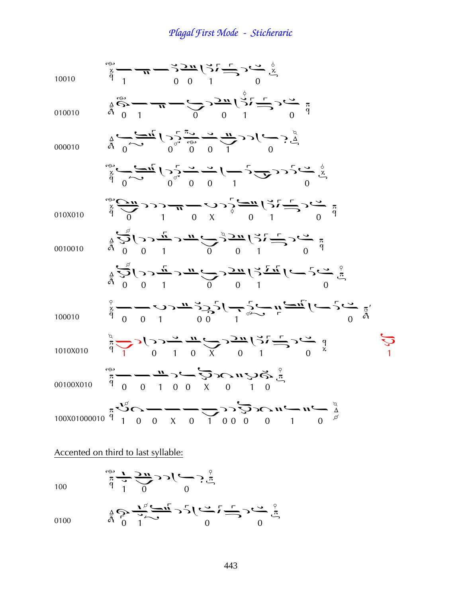<sup>10010</sup> ¢¦¤°¤ 010010 à ¢¤ ¤° ¤ 000010 ¤¦ ¤ ¤¢ ¤ ¤¦ ¤¤¢ ¤ 010X010 ¤ °¤á ¤°¤ 0010010 à ¦¢ ¤¤°¤ à ¦¢¤ ¤° ¤ <sup>100010</sup>¤¤Þ¦¦ ¢ ¤ 1010X010 ¢ ¦¢¤¥ ¤°¤ Þ00100X010 ¤¤¢¦¤áàÞà 100X01000010Þ à¤¥¤¢ ¦¦àà¢¤

Accented on third to last syllable:

$$
\lim_{\substack{\pi \to 0 \\ \text{and } \pi \to 0}} \sum_{\substack{\pi \to 0 \\ \pi \to 0}} \sum_{\substack{\pi \to 0 \\ \pi \to 0}} \sum_{\substack{\pi \to 0 \\ \pi \to 0}} \sum_{\substack{\pi \to 0 \\ \pi \to 0}} \sum_{\substack{\pi \to 0 \\ \pi \to 0}} \sum_{\substack{\pi \to 0 \\ \pi \to 0}} \sum_{\substack{\pi \to 0 \\ \pi \to 0}} \sum_{\substack{\pi \to 0 \\ \pi \to 0}} \sum_{\substack{\pi \to 0 \\ \pi \to 0}} \sum_{\substack{\pi \to 0 \\ \pi \to 0}} \sum_{\substack{\pi \to 0 \\ \pi \to 0}} \sum_{\substack{\pi \to 0 \\ \pi \to 0}} \sum_{\substack{\pi \to 0 \\ \pi \to 0}} \sum_{\substack{\pi \to 0 \\ \pi \to 0}} \sum_{\substack{\pi \to 0 \\ \pi \to 0}} \sum_{\substack{\pi \to 0 \\ \pi \to 0}} \sum_{\substack{\pi \to 0 \\ \pi \to 0}} \sum_{\substack{\pi \to 0 \\ \pi \to 0}} \sum_{\substack{\pi \to 0 \\ \pi \to 0}} \sum_{\substack{\pi \to 0 \\ \pi \to 0}} \sum_{\substack{\pi \to 0 \\ \pi \to 0}} \sum_{\substack{\pi \to 0 \\ \pi \to 0}} \sum_{\substack{\pi \to 0 \\ \pi \to 0}} \sum_{\substack{\pi \to 0 \\ \pi \to 0}} \sum_{\substack{\pi \to 0 \\ \pi \to 0}} \sum_{\substack{\pi \to 0 \\ \pi \to 0}} \sum_{\substack{\pi \to 0 \\ \pi \to 0}} \sum_{\substack{\pi \to 0 \\ \pi \to 0}} \sum_{\substack{\pi \to 0 \\ \pi \to 0}} \sum_{\substack{\pi \to 0 \\ \pi \to 0}} \sum_{\substack{\pi \to 0 \\ \pi \to 0}} \sum_{\substack{\pi \to 0 \\ \pi \to 0}} \sum_{\substack{\pi \to 0 \\ \pi \to 0}} \sum_{\substack{\pi \to 0 \\ \pi \to 0}} \sum_{\substack{\pi \to 0 \\ \pi \to 0}} \sum_{\substack{\pi \to 0 \\ \pi \to 0}} \sum_{\substack{\pi \to 0 \\ \pi
$$

$$
\frac{1}{4} \sum_{\substack{\alpha \\ \beta}} \frac{1}{\beta} \sum_{\substack{\gamma \\ \gamma \\ \gamma}} \frac{1}{\gamma} \sum_{\substack{\alpha \\ \gamma \\ \gamma}} \frac{1}{\gamma} \sum_{\substack{\gamma \\ \gamma \\ \gamma}} \frac{1}{\gamma} \sum_{\substack{\gamma \\ \gamma \\ \gamma \\ \gamma}} \frac{1}{\gamma} \sum_{\substack{\gamma \\ \gamma \\ \gamma \\ \gamma}} \frac{1}{\gamma} \sum_{\substack{\gamma \\ \gamma \\ \gamma \\ \gamma}} \frac{1}{\gamma} \sum_{\substack{\gamma \\ \gamma \\ \gamma \\ \gamma}} \frac{1}{\gamma} \sum_{\substack{\gamma \\ \gamma \\ \gamma \\ \gamma}} \frac{1}{\gamma} \sum_{\substack{\gamma \\ \gamma \\ \gamma \\ \gamma}} \frac{1}{\gamma} \sum_{\substack{\gamma \\ \gamma \\ \gamma \\ \gamma \\ \gamma}} \frac{1}{\gamma} \sum_{\substack{\gamma \\ \gamma \\ \gamma \\ \gamma \\ \gamma}} \frac{1}{\gamma} \sum_{\substack{\gamma \\ \gamma \\ \gamma \\ \gamma \\ \gamma}} \frac{1}{\gamma} \sum_{\substack{\gamma \\ \gamma \\ \gamma \\ \gamma \\ \gamma}} \frac{1}{\gamma} \sum_{\substack{\gamma \\ \gamma \\ \gamma \\ \gamma \\ \gamma}} \frac{1}{\gamma} \sum_{\substack{\gamma \\ \gamma \\ \gamma \\ \gamma \\ \gamma \\ \gamma}} \frac{1}{\gamma} \sum_{\substack{\gamma \\ \gamma \\ \gamma \\ \gamma \\ \gamma}} \frac{1}{\gamma} \sum_{\substack{\gamma \\ \gamma \\ \gamma \\ \gamma \\ \gamma \\ \gamma}} \frac{1}{\gamma} \sum_{\substack{\gamma \\ \gamma \\ \gamma \\ \gamma \\ \gamma \\ \gamma}} \frac{1}{\gamma} \sum_{\substack{\gamma \\ \gamma \\ \gamma \\ \gamma \\ \gamma \\ \gamma}} \frac{1}{\gamma} \sum_{\substack{\gamma \\ \gamma \\ \gamma \\ \gamma \\ \gamma \\ \gamma}} \frac{1}{\gamma} \sum_{\substack{\gamma \\ \gamma \\ \gamma \\ \gamma \\ \gamma \\ \gamma}} \frac{1}{\gamma} \sum_{\substack{\gamma \\ \gamma \\ \gamma \\ \gamma \\ \gamma \\ \gamma}} \frac{1}{\gamma} \sum_{\substack{\gamma \\ \gamma \\ \gamma \\ \gamma \\ \gamma \\ \gamma}} \frac{1}{\gamma} \sum_{\substack{\gamma \\ \gamma \\ \gamma \\ \gamma \\ \gamma \\ \gamma}} \frac{1}{\gamma} \sum_{\substack{\gamma \\ \gamma \\ \gamma \\ \gamma \\ \gamma \\ \gamma}} \frac{1}{\gamma} \sum_{\substack{\gamma \\ \gamma \\ \gamma
$$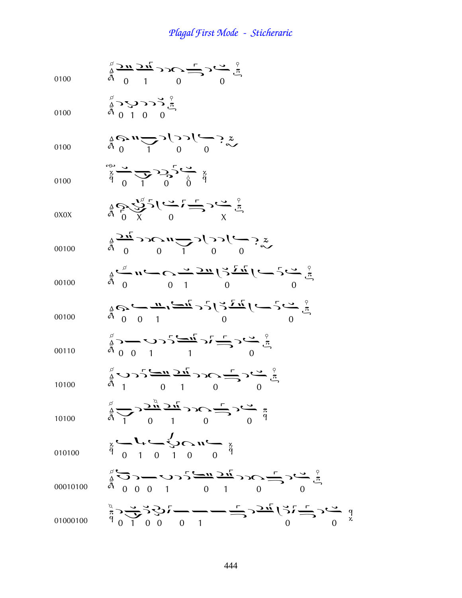| 0100     | $\sum_{\substack{A \\ B \\ D}}^{\alpha} \frac{2 \pi}{2 \pi} \sum_{i=1}^{n} 2 \sum_{i=1}^{n} 2 \sum_{j=1}^{n} 2 \sum_{j=1}^{n} 2 \sum_{j=1}^{n} 2 \sum_{j=1}^{n} 2 \sum_{j=1}^{n} 2 \sum_{j=1}^{n} 2 \sum_{j=1}^{n} 2 \sum_{j=1}^{n} 2 \sum_{j=1}^{n} 2 \sum_{j=1}^{n} 2 \sum_{j=1}^{n} 2 \sum_{j=1}^{n} 2 \sum_{j=1}^{n} 2 \sum_{j=1}^{n} 2$           |
|----------|--------------------------------------------------------------------------------------------------------------------------------------------------------------------------------------------------------------------------------------------------------------------------------------------------------------------------------------------------------|
| 0100     | $\sum_{\alpha=0}^{\infty} \sum_{\beta=0}^{\infty} \sum_{\beta=0}^{\infty} \sum_{\beta=0}^{\infty}$                                                                                                                                                                                                                                                     |
| 0100     | $\frac{4}{9}$ $\frac{1}{2}$ $\frac{1}{2}$ $\frac{0}{2}$ $\frac{0}{2}$ $\frac{0}{2}$                                                                                                                                                                                                                                                                    |
| 0100     | $\sum_{\alpha=0}^{\infty} \frac{1}{\alpha} \sum_{i=0}^{n} \sum_{j=0}^{n} \sum_{j=0}^{n} \sum_{j=0}^{n}$                                                                                                                                                                                                                                                |
| 0X0X     | $\frac{1}{4}$ $\frac{1}{8}$ $\frac{1}{8}$ $\frac{1}{8}$ $\frac{1}{8}$ $\frac{1}{8}$ $\frac{1}{8}$ $\frac{1}{8}$ $\frac{1}{8}$ $\frac{1}{8}$ $\frac{1}{8}$ $\frac{1}{8}$ $\frac{1}{8}$                                                                                                                                                                  |
| 00100    | $\sum_{\substack{a \\ b \\ b}} \sum_{i=1}^{n} \sum_{j=1}^{n} \sum_{j=1}^{n} \sum_{j=1}^{n} \sum_{j=1}^{n} \sum_{j=1}^{n} \sum_{j=1}^{n} \sum_{j=1}^{n} \sum_{j=1}^{n} \sum_{j=1}^{n} \sum_{j=1}^{n} \sum_{j=1}^{n} \sum_{j=1}^{n} \sum_{j=1}^{n} \sum_{j=1}^{n} \sum_{j=1}^{n} \sum_{j=1}^{n} \sum_{j=1}^{n} \sum_{j=1}^{n} \sum_{j=1}^{n} \sum_{j=1}$ |
| 00100    | $\frac{1}{9}\sum_{i=1}^{9} n_i - C \frac{1}{7} \frac{5\pi}{2\pi} \left(\frac{2}{7}\frac{7\pi}{2\pi}\right) \left(-2\frac{6}{7}\frac{7}{4}\right)$                                                                                                                                                                                                      |
| 00100    | $\frac{1}{9}Q_2\leftarrow\frac{n}{9}\left(\frac{1}{9}\right)^2\left(\frac{1}{2}\right)^2\left(\frac{1}{2}\right)^2\left(\frac{1}{2}\right)^2\left(\frac{1}{2}\right)^2$                                                                                                                                                                                |
| 00110    | $\sum_{\substack{A \ 0}}^{\infty}$ $\sum_{\substack{A \ 1}}^{\infty}$ $\sum_{\substack{A \ 2}}^{\infty}$ $\sum_{\substack{A \ 2}}^{\infty}$ $\sum_{\substack{A \ 3}}^{\infty}$ $\sum_{\substack{A \ 2}}^{\infty}$ $\sum_{\substack{A \ 3}}^{\infty}$                                                                                                   |
| 10100    | $\sum_{\substack{a \ b \ b}}^{\infty}$ $\sum_{\substack{c \ b \ c \ b \ b}}^{\infty}$ $\sum_{\substack{c \ b \ c \ b \ c \ b \ c}}^{\infty}$ $\sum_{\substack{c \ b \ c \ b \ c \ b \ c}}^{\infty}$ $\sum_{\substack{c \ b \ c \ b \ c \ b \ c \ b \ c}}^{\infty}$                                                                                     |
| 10100    | $\sum_{\substack{\alpha \\ \alpha \\ \beta}}^{\alpha} \sum_{\substack{\alpha \\ \alpha}} \frac{\gamma \alpha}{2n} \sum_{i=1}^{n} c_i \sum_{j=1}^{n} \sum_{j=1}^{n} c_j \sum_{j=1}^{n} c_j \sum_{j=1}^{n} c_j$                                                                                                                                          |
| 010100   | $\frac{1}{9}$ $\frac{1}{9}$ $\frac{1}{1}$ $\frac{1}{1}$ $\frac{1}{1}$ $\frac{1}{1}$ $\frac{1}{1}$ $\frac{1}{1}$ $\frac{1}{1}$ $\frac{1}{1}$ $\frac{1}{1}$ $\frac{1}{1}$                                                                                                                                                                                |
| 00010100 | $\sum_{\substack{a \ b}}^{\infty}$                                                                                                                                                                                                                                                                                                                     |
| 01000100 | $\sum_{\alpha=0}^{\infty} \sum_{i=0}^{\infty} \sum_{j=0}^{i} (-1)^{i} (j-1)^{i} = \sum_{i=0}^{n} (-1)^{i} (j-1)^{i} (j-1)^{i} = \sum_{i=0}^{n} (-1)^{i} (j-1)^{i} = \sum_{i=0}^{n} (-1)^{i} (j-1)^{i} = \sum_{i=0}^{n} (-1)^{i} (j-1)^{i} = \sum_{i=0}^{n} (-1)^{i} (j-1)^{i} = \sum_{i=0}^{n} (-1)^{i} (j-1)^{i} = \sum_{i=0}^{n} (-1$                |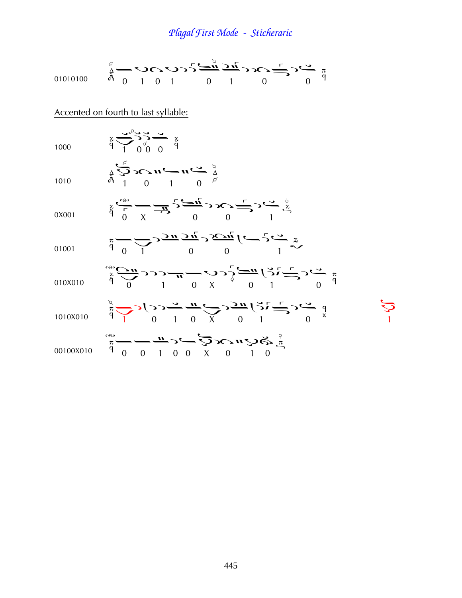| 01010100  | $\sum_{\substack{a \ b \ b}}^{\beta}$                                                                                                                                                                                                                                                                                                                                                                                      |
|-----------|----------------------------------------------------------------------------------------------------------------------------------------------------------------------------------------------------------------------------------------------------------------------------------------------------------------------------------------------------------------------------------------------------------------------------|
|           | Accented on fourth to last syllable:                                                                                                                                                                                                                                                                                                                                                                                       |
| 1000      | $\frac{x}{9}$ $\frac{3}{9}$ $\frac{3}{9}$ $\frac{3}{9}$ $\frac{3}{9}$ $\frac{3}{9}$                                                                                                                                                                                                                                                                                                                                        |
| 1010      | $\sum_{\substack{\Delta \atop \Delta \\ \Delta \\ \Delta}}^{\alpha}$                                                                                                                                                                                                                                                                                                                                                       |
| 0X001     | $\sum_{\substack{x\\y\\zeta\to z}}\frac{1}{\sqrt{2\pi}}\sum_{\substack{y\\y}}\frac{1}{\sqrt{2\pi}}\sum_{\substack{y\\y\\y}}\frac{1}{\sqrt{2\pi}}\sum_{\substack{y\\y\\y}}\frac{1}{\sqrt{2\pi}}\sum_{\substack{y\\y\\y}}\frac{1}{\sqrt{2\pi}}\sum_{\substack{y\\y\\y}}\frac{1}{\sqrt{2\pi}}\sum_{\substack{y\\y\\y}}\frac{1}{\sqrt{2\pi}}\sum_{\substack{y\\y\\y}}\frac{1}{\sqrt{2\pi}}\sum_{\substack{y\\y\\y}}\frac{1}{\$ |
| 01001     | $\frac{1}{4}$ = $\frac{1}{2}$ > $\frac{1}{2}$ $\frac{1}{2}$ $\frac{1}{2}$ $\frac{1}{2}$ $\frac{1}{2}$ $\frac{1}{2}$ $\frac{1}{2}$ $\frac{1}{2}$ $\frac{1}{2}$ $\frac{1}{2}$ $\frac{1}{2}$ $\frac{1}{2}$                                                                                                                                                                                                                    |
| 010X010   | $\sum_{\substack{x \\ \text{ odd}}}^{\infty}$                                                                                                                                                                                                                                                                                                                                                                              |
| 1010X010  | $\frac{1}{4} \sum_{k=0}^{n} c_k \sum_{i=0}^{n} \sum_{j=0}^{n} \sum_{j=0}^{n} \sum_{k=0}^{n} \sum_{j=0}^{n} \sum_{j=0}^{n} \sum_{j=0}^{n} \sum_{j=0}^{n} \sum_{j=0}^{n} \sum_{j=0}^{n} \sum_{j=0}^{n} \sum_{j=0}^{n} \sum_{j=0}^{n} \sum_{j=0}^{n} \sum_{j=0}^{n} \sum_{j=0}^{n} \sum_{j=0}^{n} \sum_{j=0}^{n} \sum_{j=0}^{n} \sum_{j=0}^{n} \$                                                                             |
| 00100X010 | $\sum_{n=0}^{\infty}$ $\sum_{n=0}^{\infty}$ $\sum_{n=0}^{\infty}$ $\sum_{n=0}^{\infty}$ $\sum_{n=0}^{\infty}$ $\sum_{n=0}^{\infty}$                                                                                                                                                                                                                                                                                        |

 $J$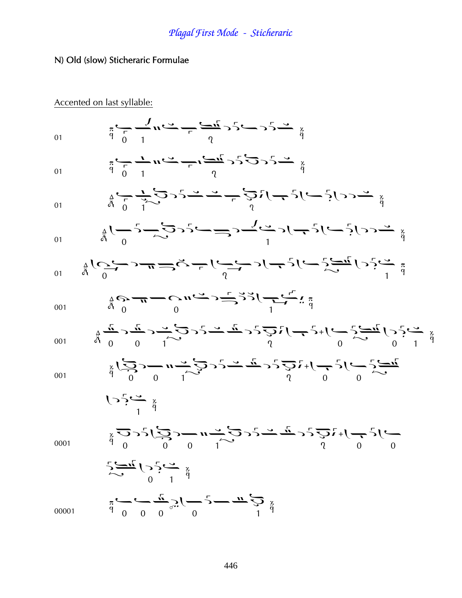### N) Old (slow) Sticheraric Formulae

Accented on last syllable:

$$
\frac{1}{2} \sum_{i=1}^{n} \sum_{j=1}^{n} \frac{1}{4} \sum_{j=1}^{n} \sum_{j=1}^{n} \frac{1}{4} \sum_{j=1}^{n} \sum_{j=1}^{n} \frac{1}{4} \sum_{j=1}^{n} \sum_{j=1}^{n} \frac{1}{4} \sum_{j=1}^{n} \sum_{j=1}^{n} \sum_{j=1}^{n} \frac{1}{4} \sum_{j=1}^{n} \sum_{j=1}^{n} \sum_{j=1}^{n} \sum_{j=1}^{n} \sum_{j=1}^{n} \sum_{j=1}^{n} \sum_{j=1}^{n} \sum_{j=1}^{n} \sum_{j=1}^{n} \sum_{j=1}^{n} \sum_{j=1}^{n} \sum_{j=1}^{n} \sum_{j=1}^{n} \sum_{j=1}^{n} \sum_{j=1}^{n} \sum_{j=1}^{n} \sum_{j=1}^{n} \sum_{j=1}^{n} \sum_{j=1}^{n} \sum_{j=1}^{n} \sum_{j=1}^{n} \sum_{j=1}^{n} \sum_{j=1}^{n} \sum_{j=1}^{n} \sum_{j=1}^{n} \sum_{j=1}^{n} \sum_{j=1}^{n} \sum_{j=1}^{n} \sum_{j=1}^{n} \sum_{j=1}^{n} \sum_{j=1}^{n} \sum_{j=1}^{n} \sum_{j=1}^{n} \sum_{j=1}^{n} \sum_{j=1}^{n} \sum_{j=1}^{n} \sum_{j=1}^{n} \sum_{j=1}^{n} \sum_{j=1}^{n} \sum_{j=1}^{n} \sum_{j=1}^{n} \sum_{j=1}^{n} \sum_{j=1}^{n} \sum_{j=1}^{n} \sum_{j=1}^{n} \sum_{j=1}^{n} \sum_{j=1}^{n} \sum_{j=1}^{n} \sum_{j=1}^{n} \sum_{j=1}^{n} \sum_{j=1}^{n} \sum_{j=1}^{n} \sum_{j=1}^{n} \sum_{j=1}^{n} \sum_{j=1}^{n} \sum_{j=1}^{n} \sum_{j=1}^{n} \sum_{j=1}^{n} \sum_{j=1}^{n} \sum_{j=1}^{n} \sum_{j=1}^{
$$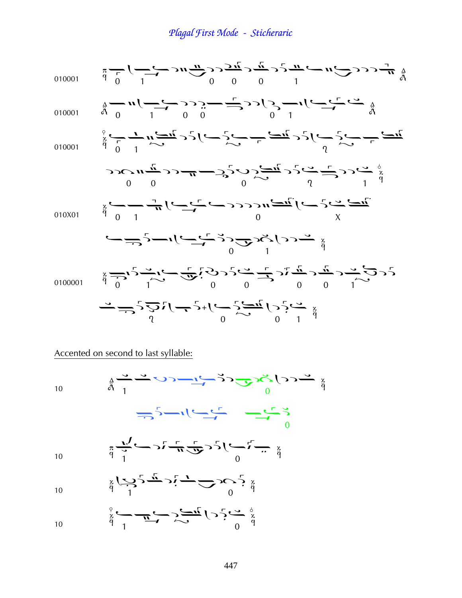$$
\frac{1}{4} \frac{1}{6} \int_{0}^{1} \frac{1}{1} \int_{0}^{1} \frac{1}{1} \int_{0}^{1} \frac{1}{1} \int_{0}^{1} \frac{1}{1} \int_{0}^{1} \frac{1}{1} \int_{0}^{1} \frac{1}{1} \int_{0}^{1} \frac{1}{1} \int_{0}^{1} \frac{1}{1} \int_{0}^{1} \frac{1}{1} \int_{0}^{1} \frac{1}{1} \int_{0}^{1} \frac{1}{1} \int_{0}^{1} \frac{1}{1} \int_{0}^{1} \frac{1}{1} \int_{0}^{1} \frac{1}{1} \int_{0}^{1} \frac{1}{1} \int_{0}^{1} \frac{1}{1} \int_{0}^{1} \frac{1}{1} \int_{0}^{1} \frac{1}{1} \int_{0}^{1} \frac{1}{1} \int_{0}^{1} \frac{1}{1} \int_{0}^{1} \frac{1}{1} \int_{0}^{1} \frac{1}{1} \int_{0}^{1} \frac{1}{1} \int_{0}^{1} \frac{1}{1} \int_{0}^{1} \frac{1}{1} \int_{0}^{1} \frac{1}{1} \int_{0}^{1} \frac{1}{1} \int_{0}^{1} \frac{1}{1} \int_{0}^{1} \frac{1}{1} \int_{0}^{1} \frac{1}{1} \int_{0}^{1} \frac{1}{1} \int_{0}^{1} \frac{1}{1} \int_{0}^{1} \frac{1}{1} \int_{0}^{1} \frac{1}{1} \int_{0}^{1} \frac{1}{1} \int_{0}^{1} \frac{1}{1} \int_{0}^{1} \frac{1}{1} \int_{0}^{1} \frac{1}{1} \int_{0}^{1} \frac{1}{1} \int_{0}^{1} \frac{1}{1} \int_{0}^{1} \frac{1}{1} \int_{0}^{1} \frac{1}{1} \int_{0}^{1} \frac{1}{1} \int_{0}^{1} \frac{1}{1} \int_{0}^{1} \frac{1}{1} \int_{0}^{1} \frac{1}{1} \int_{0}^{1} \frac{1}{1} \int_{0}^{1} \frac{1}{1} \int_{0}^{1} \frac{1}{1} \int_{0}^{1} \frac{
$$

#### Accented on second to last syllable:

10  $\sum_{\substack{a \text{ odd} \\ \vdots \\ a \text{ odd}}} \sum_{i=1}^{n} \sum_{j=1}^{n} \sum_{j=1}^{n} \sum_{j=1}^{n} \sum_{j=1}^{n} \sum_{j=1}^{n} \sum_{j=1}^{n} \sum_{j=1}^{n} \sum_{j=1}^{n} \sum_{j=1}^{n} \sum_{j=1}^{n} \sum_{j=1}^{n} \sum_{j=1}^{n} \sum_{j=1}^{n} \sum_{j=1}^{n} \sum_{j=1}^{n} \sum_{j=1}^{n} \sum_{j=1}^{n} \sum_{j=1}^{n} \sum_{j=1$  $\frac{1}{\sqrt{2}}\sqrt{1-\frac{1}{\sqrt{2}}}$ 10  $\frac{\pi}{q}$   $\frac{\pi}{1}$   $\frac{\pi}{q}$   $\frac{\pi}{q}$   $\frac{\pi}{q}$   $\frac{\pi}{q}$   $\frac{\pi}{q}$ 10  $\frac{1}{9}$   $\frac{1}{1}$   $\frac{1}{9}$   $\frac{1}{9}$   $\frac{1}{9}$   $\frac{1}{9}$ 10  $\frac{1}{9}$   $\frac{1}{1}$   $\frac{1}{1}$   $\frac{1}{1}$   $\frac{1}{1}$   $\frac{1}{1}$   $\frac{1}{1}$   $\frac{1}{1}$   $\frac{1}{1}$   $\frac{1}{1}$   $\frac{1}{1}$   $\frac{1}{1}$   $\frac{1}{1}$   $\frac{1}{1}$   $\frac{1}{1}$   $\frac{1}{1}$   $\frac{1}{1}$   $\frac{1}{1}$   $\frac{1}{1}$   $\frac{1}{1}$   $\frac{1}{1}$   $\frac{1}{1}$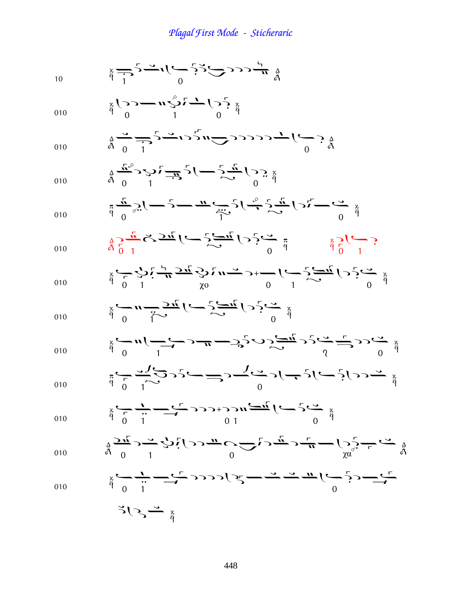$$
\frac{3}{4} - \frac{1}{2} - \frac{1}{2} - \frac{1}{2} - \frac{1}{2} - \frac{1}{2} - \frac{1}{2} - \frac{1}{2} - \frac{1}{2} - \frac{1}{2} - \frac{1}{2} - \frac{1}{2} - \frac{1}{2} - \frac{1}{2} - \frac{1}{2} - \frac{1}{2} - \frac{1}{2} - \frac{1}{2} - \frac{1}{2} - \frac{1}{2} - \frac{1}{2} - \frac{1}{2} - \frac{1}{2} - \frac{1}{2} - \frac{1}{2} - \frac{1}{2} - \frac{1}{2} - \frac{1}{2} - \frac{1}{2} - \frac{1}{2} - \frac{1}{2} - \frac{1}{2} - \frac{1}{2} - \frac{1}{2} - \frac{1}{2} - \frac{1}{2} - \frac{1}{2} - \frac{1}{2} - \frac{1}{2} - \frac{1}{2} - \frac{1}{2} - \frac{1}{2} - \frac{1}{2} - \frac{1}{2} - \frac{1}{2} - \frac{1}{2} - \frac{1}{2} - \frac{1}{2} - \frac{1}{2} - \frac{1}{2} - \frac{1}{2} - \frac{1}{2} - \frac{1}{2} - \frac{1}{2} - \frac{1}{2} - \frac{1}{2} - \frac{1}{2} - \frac{1}{2} - \frac{1}{2} - \frac{1}{2} - \frac{1}{2} - \frac{1}{2} - \frac{1}{2} - \frac{1}{2} - \frac{1}{2} - \frac{1}{2} - \frac{1}{2} - \frac{1}{2} - \frac{1}{2} - \frac{1}{2} - \frac{1}{2} - \frac{1}{2} - \frac{1}{2} - \frac{1}{2} - \frac{1}{2} - \frac{1}{2} - \frac{1}{2} - \frac{1}{2} - \frac{1}{2} - \frac{1}{2} - \frac{1}{2} - \frac{1}{2} - \frac{1}{2} - \frac{1}{2} - \frac{1}{2} - \frac{1}{2} - \frac{1}{2} - \frac{1}{2} - \frac{1}{2} - \frac{1}{2} - \frac{1}{2} - \frac{1}{2} - \frac{1}{2} - \frac{1}{2} - \frac{1}{2} -
$$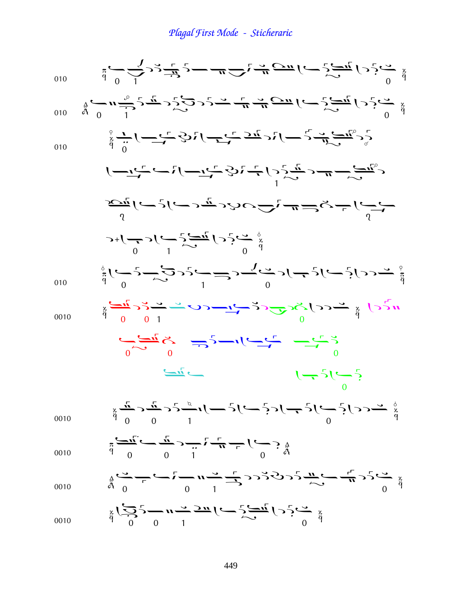$$
\frac{4}{3} \int_{0}^{2} \frac{1}{2} \int_{0}^{2} \frac{1}{2} \int_{0}^{2} \frac{1}{2} \int_{0}^{2} \frac{1}{2} \int_{0}^{2} \frac{1}{2} \int_{0}^{2} \frac{1}{2} \int_{0}^{2} \frac{1}{2} \int_{0}^{2} \frac{1}{2} \int_{0}^{2} \frac{1}{2} \int_{0}^{2} \frac{1}{2} \int_{0}^{2} \frac{1}{2} \int_{0}^{2} \frac{1}{2} \int_{0}^{2} \frac{1}{2} \int_{0}^{2} \frac{1}{2} \int_{0}^{2} \frac{1}{2} \int_{0}^{2} \frac{1}{2} \int_{0}^{2} \frac{1}{2} \int_{0}^{2} \frac{1}{2} \int_{0}^{2} \frac{1}{2} \int_{0}^{2} \frac{1}{2} \int_{0}^{2} \frac{1}{2} \int_{0}^{2} \frac{1}{2} \int_{0}^{2} \frac{1}{2} \int_{0}^{2} \frac{1}{2} \int_{0}^{2} \frac{1}{2} \int_{0}^{2} \frac{1}{2} \int_{0}^{2} \frac{1}{2} \int_{0}^{2} \frac{1}{2} \int_{0}^{2} \frac{1}{2} \int_{0}^{2} \frac{1}{2} \int_{0}^{2} \frac{1}{2} \int_{0}^{2} \frac{1}{2} \int_{0}^{2} \frac{1}{2} \int_{0}^{2} \frac{1}{2} \int_{0}^{2} \frac{1}{2} \int_{0}^{2} \frac{1}{2} \int_{0}^{2} \frac{1}{2} \int_{0}^{2} \frac{1}{2} \int_{0}^{2} \frac{1}{2} \int_{0}^{2} \frac{1}{2} \int_{0}^{2} \frac{1}{2} \int_{0}^{2} \frac{1}{2} \int_{0}^{2} \frac{1}{2} \int_{0}^{2} \frac{1}{2} \int_{0}^{2} \frac{1}{2} \int_{0}^{2} \frac{1}{2} \int_{0}^{2} \frac{1}{2} \int_{0}^{2} \frac{1}{2} \int_{0}^{2} \frac{1}{2} \int_{0}^{2} \frac{1}{2} \int_{
$$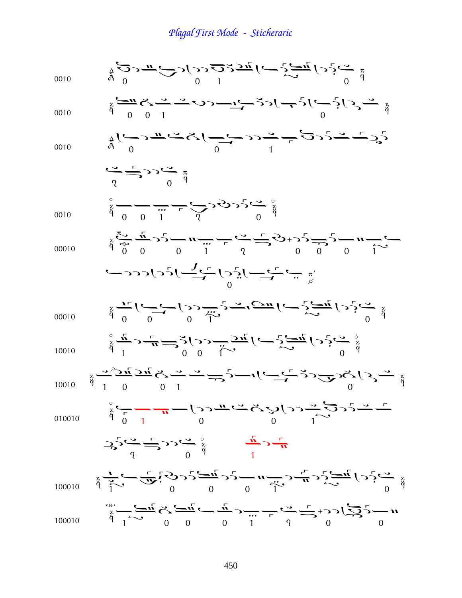Plagal First Mode - Sticheraric

| 0010   | $\frac{9}{4} \underline{O} \cdot \frac{0}{\sqrt{1-\frac{1}{2}}} \left( \frac{1}{\sqrt{1-\frac{1}{2}}} \right) \frac{1}{\sqrt{1-\frac{1}{2}}} \left( \frac{1}{\sqrt{1-\frac{1}{2}}} \right) \frac{1}{\sqrt{1-\frac{1}{2}}} \left( \frac{1}{\sqrt{1-\frac{1}{2}}} \right)$                                                                                                                                                                                                                                             |
|--------|----------------------------------------------------------------------------------------------------------------------------------------------------------------------------------------------------------------------------------------------------------------------------------------------------------------------------------------------------------------------------------------------------------------------------------------------------------------------------------------------------------------------|
| 0010   | $\frac{1}{4} \sum_{i=1}^{4} \sum_{i=1}^{4} \sum_{i=1}^{4} (-1)^{i} (-1)^{i} (-1)^{i} (-1)^{i} (-1)^{i} (-1)^{i} (-1)^{i} (-1)^{i} (-1)^{i} (-1)^{i} (-1)^{i} (-1)^{i} (-1)^{i} (-1)^{i} (-1)^{i} (-1)^{i} (-1)^{i} (-1)^{i} (-1)^{i} (-1)^{i} (-1)^{i} (-1)^{i} (-1)^{i} (-1)^{i} (-1)^{i} (-1)^{i} (-1)^{i} (-1)^{i} (-1)^{i} (-1)^{i} (-1)^$                                                                                                                                                                       |
| 0010   | $\frac{1}{4}(\overbrace{\phantom{a}}^{0} \rightarrow \overbrace{\phantom{a}}^{0} \rightarrow \overbrace{\phantom{a}}^{0} \rightarrow \overbrace{\phantom{a}}^{0} \rightarrow \overbrace{\phantom{a}}^{0} \rightarrow \overbrace{\phantom{a}}^{0} \rightarrow \overbrace{\phantom{a}}^{0} \rightarrow \overbrace{\phantom{a}}^{0} \rightarrow \overbrace{\phantom{a}}^{0} \rightarrow \overbrace{\phantom{a}}^{0}$                                                                                                    |
|        | $\frac{1}{\sqrt{1-\frac{1}{\sqrt{1}}}}$                                                                                                                                                                                                                                                                                                                                                                                                                                                                              |
| 0010   | $\sum_{\substack{a \\ b \\ c}}^{\infty}$                                                                                                                                                                                                                                                                                                                                                                                                                                                                             |
| 00010  | $\sum_{\alpha=0}^{\infty} \frac{1}{\alpha} \sum_{i=0}^{\infty} \frac{1}{i!} \sum_{j=0}^{\infty} \frac{1}{j!} \sum_{j=0}^{\infty} \frac{1}{j!} \sum_{j=0}^{\infty} \frac{1}{j!} \sum_{j=0}^{\infty} \frac{1}{j!} \sum_{j=0}^{\infty} \frac{1}{j!} \sum_{j=0}^{\infty} \frac{1}{j!} \sum_{j=0}^{\infty} \frac{1}{j!} \sum_{j=0}^{\infty} \frac{1}{j!} \sum_{j=0}^{\infty} \frac{1}{j!$                                                                                                                                 |
|        | $\sum_{\substack{\mu \\ \nu}} \frac{1}{\mu} \sum_{\substack{\mu \\ \nu}} \frac{1}{\mu} \int_{\mathcal{C}} \frac{1}{\mu} \int_{\mathcal{C}} \frac{1}{\mu} \int_{\mathcal{C}} \frac{1}{\mu} \int_{\mathcal{C}} \frac{1}{\mu} \int_{\mathcal{C}} \frac{1}{\mu} \int_{\mathcal{C}} \frac{1}{\mu} \int_{\mathcal{C}} \frac{1}{\mu} \int_{\mathcal{C}} \frac{1}{\mu} \int_{\mathcal{C}} \frac{1}{\mu} \int_{\mathcal{C}} \frac{1}{\mu} \int_{\mathcal{C}} \$                                                               |
| 00010  |                                                                                                                                                                                                                                                                                                                                                                                                                                                                                                                      |
| 10010  | $\sum_{\substack{x \\ y \\ z}}^{\alpha} \frac{1}{n} \rightarrow \frac{1}{n} \Longrightarrow_{n=0}^{0} \sum_{y}^{\alpha} (\sum_{y} \frac{1}{2\pi} \int_{y}^{\alpha} (-\sum_{z} \frac{1}{2\pi i}) (y - \sum_{z} \frac{1}{2\pi i}) y^2 y^2 \Big _{y}^{\alpha}$                                                                                                                                                                                                                                                          |
| 10010  | $\sum_{\substack{x \\ \text{if} \quad y \\ \text{if} \quad y \text{if} \quad y \text{if} \quad y \text{if} \quad y \text{if} \quad y \text{if} \quad y \text{if} \quad y \text{if} \quad y \text{if} \quad y \text{if} \quad y \text{if} \quad y \text{if} \quad y \text{if} \quad y \text{if} \quad y \text{if} \quad y \text{if} \quad y \text{if} \quad y \text{if} \quad y \text{if} \quad y \text{if} \quad y \text{if} \quad y \text{if} \quad y \text{if} \quad y \text{if} \quad y \text{if} \quad y \text{$ |
| 010010 | $\frac{1}{2}$ $\frac{1}{2}$ $\frac{1}{2}$ $\frac{1}{2}$ $\frac{1}{2}$ $\frac{1}{2}$ $\frac{1}{2}$ $\frac{1}{2}$ $\frac{1}{2}$ $\frac{1}{2}$ $\frac{1}{2}$ $\frac{1}{2}$ $\frac{1}{2}$ $\frac{1}{2}$ $\frac{1}{2}$ $\frac{1}{2}$ $\frac{1}{2}$ $\frac{1}{2}$ $\frac{1}{2}$ $\frac{1}{2}$ $\frac{1}{2}$ $\frac{1}{2}$                                                                                                                                                                                                  |
|        | $\sum_{i=1}^{3} \sum_{i=1}^{3} 22 \sum_{i=1}^{3} x_{i}^{2}$                                                                                                                                                                                                                                                                                                                                                                                                                                                          |
| 100010 | $\frac{1}{2} \sum_{i=1}^{n} \sum_{i=1}^{n} \sum_{j=1}^{n} \sum_{j=1}^{n} \sum_{j=1}^{n} \sum_{j=1}^{n} \sum_{j=1}^{n} \sum_{j=1}^{n} \sum_{j=1}^{n} \sum_{j=1}^{n} \sum_{j=1}^{n} \sum_{j=1}^{n} \sum_{j=1}^{n} \sum_{j=1}^{n} \sum_{j=1}^{n} \sum_{j=1}^{n} \sum_{j=1}^{n} \sum_{j=1}^{n} \sum_{j=1}^{n} \sum_{j=1}^{n} \sum_{j=1}^{n} \sum_{$                                                                                                                                                                      |
| 100010 | $\sum_{\substack{x \\ y \\ z}}^{\infty} - \sum_{i=1}^{\infty} \sum_{i=1}^{\infty} \sum_{j=1}^{\infty} (-\frac{1}{n}y - \frac{1}{n}y - \frac{1}{n}y - \frac{1}{n}y - \frac{1}{n}y - \frac{1}{n}y - \frac{1}{n}y - \frac{1}{n}y - \frac{1}{n}y - \frac{1}{n}y - \frac{1}{n}y - \frac{1}{n}y - \frac{1}{n}y - \frac{1}{n}y - \frac{1}{n}y - \frac{1}{n}y - \frac{1}{n}y - \frac{1}{n}y - \frac{$                                                                                                                        |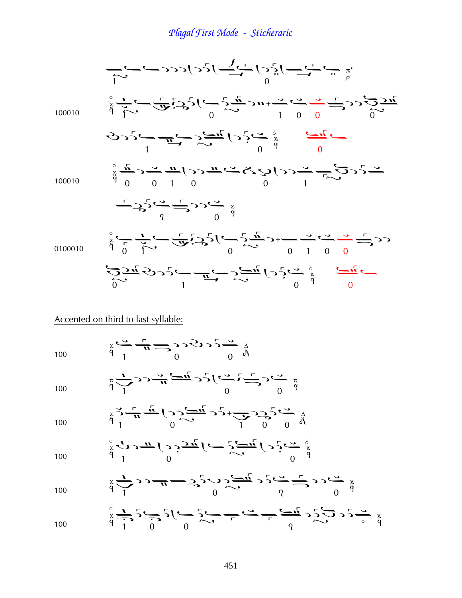$$
\frac{100010}{100010} \int_{\frac{5}{3}}^{0} \frac{1}{\sqrt{2}} \int_{\frac{5}{3}}^{0} \frac{1}{\sqrt{2}} \int_{\frac{5}{3}}^{0} \frac{1}{\sqrt{2}} \int_{\frac{5}{3}}^{0} \frac{1}{\sqrt{2}} \int_{\frac{5}{3}}^{0} \frac{1}{\sqrt{2}} \int_{\frac{5}{3}}^{0} \frac{1}{\sqrt{2}} \int_{\frac{5}{3}}^{0} \frac{1}{\sqrt{2}} \int_{\frac{5}{3}}^{0} \frac{1}{\sqrt{2}} \int_{\frac{5}{3}}^{0} \frac{1}{\sqrt{2}} \int_{\frac{5}{3}}^{0} \frac{1}{\sqrt{2}} \int_{\frac{5}{3}}^{0} \frac{1}{\sqrt{2}} \int_{\frac{5}{3}}^{0} \frac{1}{\sqrt{2}} \int_{\frac{5}{3}}^{0} \frac{1}{\sqrt{2}} \int_{\frac{5}{3}}^{0} \frac{1}{\sqrt{2}} \int_{\frac{5}{3}}^{0} \frac{1}{\sqrt{2}} \int_{\frac{5}{3}}^{0} \frac{1}{\sqrt{2}} \int_{\frac{5}{3}}^{0} \frac{1}{\sqrt{2}} \int_{\frac{5}{3}}^{0} \frac{1}{\sqrt{2}} \int_{\frac{5}{3}}^{0} \frac{1}{\sqrt{2}} \int_{\frac{5}{3}}^{0} \frac{1}{\sqrt{2}} \int_{\frac{5}{3}}^{0} \frac{1}{\sqrt{2}} \int_{\frac{5}{3}}^{0} \frac{1}{\sqrt{2}} \int_{\frac{5}{3}}^{0} \frac{1}{\sqrt{2}} \int_{\frac{5}{3}}^{0} \frac{1}{\sqrt{2}} \int_{\frac{5}{3}}^{0} \frac{1}{\sqrt{2}} \int_{\frac{5}{3}}^{0} \frac{1}{\sqrt{2}} \int_{\frac{5}{3}}^{0} \frac{1}{\sqrt{2}} \int_{\frac{5}{3}}^{0} \frac{1}{\sqrt{2}} \int_{\frac{5}{3}}^{0} \frac{1}{\sqrt{2}} \int_{\frac{5}{3}}^{0} \frac{1}{\sqrt{2}} \int_{\frac{5}{3}}^{0} \frac{1}{\sqrt{2}} \int_{\frac{5}{3}}^{0} \frac{1}{\sqrt{2}} \int_{\frac{5
$$

### Accented on third to last syllable:

100  $\frac{3}{9}$   $\frac{1}{1}$   $\frac{1}{1}$   $\frac{1}{1}$   $\frac{1}{9}$   $\frac{1}{9}$   $\frac{1}{9}$   $\frac{1}{9}$ 

<sup>100</sup> ¢

$$
\frac{\pi}{p} \sum_{i=1}^{n} \sum_{j=1}^{n} \sum_{j=1}^{n} \sum_{j=1}^{n} \sum_{j=1}^{n} \sum_{j=1}^{n} \sum_{j=1}^{n} \sum_{j=1}^{n} \sum_{j=1}^{n} \sum_{j=1}^{n} \sum_{j=1}^{n} \sum_{j=1}^{n} \sum_{j=1}^{n} \sum_{j=1}^{n} \sum_{j=1}^{n} \sum_{j=1}^{n} \sum_{j=1}^{n} \sum_{j=1}^{n} \sum_{j=1}^{n} \sum_{j=1}^{n} \sum_{j=1}^{n} \sum_{j=1}^{n} \sum_{j=1}^{n} \sum_{j=1}^{n} \sum_{j=1}^{n} \sum_{j=1}^{n} \sum_{j=1}^{n} \sum_{j=1}^{n} \sum_{j=1}^{n} \sum_{j=1}^{n} \sum_{j=1}^{n} \sum_{j=1}^{n} \sum_{j=1}^{n} \sum_{j=1}^{n} \sum_{j=1}^{n} \sum_{j=1}^{n} \sum_{j=1}^{n} \sum_{j=1}^{n} \sum_{j=1}^{n} \sum_{j=1}^{n} \sum_{j=1}^{n} \sum_{j=1}^{n} \sum_{j=1}^{n} \sum_{j=1}^{n} \sum_{j=1}^{n} \sum_{j=1}^{n} \sum_{j=1}^{n} \sum_{j=1}^{n} \sum_{j=1}^{n} \sum_{j=1}^{n} \sum_{j=1}^{n} \sum_{j=1}^{n} \sum_{j=1}^{n} \sum_{j=1}^{n} \sum_{j=1}^{n} \sum_{j=1}^{n} \sum_{j=1}^{n} \sum_{j=1}^{n} \sum_{j=1}^{n} \sum_{j=1}^{n} \sum_{j=1}^{n} \sum_{j=1}^{n} \sum_{j=1}^{n} \sum_{j=1}^{n} \sum_{j=1}^{n} \sum_{j=1}^{n} \sum_{j=1}^{n} \sum_{j=1}^{n} \sum_{j=1}^{n} \sum_{j=1}^{n} \sum_{j=1}^{n} \sum_{j=1}^{n} \sum_{j=1}^{n} \sum_{j=1}^{n} \sum_{j=1}^{n} \sum_{
$$

100 
$$
\frac{1}{4} \sum_{1}^{3} \frac{1}{4} \sum_{1}^{5} (\sum_{0}^{3} \sum_{0}^{5} - \frac{1}{2} \sum_{1}^{5} \sum_{0}^{7} - \frac{1}{2} \sum_{1}^{5} \sum_{0}^{5} - \frac{1}{4} \sum_{1}^{5} \sum_{1}^{6} - \frac{1}{4} \sum_{1}^{6} \sum_{1}^{7} - \frac{1}{4} \sum_{1}^{7} \sum_{1}^{7} \sum_{1}^{8} - \frac{1}{4} \sum_{1}^{7} \sum_{1}^{8} - \frac{1}{4} \sum_{1}^{7} \sum_{1}^{9} - \frac{1}{4} \sum_{1}^{7} \sum_{1}^{9} - \frac{1}{4} \sum_{1}^{7} \sum_{1}^{9} - \frac{1}{4} \sum_{1}^{7} \sum_{1}^{9} - \frac{1}{4} \sum_{1}^{7} \sum_{1}^{9} - \frac{1}{4} \sum_{1}^{7} \sum_{1}^{9} - \frac{1}{4} \sum_{1}^{7} \sum_{1}^{9} - \frac{1}{4} \sum_{1}^{7} \sum_{1}^{9} - \frac{1}{4} \sum_{1}^{7} \sum_{1}^{9} - \frac{1}{4} \sum_{1}^{7} \sum_{1}^{9} - \frac{1}{4} \sum_{1}^{7} \sum_{1}^{9} - \frac{1}{4} \sum_{1}^{7} \sum_{1}^{9} - \frac{1}{4} \sum_{1}^{7} \sum_{1}^{9} - \frac{1}{4} \sum_{1}^{7} \sum_{1}^{9} - \frac{1}{4} \sum_{1}^{7} \sum_{1}^{9} - \frac{1}{4} \sum_{1}^{7} \sum_{1}^{9} - \frac{1}{4} \sum_{1}^{7} \sum_{1}^{9} - \frac{1}{4} \sum_{1}^{7} \sum_{1}^{9} - \frac{1}{4} \sum_{1}^{7} \sum_{1}^{9} - \frac{1}{4} \sum_{1}^{7} \sum_{1}^{9} - \frac{1}{4} \sum_{1}^{7} \sum_{1}^{9} - \frac{1}{4} \sum_{1}^{7} \sum_{1}^{9} - \frac{1}{4} \sum_{1}^{7} \sum_{1}^{9} - \frac{1}{4} \sum
$$

100 
$$
\int_{\frac{x}{4}}^{\frac{9}{5}} \sqrt{3-\pi} \left(2\right) \frac{\pi}{2\pi} \left(2\right) \frac{\pi}{2\pi} \left(2\right) \frac{\pi}{2}
$$

$$
\sum_{100}^{\frac{x}{2}} \sum_{j=1}^{n} \sum_{j=1}^{n} \sum_{j=1}^{n} \sum_{j=1}^{n} \sum_{j=1}^{n} \sum_{j=1}^{n} \sum_{j=1}^{n} \sum_{j=1}^{n} \sum_{j=1}^{n} \sum_{j=1}^{n} \sum_{j=1}^{n} \sum_{j=1}^{n} \sum_{j=1}^{n} \sum_{j=1}^{n} \sum_{j=1}^{n} \sum_{j=1}^{n} \sum_{j=1}^{n} \sum_{j=1}^{n} \sum_{j=1}^{n} \sum_{j=1}^{n} \sum_{j=1}^{n} \sum_{j=1}^{n} \sum_{j=1}^{n} \sum_{j=1}^{n} \sum_{j=1}^{n} \sum_{j=1}^{n} \sum_{j=1}^{n} \sum_{j=1}^{n} \sum_{j=1}^{n} \sum_{j=1}^{n} \sum_{j=1}^{n} \sum_{j=1}^{n} \sum_{j=1}^{n} \sum_{j=1}^{n} \sum_{j=1}^{n} \sum_{j=1}^{n} \sum_{j=1}^{n} \sum_{j=1}^{n} \sum_{j=1}^{n} \sum_{j=1}^{n} \sum_{j=1}^{n} \sum_{j=1}^{n} \sum_{j=1}^{n} \sum_{j=1}^{n} \sum_{j=1}^{n} \sum_{j=1}^{n} \sum_{j=1}^{n} \sum_{j=1}^{n} \sum_{j=1}^{n} \sum_{j=1}^{n} \sum_{j=1}^{n} \sum_{j=1}^{n} \sum_{j=1}^{n} \sum_{j=1}^{n} \sum_{j=1}^{n} \sum_{j=1}^{n} \sum_{j=1}^{n} \sum_{j=1}^{n} \sum_{j=1}^{n} \sum_{j=1}^{n} \sum_{j=1}^{n} \sum_{j=1}^{n} \sum_{j=1}^{n} \sum_{j=1}^{n} \sum_{j=1}^{n} \sum_{j=1}^{n} \sum_{j=1}^{n} \sum_{j=1}^{n} \sum_{j=1}^{n} \sum_{j=1}^{n} \sum_{j=1}^{n} \sum_{j=1}^{n} \sum_{j=1}^{n} \sum_{j=1}^{n} \sum_{j=1
$$

$$
\sum_{\substack{x\\y\\y}} \frac{1}{x} \sum_{i=1}^{6} \sum_{j=1}^{6} \sum_{j=1}^{6} \sum_{j=1}^{6} (-1)^{2} \sum_{j=1}^{6} (-1)^{2} \sum_{j=1}^{6} (-1)^{2} \sum_{j=1}^{6} (-1)^{2} \sum_{j=1}^{6} (-1)^{2} \sum_{j=1}^{6} (-1)^{2} \sum_{j=1}^{6} (-1)^{2} \sum_{j=1}^{6} (-1)^{2} \sum_{j=1}^{6} (-1)^{2} \sum_{j=1}^{6} (-1)^{2} \sum_{j=1}^{6} (-1)^{2} \sum_{j=1}^{6} (-1)^{2} \sum_{j=1}^{6} (-1)^{2} \sum_{j=1}^{6} (-1)^{2} \sum_{j=1}^{6} (-1)^{2} \sum_{j=1}^{6} (-1)^{2} \sum_{j=1}^{6} (-1)^{2} \sum_{j=1}^{6} (-1)^{2} \sum_{j=1}^{6} (-1)^{2} \sum_{j=1}^{6} (-1)^{2} \sum_{j=1}^{6} (-1)^{2} \sum_{j=1}^{6} (-1)^{2} \sum_{j=1}^{6} (-1)^{2} \sum_{j=1}^{6} (-1)^{2} \sum_{j=1}^{6} (-1)^{2} \sum_{j=1}^{6} (-1)^{2} \sum_{j=1}^{6} (-1)^{2} \sum_{j=1}^{6} (-1)^{2} \sum_{j=1}^{6} (-1)^{2} \sum_{j=1}^{6} (-1)^{2} \sum_{j=1}^{6} (-1)^{2} \sum_{j=1}^{6} (-1)^{2} \sum_{j=1}^{6} (-1)^{2} \sum_{j=1}^{6} (-1)^{2} \sum_{j=1}^{6} (-1)^{2} \sum_{j=1}^{6} (-1)^{2} \sum_{j=1}^{6} (-1)^{2} \sum_{j=1}^{6} (-1)^{2} \sum_{j=1}^{6} (-1)^{2} \sum_{j=1}^{6} (-1)^{2} \sum_{j=1}^{6} (-1)^{2} \sum_{j=1}^{6} (-1)^{2} \sum_{j=1}^{6} (-1)^{2} \sum_{j=1}^{6} (-1)^{2} \sum_{j=1}
$$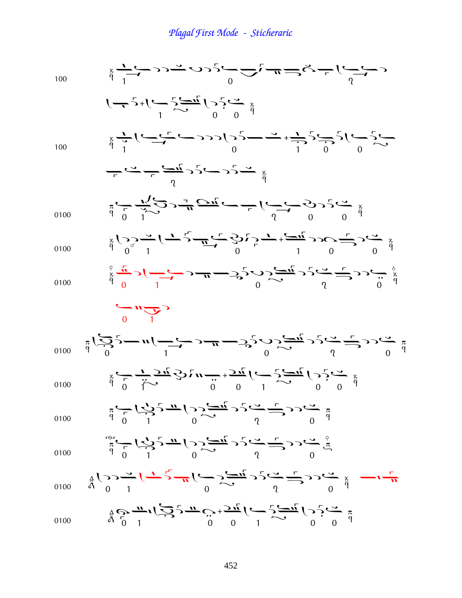| 100  | $\sum_{\alpha=1}^{\infty} \frac{1}{\alpha-\alpha} \sum_{\alpha=1}^{\infty} \sum_{\alpha=1}^{\infty} \sum_{\alpha=1}^{\infty} \sum_{\alpha=1}^{\infty} \sum_{\alpha=1}^{\infty} \sum_{\alpha=1}^{\infty} \sum_{\alpha=1}^{\infty} \sum_{\alpha=1}^{\infty} \sum_{\alpha=1}^{\infty} \sum_{\alpha=1}^{\infty} \sum_{\alpha=1}^{\infty} \sum_{\alpha=1}^{\infty} \sum_{\alpha=1}^{\infty} \sum_{\alpha=1}^{\infty} \sum_{\alpha=1}^{\infty} \sum$     |
|------|----------------------------------------------------------------------------------------------------------------------------------------------------------------------------------------------------------------------------------------------------------------------------------------------------------------------------------------------------------------------------------------------------------------------------------------------------|
|      | $\left(-\frac{1}{2}\right)^{1}$                                                                                                                                                                                                                                                                                                                                                                                                                    |
| 100  | $\frac{1}{\gamma}$ $\frac{1}{\gamma}$ $\frac{1}{\gamma}$ $\frac{1}{\gamma}$ $\frac{1}{\gamma}$ $\frac{1}{\gamma}$ $\frac{1}{\gamma}$ $\frac{1}{\gamma}$ $\frac{1}{\gamma}$ $\frac{1}{\gamma}$ $\frac{1}{\gamma}$ $\frac{1}{\gamma}$ $\frac{1}{\gamma}$ $\frac{1}{\gamma}$ $\frac{1}{\gamma}$ $\frac{1}{\gamma}$ $\frac{1}{\gamma}$ $\frac{1}{\gamma}$ $\frac{1}{\gamma}$ $\frac{1}{\gamma}$                                                        |
|      | $\frac{1}{2}$ $\frac{1}{2}$ $\frac{1}{2}$ $\frac{1}{2}$ $\frac{1}{2}$ $\frac{1}{2}$ $\frac{1}{2}$ $\frac{1}{2}$ $\frac{1}{2}$ $\frac{1}{2}$ $\frac{1}{2}$ $\frac{1}{2}$ $\frac{1}{2}$ $\frac{1}{2}$ $\frac{1}{2}$ $\frac{1}{2}$ $\frac{1}{2}$ $\frac{1}{2}$ $\frac{1}{2}$ $\frac{1}{2}$ $\frac{1}{2}$ $\frac{1}{2}$                                                                                                                                |
| 0100 | $\ddot{a} \overset{0}{\leftarrow} \frac{1}{\sqrt{2}} \sum_{i=1}^{n} \sum_{j=1}^{n} \frac{1}{\sqrt{2}} \sum_{j=1}^{n} \frac{1}{\sqrt{2}} \sum_{i=1}^{n} \sum_{j=1}^{n} \sum_{j=1}^{n} \sum_{j=1}^{n} \sum_{j=1}^{n} \sum_{j=1}^{n} \sum_{j=1}^{n} \sum_{j=1}^{n} \sum_{j=1}^{n} \sum_{j=1}^{n} \sum_{j=1}^{n} \sum_{j=1}^{n} \sum_{j=1}^{n} \sum_{j=1}^{n} \sum_{j$                                                                                 |
| 0100 | $\frac{1}{2} \sum_{i=1}^{9} \sum_{i=1}^{9} (-1)^{i} \frac{1}{2} \sum_{i=1}^{9} (-1)^{i} \sum_{i=1}^{9} (-1)^{i} \sum_{i=1}^{9} (-1)^{i} \sum_{i=1}^{9} (-1)^{i} \sum_{i=1}^{9} (-1)^{i} \sum_{i=1}^{9} (-1)^{i} \sum_{i=1}^{9} (-1)^{i} \sum_{i=1}^{9} (-1)^{i} \sum_{i=1}^{9} (-1)^{i} \sum_{i=1}^{9} (-1)^{i} \sum_{i=1}^{9} (-1)^{i} \sum_{i$                                                                                                   |
| 0100 | $\sum_{\alpha=0}^{\infty} \frac{1}{\sqrt{1-\frac{1}{\alpha}}}\sum_{\alpha=0}^{\infty} \frac{1}{\alpha} \sum_{\alpha=0}^{\infty} \frac{1}{\alpha} \sum_{\alpha=0}^{\infty} \frac{1}{\alpha} \sum_{\alpha=0}^{\infty} \sum_{\alpha=0}^{\infty} \sum_{\alpha=0}^{\infty} \sum_{\alpha=0}^{\infty} \sum_{\alpha=0}^{\infty} \frac{1}{\alpha} \sum_{\alpha=0}^{\infty} \sum_{\alpha=0}^{\infty} \sum_{\alpha=0}^{\infty} \sum_{\alpha=0}^{\infty} \sum$ |
|      | $\frac{1}{\sqrt{1}}$                                                                                                                                                                                                                                                                                                                                                                                                                               |
| 0100 | $\sum_{\substack{a\\b} \atop b} \frac{1}{(2a)^{2}} - n\left(-\frac{1}{a}\right) - n - 2\sum_{a} \sum_{c} \frac{1}{(2a)^{2}} + \sum_{c} \frac{1}{(2a)^{2}} - 2\sum_{c} \frac{1}{(2a)^{2}}$                                                                                                                                                                                                                                                          |
| 0100 | $\sum_{x}^{8} \frac{1}{2\pi i} \sum_{i=1}^{1} \frac{1}{2\pi i} \sum_{i=1}^{1} \frac{1}{2\pi i} \left( \frac{1}{2\pi i} \sum_{i=1}^{1} \frac{1}{2\pi i} \sum_{i=1}^{1} \sum_{i=1}^{1} \sum_{i=1}^{1} \sum_{i=1}^{1} \sum_{i=1}^{1} \sum_{i=1}^{1} \sum_{i=1}^{1} \sum_{i=1}^{1} \sum_{i=1}^{1} \sum_{i=1}^{1} \sum_{i=1}^{1} \sum_{i=1}^{1} \sum_{i=1}^{1$                                                                                          |
| 0100 | $\frac{1}{4}$ $\frac{1}{2}$ $\frac{1}{2}$ $\frac{1}{2}$ $\frac{1}{2}$ $\frac{1}{2}$ $\frac{1}{2}$ $\frac{1}{2}$ $\frac{1}{2}$ $\frac{1}{2}$ $\frac{1}{2}$ $\frac{1}{2}$ $\frac{1}{2}$ $\frac{1}{2}$ $\frac{1}{2}$ $\frac{1}{2}$ $\frac{1}{2}$ $\frac{1}{2}$ $\frac{1}{2}$ $\frac{1}{2}$ $\frac{1}{2}$ $\frac{1}{2}$                                                                                                                                |
| 0100 | $\sum_{\omega}^{1} \sum_{\omega}^{1} \left( \sum_{j=1}^{n} \sum_{i=1}^{n} \frac{1}{j} \sum_{j=1}^{n} \sum_{j=1}^{n} \sum_{j=1}^{n} \sum_{j=1}^{n} \sum_{j=1}^{n} \sum_{j=1}^{n} \sum_{j=1}^{n} \sum_{j=1}^{n} \sum_{j=1}^{n} \sum_{j=1}^{n} \sum_{j=1}^{n} \sum_{j=1}^{n} \sum_{j=1}^{n} \sum_{j=1}^{n} \sum_{j=1}^{n} \sum_{j=1}^{n} \sum_{j=1}^{n} \sum$                                                                                         |
| 0100 | $\frac{1}{4}(2) - \frac{1}{4} \left( \frac{1}{2} \sum_{i=1}^{n} \frac{1}{2} \sum_{j=1}^{n} (-1)^{j} \frac{1}{2} \sum_{j=1}^{n} (-1)^{j} \frac{1}{2} \sum_{j=1}^{n} (-1)^{j} \frac{1}{2} \sum_{j=1}^{n} (-1)^{j} \frac{1}{2} \sum_{j=1}^{n} (-1)^{j} \frac{1}{2} \sum_{j=1}^{n} (-1)^{j} \frac{1}{2} \sum_{j=1}^{n} (-1)^{j} \frac{1}{2} \sum_{j=1}^{n} (-1)^{j$                                                                                    |
| 0100 | $\frac{9}{7}$ $\frac{0}{7}$ $\frac{1}{7}$ $\frac{0}{7}$ $\frac{0}{7}$ $\frac{0}{7}$ $\frac{0}{7}$ $\frac{0}{7}$ $\frac{0}{7}$ $\frac{0}{7}$ $\frac{0}{7}$ $\frac{0}{7}$ $\frac{0}{7}$ $\frac{0}{7}$ $\frac{0}{7}$ $\frac{0}{7}$                                                                                                                                                                                                                    |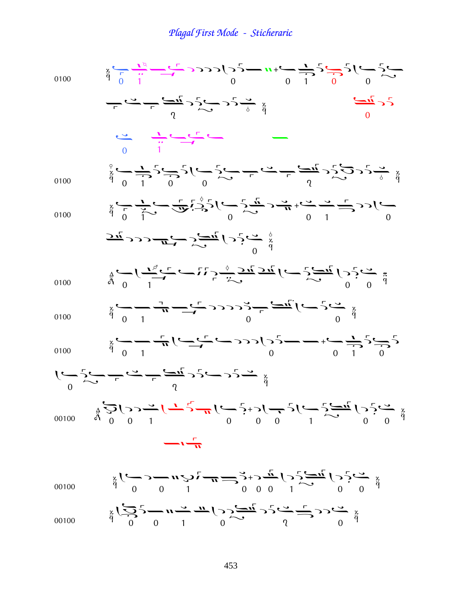$$
\frac{1}{2} \int_{0}^{2} \frac{1}{2} \int_{0}^{2} \frac{1}{2} \int_{0}^{2} \frac{1}{2} \int_{0}^{2} \frac{1}{2} \int_{0}^{2} \frac{1}{2} \int_{0}^{2} \frac{1}{2} \int_{0}^{2} \frac{1}{2} \int_{0}^{2} \frac{1}{2} \int_{0}^{2} \frac{1}{2} \int_{0}^{2} \frac{1}{2} \int_{0}^{2} \frac{1}{2} \int_{0}^{2} \frac{1}{2} \int_{0}^{2} \frac{1}{2} \int_{0}^{2} \frac{1}{2} \int_{0}^{2} \frac{1}{2} \int_{0}^{2} \frac{1}{2} \int_{0}^{2} \frac{1}{2} \int_{0}^{2} \frac{1}{2} \int_{0}^{2} \frac{1}{2} \int_{0}^{2} \frac{1}{2} \int_{0}^{2} \frac{1}{2} \int_{0}^{2} \frac{1}{2} \int_{0}^{2} \frac{1}{2} \int_{0}^{2} \frac{1}{2} \int_{0}^{2} \frac{1}{2} \int_{0}^{2} \frac{1}{2} \int_{0}^{2} \frac{1}{2} \int_{0}^{2} \frac{1}{2} \int_{0}^{2} \frac{1}{2} \int_{0}^{2} \frac{1}{2} \int_{0}^{2} \frac{1}{2} \int_{0}^{2} \frac{1}{2} \int_{0}^{2} \frac{1}{2} \int_{0}^{2} \frac{1}{2} \int_{0}^{2} \frac{1}{2} \int_{0}^{2} \frac{1}{2} \int_{0}^{2} \frac{1}{2} \int_{0}^{2} \frac{1}{2} \int_{0}^{2} \frac{1}{2} \int_{0}^{2} \frac{1}{2} \int_{0}^{2} \frac{1}{2} \int_{0}^{2} \frac{1}{2} \int_{0}^{2} \frac{1}{2} \int_{0}^{2} \frac{1}{2} \int_{0}^{2} \frac{1}{2} \int_{0}^{2} \frac{1}{2} \int_{0}^{2} \frac{1}{2} \int_{0}^{2} \frac{1}{2} \int_{0}^{2} \frac{1}{2} \int_{0}^{2} \frac{1}{2} \int_{
$$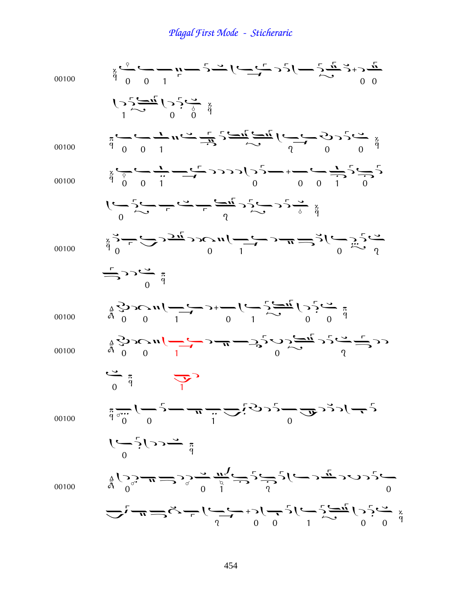| 00100 | $\sum_{\alpha=0}^{\infty} \sum_{i=0}^{\infty} (-1)^{i} \sum_{i=0}^{\infty} \frac{1}{i!} (-1)^{i} \sum_{i=0}^{\infty} (-1)^{i} \sum_{i=0}^{\infty} (-1)^{i} \sum_{i=0}^{\infty} (-1)^{i} \sum_{i=0}^{\infty} (-1)^{i} \sum_{i=0}^{\infty} (-1)^{i} \sum_{i=0}^{\infty} (-1)^{i} \sum_{i=0}^{\infty} (-1)^{i} \sum_{i=0}^{\infty} (-1)^{i} \sum_{i=0}^{\infty} (-1)^{i} \$                                                                                                                         |
|-------|--------------------------------------------------------------------------------------------------------------------------------------------------------------------------------------------------------------------------------------------------------------------------------------------------------------------------------------------------------------------------------------------------------------------------------------------------------------------------------------------------|
|       | $\sum_{1}^{3} \sum_{2}^{3} \frac{1}{2} \sum_{1}^{4} \sum_{2}^{5} \sum_{3}^{6} \frac{1}{9}$                                                                                                                                                                                                                                                                                                                                                                                                       |
| 00100 | $\frac{1}{4}$ $\frac{1}{4}$ $\frac{1}{4}$ $\frac{1}{4}$ $\frac{1}{4}$ $\frac{1}{4}$ $\frac{1}{4}$ $\frac{1}{4}$ $\frac{1}{4}$ $\frac{1}{4}$ $\frac{1}{4}$ $\frac{1}{4}$ $\frac{1}{4}$ $\frac{1}{4}$ $\frac{1}{4}$ $\frac{1}{4}$ $\frac{1}{4}$ $\frac{1}{4}$ $\frac{1}{4}$ $\frac{1}{4}$ $\frac{1}{4}$ $\frac{1}{4}$                                                                                                                                                                              |
| 00100 | $\frac{1}{4} \sum_{i=0}^{6} \frac{1}{i} \sum_{i=0}^{6} \frac{1}{i} \sum_{i=0}^{6} \sum_{i=0}^{6} 2 \sum_{i=0}^{6} 2 \sum_{i=0}^{6} (-1)^{6} \sum_{i=0}^{6} (-1)^{6} \sum_{i=0}^{6} (-1)^{6} \sum_{i=0}^{6} (-1)^{6} \sum_{i=0}^{6} (-1)^{6} \sum_{i=0}^{6} (-1)^{6} \sum_{i=0}^{6} (-1)^{6} \sum_{i=0}^{6} (-1)^{6} \sum_{i=0}^{6} (-1)^{6} \$                                                                                                                                                   |
|       | $1$ $\frac{1}{2}$ $\frac{1}{2}$ $\frac{1}{2}$ $\frac{1}{2}$ $\frac{1}{2}$ $\frac{1}{2}$ $\frac{1}{2}$ $\frac{1}{2}$ $\frac{1}{2}$ $\frac{1}{2}$ $\frac{1}{2}$ $\frac{1}{2}$ $\frac{1}{2}$ $\frac{1}{2}$ $\frac{1}{2}$ $\frac{1}{2}$ $\frac{1}{2}$ $\frac{1}{2}$ $\frac{1}{2}$ $\frac{1}{2}$ $\frac{1}{2}$ $\frac{1}{2$                                                                                                                                                                           |
| 00100 | $\sum_{k=0}^{n} \sum_{i=0}^{n} \sum_{j=0}^{n} \sum_{j=0}^{n} \sum_{j=0}^{n} \sum_{j=0}^{n} \sum_{j=0}^{n} \sum_{j=0}^{n} \sum_{j=0}^{n} \sum_{j=0}^{n} \sum_{j=0}^{n} \sum_{j=0}^{n} \sum_{j=0}^{n} \sum_{j=0}^{n} \sum_{j=0}^{n} \sum_{j=0}^{n} \sum_{j=0}^{n} \sum_{j=0}^{n} \sum_{j=0}^{n} \sum_{j=0}^{n} \sum_{j=0}^{n} \sum_{j=0}^{n}$                                                                                                                                                      |
|       | $=$ $22\frac{9}{9}$ $\frac{9}{9}$                                                                                                                                                                                                                                                                                                                                                                                                                                                                |
| 00100 | $\frac{1}{9} \sum_{i=1}^{9} 2^{i} \sum_{j=1}^{9} n^{j} \sum_{j=1}^{1} (-1)^{j} \sum_{j=1}^{1} (-1)^{j} \sum_{j=1}^{1} (-1)^{j} \sum_{j=1}^{1} (-1)^{j} \sum_{j=1}^{1} (-1)^{j} \sum_{j=1}^{1} (-1)^{j} \sum_{j=1}^{1} (-1)^{j} \sum_{j=1}^{1} (-1)^{j} \sum_{j=1}^{1} (-1)^{j} \sum_{j=1}^{1} (-1)^{j} \sum_{j=1}^{1} (-1)^{j} \sum_{j=1}^{$                                                                                                                                                     |
| 00100 | $\sum_{\substack{a \ b \ b \ b \ b \ b}} \sum_{j=1}^n \sum_{j=1}^n (-1)^j \sum_{j=1}^n (-1)^j \sum_{j=1}^n (-1)^j \sum_{j=1}^n (-1)^j \sum_{j=1}^n (-1)^j$                                                                                                                                                                                                                                                                                                                                       |
|       | $\frac{1}{\pi}$<br>$\sum_{i=1}^{n}$                                                                                                                                                                                                                                                                                                                                                                                                                                                              |
| 00100 | $\frac{1}{4} \frac{1}{\sin \theta} \left( \frac{1}{\cos \theta} - \frac{1}{\cos \theta} - \frac{1}{\cos \theta} - \frac{1}{\cos \theta} - \frac{1}{\cos \theta} - \frac{1}{\cos \theta} - \frac{1}{\cos \theta} - \frac{1}{\cos \theta} - \frac{1}{\cos \theta} - \frac{1}{\cos \theta} - \frac{1}{\cos \theta} - \frac{1}{\cos \theta} - \frac{1}{\cos \theta} - \frac{1}{\cos \theta} - \frac{1}{\cos \theta} - \frac{1}{\cos \theta} - \frac{1}{\cos \theta} - \frac{1}{\cos \theta} - \frac$ |
|       | $\int_{0}^{\frac{\pi}{2}} \frac{1}{\sqrt{1-\frac{1}{2}}} \, \mathrm{d}x$                                                                                                                                                                                                                                                                                                                                                                                                                         |
| 00100 | $\frac{1}{4}\left(3\right)_{0}^{0} = \frac{1}{4} = 3\left(3\right) = \frac{1}{4} = \frac{1}{4} = \frac{1}{4} = \frac{1}{4} = \frac{1}{4} = \frac{1}{4} = 2\left(1\right) = \frac{1}{4} = 2\left(1\right) = \frac{1}{4} = \frac{1}{4} = \frac{1}{4} = \frac{1}{4} = \frac{1}{4} = \frac{1}{4} = \frac{1}{4} = \frac{1}{4} = \frac{1}{4} = \frac{1}{4} = \frac{1}{4} = \frac{1}{4} = \frac{1}{4} = \frac$                                                                                          |
|       | $\sum_{1} \frac{1}{n} \sum_{i} p_{i} = \sum_{i} p_{i} - \sum_{i} p_{i} - \sum_{i} p_{i} - \sum_{i} p_{i} - \sum_{i} p_{i} - \sum_{i} p_{i} - \sum_{i} p_{i} - \sum_{i} p_{i} - \sum_{i} p_{i} - \sum_{i} p_{i} - \sum_{i} p_{i} - \sum_{i} p_{i} - \sum_{i} p_{i} - \sum_{i} p_{i} - \sum_{i} p_{i} - \sum_{i} p_{i} - \sum_{i} p_{i} - \sum_{i} p_{i} - \sum_{i} p_{i} - \sum_{i} p_{i$                                                                                                         |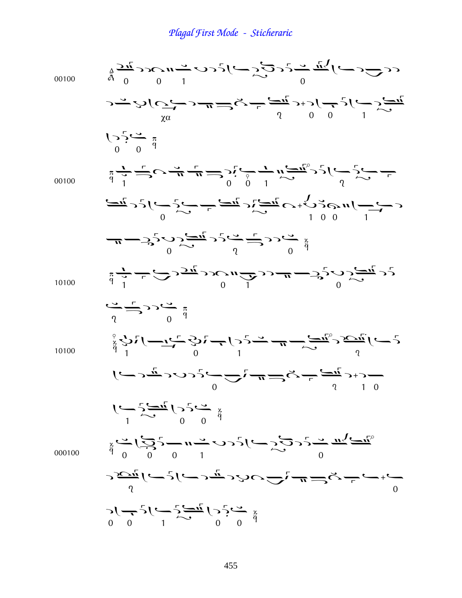| 00100  | $\frac{1}{4}$ $\frac{1}{2}$ $\frac{1}{4}$ $\frac{1}{6}$ $\frac{1}{6}$ $\frac{1}{6}$ $\frac{1}{6}$ $\frac{1}{6}$ $\frac{1}{6}$ $\frac{1}{6}$ $\frac{1}{6}$ $\frac{1}{6}$ $\frac{1}{6}$ $\frac{1}{6}$ $\frac{1}{6}$                                                                                                                                                                                                                                                                                           |
|--------|-------------------------------------------------------------------------------------------------------------------------------------------------------------------------------------------------------------------------------------------------------------------------------------------------------------------------------------------------------------------------------------------------------------------------------------------------------------------------------------------------------------|
|        | $\sum_{\alpha}^{N} \hat{C} \left( \sum_{\alpha}^{N} C \right) = \frac{1}{N} \sum_{\alpha}^{N} \sum_{\alpha}^{N} \sum_{\alpha}^{N} \sum_{\alpha}^{N} \sum_{\alpha}^{N} \sum_{\alpha}^{N} \sum_{\alpha}^{N} \sum_{\alpha}^{N} \sum_{\alpha}^{N} \sum_{\alpha}^{N} \sum_{\alpha}^{N} \sum_{\alpha}^{N} \sum_{\alpha}^{N} \sum_{\alpha}^{N} \sum_{\alpha}^{N} \sum_{\alpha}^{N} \sum_{\alpha}^{N} \sum_{\alpha}^{N} \sum_{\alpha}^{N} \sum_{\alpha}^{N} \sum$<br>χα                                             |
|        | $\sum_{0}^{n} \sum_{i=0}^{n} \frac{1}{i!}$                                                                                                                                                                                                                                                                                                                                                                                                                                                                  |
| 00100  | $\frac{1}{4}$ $\frac{1}{4}$ $\frac{1}{4}$ $\frac{1}{4}$ $\frac{1}{4}$ $\frac{1}{4}$ $\frac{1}{4}$ $\frac{1}{4}$ $\frac{1}{4}$ $\frac{1}{4}$ $\frac{1}{4}$ $\frac{1}{4}$ $\frac{1}{4}$ $\frac{1}{4}$ $\frac{1}{4}$ $\frac{1}{4}$ $\frac{1}{4}$ $\frac{1}{4}$ $\frac{1}{4}$ $\frac{1}{4}$ $\frac{1}{4}$ $\frac{1}{4}$                                                                                                                                                                                         |
|        | $\frac{1}{\sqrt{1-\frac{1}{2}}} \int_{0}^{1} \frac{1}{\sqrt{1-\frac{1}{2}}} e^{-\frac{1}{2} \sqrt{1-\frac{1}{2}}} e^{-\frac{1}{2} \sqrt{1-\frac{1}{2}}} e^{-\frac{1}{2} \sqrt{1-\frac{1}{2}}} e^{-\frac{1}{2} \sqrt{1-\frac{1}{2}}} e^{-\frac{1}{2} \sqrt{1-\frac{1}{2}}} e^{-\frac{1}{2} \sqrt{1-\frac{1}{2}}} e^{-\frac{1}{2} \sqrt{1-\frac{1}{2}}} e^{-\frac{1}{2} \sqrt{1-\frac{1}{2}}} e^{-\frac{1}{2} \sqrt{1-\frac{1}{2}}}$                                                                          |
|        | $-\frac{1}{2}$ $\frac{1}{2}$ $\frac{1}{2}$ $\frac{1}{2}$ $\frac{1}{2}$ $\frac{1}{2}$ $\frac{1}{2}$ $\frac{1}{2}$ $\frac{1}{2}$ $\frac{1}{2}$ $\frac{1}{2}$ $\frac{1}{2}$ $\frac{1}{2}$ $\frac{1}{2}$ $\frac{1}{2}$ $\frac{1}{2}$ $\frac{1}{2}$ $\frac{1}{2}$ $\frac{1}{2}$ $\frac{1}{2}$ $\frac{1}{2}$ $\frac{1}{2}$                                                                                                                                                                                        |
| 10100  | $\frac{1}{4} \frac{1}{T} - \frac{1}{T} \sum_{\substack{1 \leq m \leq T}} \frac{1}{2\pi i} \sum_{\substack{1 \leq m \leq T}} \frac{1}{2\pi i} \sum_{\substack{1 \leq m \leq T}} \frac{1}{2\pi i} \sum_{\substack{1 \leq m \leq T}} \frac{1}{2\pi i} \sum_{\substack{1 \leq m \leq T}} \frac{1}{2\pi i} \sum_{\substack{1 \leq m \leq T}} \frac{1}{2\pi i} \sum_{\substack{1 \leq m \leq T}} \frac{1}{2\pi i} \sum_{\substack{1 \$                                                                            |
|        | $\frac{1}{\sqrt{2}}\sum_{n=1}^{\infty}\sum_{n=1}^{\infty}\frac{1}{n}$                                                                                                                                                                                                                                                                                                                                                                                                                                       |
| 10100  |                                                                                                                                                                                                                                                                                                                                                                                                                                                                                                             |
|        | $\int_{\mathcal{C}} \mathcal{L} \cdot \mathcal{L} = \int_{\mathcal{C}} \mathcal{L} \cdot \mathcal{L} = \mathcal{L} \cdot \mathcal{L} \cdot \mathcal{L} \cdot \mathcal{L} \cdot \mathcal{L} \cdot \mathcal{L} \cdot \mathcal{L} \cdot \mathcal{L} \cdot \mathcal{L} \cdot \mathcal{L} \cdot \mathcal{L} \cdot \mathcal{L} \cdot \mathcal{L} \cdot \mathcal{L} \cdot \mathcal{L} \cdot \mathcal{L} \cdot \mathcal{L} \cdot \mathcal{L} \cdot \mathcal{L} \cdot \mathcal{L} \cdot \mathcal{L} \cdot \mathcal{$ |
|        | $\left( \begin{array}{cc} \sqrt{2} & 0 & 0 \\ \sqrt{2} & 0 & 0 \\ 0 & 0 & 0 \end{array} \right)$                                                                                                                                                                                                                                                                                                                                                                                                            |
| 000100 | $\frac{1}{4}$ $\frac{1}{2}$ $\frac{1}{2}$ $\frac{1}{2}$ $\frac{1}{2}$ $\frac{1}{2}$ $\frac{1}{2}$ $\frac{1}{2}$ $\frac{1}{2}$ $\frac{1}{2}$ $\frac{1}{2}$ $\frac{1}{2}$ $\frac{1}{2}$ $\frac{1}{2}$ $\frac{1}{2}$ $\frac{1}{2}$ $\frac{1}{2}$ $\frac{1}{2}$ $\frac{1}{2}$ $\frac{1}{2}$ $\frac{1}{2}$ $\frac{1}{2}$                                                                                                                                                                                         |
|        | s<br>ファーピュールコンクローニューター                                                                                                                                                                                                                                                                                                                                                                                                                                                                                      |
|        |                                                                                                                                                                                                                                                                                                                                                                                                                                                                                                             |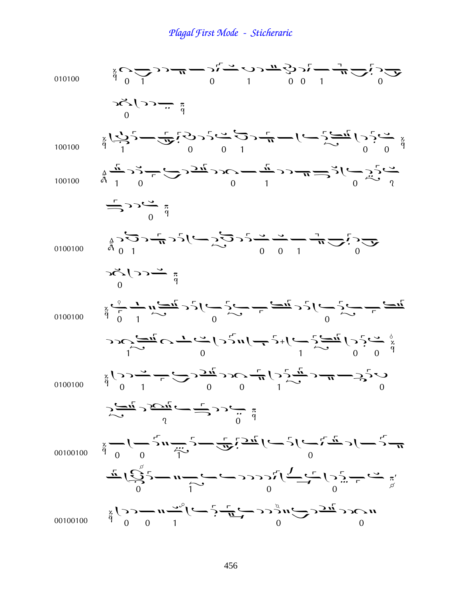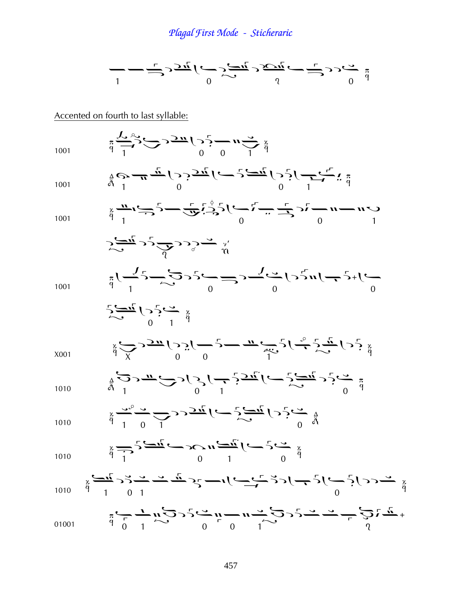

Accented on fourth to last syllable: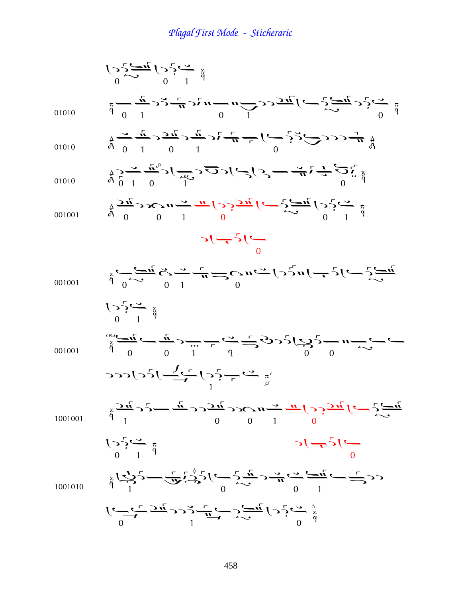$$
\frac{1}{2} \sum_{i=1}^{n} (-\frac{1}{2}x^{i} - \frac{1}{2}x^{i}) \sum_{i=1}^{n} (-\frac{1}{2}x^{i} - \frac{1}{2}x^{i}) \sum_{i=1}^{n} (-\frac{1}{2}x^{i}) \sum_{i=1}^{n} (-\frac{1}{2}x^{i}) \sum_{i=1}^{n} (-\frac{1}{2}x^{i}) \sum_{i=1}^{n} (-\frac{1}{2}x^{i}) \sum_{i=1}^{n} (-\frac{1}{2}x^{i}) \sum_{i=1}^{n} (-\frac{1}{2}x^{i}) \sum_{i=1}^{n} (-\frac{1}{2}x^{i}) \sum_{i=1}^{n} (-\frac{1}{2}x^{i}) \sum_{i=1}^{n} (-\frac{1}{2}x^{i}) \sum_{i=1}^{n} (-\frac{1}{2}x^{i}) \sum_{i=1}^{n} (-\frac{1}{2}x^{i}) \sum_{i=1}^{n} (-\frac{1}{2}x^{i}) \sum_{i=1}^{n} (-\frac{1}{2}x^{i}) \sum_{i=1}^{n} (-\frac{1}{2}x^{i}) \sum_{i=1}^{n} (-\frac{1}{2}x^{i}) \sum_{i=1}^{n} (-\frac{1}{2}x^{i}) \sum_{i=1}^{n} (-\frac{1}{2}x^{i}) \sum_{i=1}^{n} (-\frac{1}{2}x^{i}) \sum_{i=1}^{n} (-\frac{1}{2}x^{i}) \sum_{i=1}^{n} (-\frac{1}{2}x^{i}) \sum_{i=1}^{n} (-\frac{1}{2}x^{i}) \sum_{i=1}^{n} (-\frac{1}{2}x^{i}) \sum_{i=1}^{n} (-\frac{1}{2}x^{i}) \sum_{i=1}^{n} (-\frac{1}{2}x^{i}) \sum_{i=1}^{n} (-\frac{1}{2}x^{i}) \sum_{i=1}^{n} (-\frac{1}{2}x^{i}) \sum_{i=1}^{n} (-\frac{1}{2}x^{i}) \sum_{i=1}^{n} (-\frac{1}{2}x^{i}) \sum_{i=1}^{n} (-\frac{1}{2}x^{i}) \sum_{i=1}^{n} (-\frac{1}{2}x^{i}) \sum_{i=1}^{n} (-\frac{1}{2}x^{i}) \sum_{
$$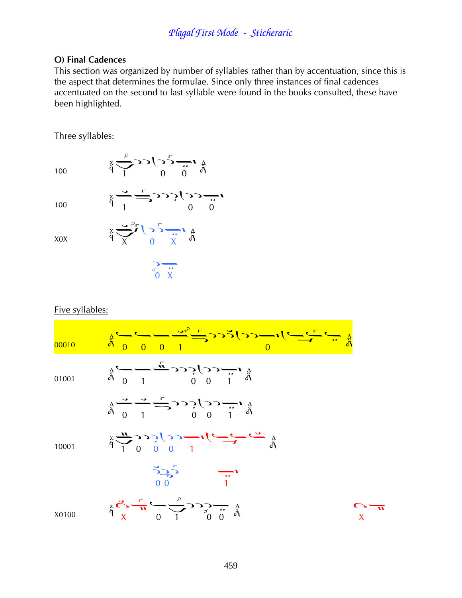#### **O) Final Cadences**

This section was organized by number of syllables rather than by accentuation, since this is the aspect that determines the formulae. Since only three instances of final cadences accentuated on the second to last syllable were found in the books consulted, these have been highlighted.

#### Three syllables:

100

100

X0X

 $x \xrightarrow{d} \frac{1}{1}$  $\frac{1}{9}$   $\frac{1}{x}$   $\frac{1}{9}$   $\frac{1}{x}$   $\frac{1}{9}$  $\frac{3}{2}$   $\frac{1}{x}$ 

 $\frac{1}{9}$   $\frac{1}{1}$   $\frac{1}{9}$   $\frac{1}{1}$   $\frac{1}{9}$   $\frac{1}{9}$   $\frac{1}{9}$ 

 $\overline{a}$ 

 $\ddot{\phantom{0}}$ 

#### Five syllables:

| 00010 | $\frac{1}{4}$                                                                                                                                                                                                                                                                                                       |  |
|-------|---------------------------------------------------------------------------------------------------------------------------------------------------------------------------------------------------------------------------------------------------------------------------------------------------------------------|--|
| 01001 | $\mathop{\mathbb{A}}_{\mathop{\mathbb{A}}}_{\mathop{\mathbb{A}}_{r}} \longrightarrow \mathop{\mathbb{A}}_{r} \longrightarrow \mathop{\mathbb{A}}_{r} \longrightarrow \mathop{\mathbb{A}}_{r} \longrightarrow \mathop{\mathbb{A}}_{r} \longrightarrow \mathop{\mathbb{A}}_{r}$                                       |  |
|       | $\frac{1}{4}$                                                                                                                                                                                                                                                                                                       |  |
| 10001 | $\frac{a}{r}$ $\frac{1}{r}$ $\frac{1}{r}$ $\frac{1}{r}$ $\frac{1}{r}$ $\frac{1}{r}$ $\frac{1}{r}$ $\frac{1}{r}$ $\frac{1}{r}$ $\frac{1}{r}$ $\frac{1}{r}$ $\frac{1}{r}$ $\frac{1}{r}$ $\frac{1}{r}$ $\frac{1}{r}$ $\frac{1}{r}$ $\frac{1}{r}$ $\frac{1}{r}$ $\frac{1}{r}$ $\frac{1}{r}$ $\frac{1}{r}$ $\frac{1}{r}$ |  |
|       | $\frac{3}{2}$ $\frac{1}{2}$ $\frac{1}{1}$                                                                                                                                                                                                                                                                           |  |
| X0100 | $\frac{A}{A}$ $\frac{A}{A}$ $\frac{C}{A}$ $\frac{C}{A}$ $\frac{C}{A}$ $\frac{C}{A}$ $\frac{C}{A}$ $\frac{C}{A}$ $\frac{C}{A}$ $\frac{C}{A}$ $\frac{C}{A}$ $\frac{C}{A}$                                                                                                                                             |  |

 $\overline{\bm{u}}$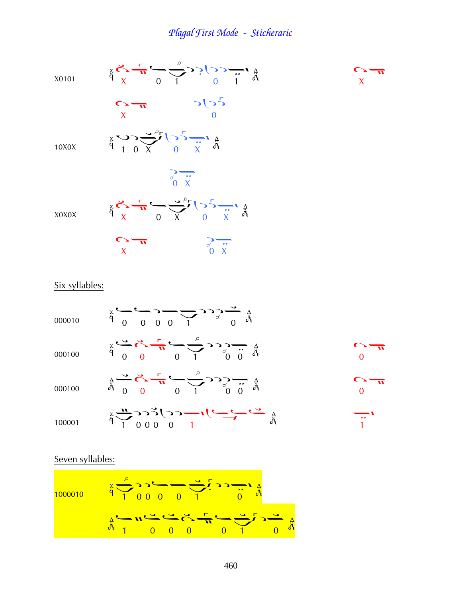

#### Six syllables:

| 000010 | $\frac{1}{9}$ $\frac{1}{9}$ $\frac{1}{9}$ $\frac{1}{9}$ $\frac{1}{9}$ $\frac{1}{9}$ $\frac{1}{9}$ $\frac{1}{9}$                                                                                                                                                                                                                                 |  |
|--------|-------------------------------------------------------------------------------------------------------------------------------------------------------------------------------------------------------------------------------------------------------------------------------------------------------------------------------------------------|--|
| 000100 | $\frac{1}{4} \sum_{i=0}^{4} \sum_{i=0}^{4} \frac{1}{i} \sum_{i=0}^{4} \sum_{j=0}^{4} \sum_{i=0}^{4} \sum_{i=0}^{4} \sum_{i=0}^{4} \sum_{i=0}^{4} \sum_{i=0}^{4} \sum_{i=0}^{4} \sum_{i=0}^{4} \sum_{i=0}^{4} \sum_{i=0}^{4} \sum_{i=0}^{4} \sum_{i=0}^{4} \sum_{i=0}^{4} \sum_{i=0}^{4} \sum_{i=0}^{4} \sum_{i=0}^{4} \sum_{i=0}^{4} \sum_{i=0$ |  |
| 000100 | $\frac{1}{4} \sum_{i=0}^{n} \sum_{i=0}^{n} (-1)^{i} \sum_{j=0}^{n} (-1)^{j} \sum_{j=0}^{n} (-1)^{i} \sum_{j=0}^{n} (-1)^{i} \sum_{j=0}^{n} (-1)^{i} \sum_{j=0}^{n} (-1)^{i} \sum_{j=0}^{n} (-1)^{i} \sum_{j=0}^{n} (-1)^{i} \sum_{j=0}^{n} (-1)^{i} \sum_{j=0}^{n} (-1)^{i} \sum_{j=0}^{n} (-1)^{i} \sum_{j=0}^{n} (-1)^{i} \sum_{j=0}^{n} (-$  |  |
| 100001 | $\frac{2}{9}$ $\frac{1}{1}$ 000 0 1                                                                                                                                                                                                                                                                                                             |  |

#### Seven syllables:

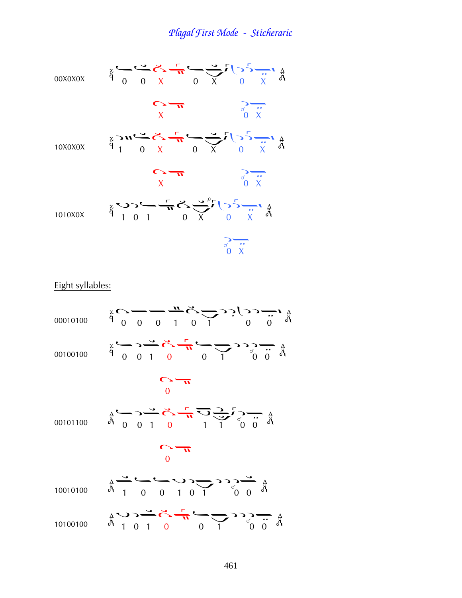

Eight syllables:

| 00010100 | $\sum_{q=0}^{x} \sum_{n=0}^{y} \frac{1}{n} \sum_{n=0}^{y} \frac{1}{n} \sum_{n=0}^{y} \sum_{n=0}^{y} \sum_{n=0}^{y} \sum_{n=0}^{y} \sum_{n=0}^{y} \sum_{n=0}^{y} \sum_{n=0}^{y} \sum_{n=0}^{y} \sum_{n=0}^{y} \sum_{n=0}^{y} \sum_{n=0}^{y} \sum_{n=0}^{y} \sum_{n=0}^{y} \sum_{n=0}^{y} \sum_{n=0}^{y} \sum_{n=0}^{y} \sum_{n=0}^{y} \sum_{n=0$ |
|----------|-------------------------------------------------------------------------------------------------------------------------------------------------------------------------------------------------------------------------------------------------------------------------------------------------------------------------------------------------|
| 00100100 | $\frac{1}{4}$ $\frac{1}{9}$ $\frac{1}{9}$ $\frac{1}{9}$ $\frac{1}{9}$ $\frac{1}{9}$ $\frac{1}{9}$ $\frac{1}{9}$ $\frac{1}{9}$ $\frac{1}{9}$ $\frac{1}{9}$ $\frac{1}{9}$ $\frac{1}{9}$                                                                                                                                                           |
|          |                                                                                                                                                                                                                                                                                                                                                 |
|          | 00101100 $\frac{1}{9}$ $\frac{1}{9}$ $\frac{1}{9}$ $\frac{1}{9}$ $\frac{1}{9}$ $\frac{1}{9}$ $\frac{1}{9}$ $\frac{1}{9}$ $\frac{1}{9}$ $\frac{1}{9}$ $\frac{1}{9}$ $\frac{1}{9}$ $\frac{1}{9}$ $\frac{1}{9}$ $\frac{1}{9}$ $\frac{1}{9}$ $\frac{1}{9}$ $\frac{1}{9}$ $\frac{1}{9}$ $\frac{1}{9}$ $\frac{1}{9}$ $\$                              |
|          |                                                                                                                                                                                                                                                                                                                                                 |
| 10010100 | $\frac{1}{9}$                                                                                                                                                                                                                                                                                                                                   |
| 10100100 | $\frac{1}{4}$ $\frac{1}{4}$ $\frac{1}{4}$ $\frac{1}{4}$ $\frac{1}{4}$ $\frac{1}{4}$ $\frac{1}{4}$ $\frac{1}{4}$ $\frac{1}{4}$ $\frac{1}{4}$ $\frac{1}{4}$ $\frac{1}{4}$ $\frac{1}{4}$ $\frac{1}{4}$ $\frac{1}{4}$ $\frac{1}{4}$ $\frac{1}{4}$ $\frac{1}{4}$ $\frac{1}{4}$ $\frac{1}{4}$ $\frac{1}{4}$ $\frac{1}{4}$<br>∆<br>أ∂                  |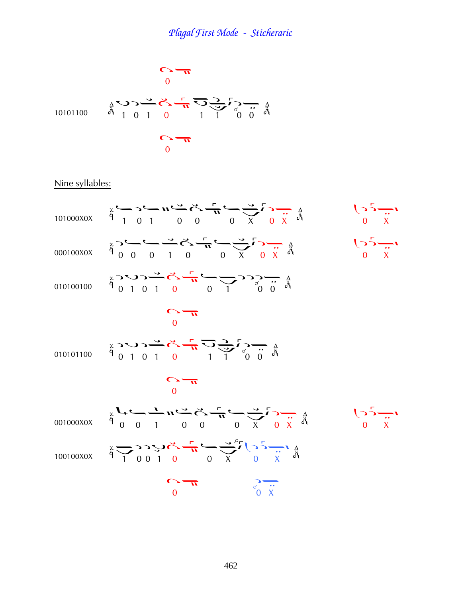

### Nine syllables:

|           | 101000X0X $\ddot{\theta}$ 1 0 1 0 0 0 0 $\frac{x^2-3-1}{2}$ 0 $\frac{3}{2}$ 6 $\frac{3}{4}$                                                                                                                                                                                                                                                     | $\frac{1}{\sqrt{2}}$ $\frac{1}{\sqrt{2}}$                     |
|-----------|-------------------------------------------------------------------------------------------------------------------------------------------------------------------------------------------------------------------------------------------------------------------------------------------------------------------------------------------------|---------------------------------------------------------------|
|           | 000100X0X $\ddot{\theta}$ 0 0 1 0 0 X 0 X $\ddot{\theta}$                                                                                                                                                                                                                                                                                       | $\begin{array}{c}\n\sqrt{5} \\ \frac{1}{x} \\ 0\n\end{array}$ |
|           |                                                                                                                                                                                                                                                                                                                                                 |                                                               |
|           | $\frac{0}{\sqrt{1}}$                                                                                                                                                                                                                                                                                                                            |                                                               |
|           |                                                                                                                                                                                                                                                                                                                                                 |                                                               |
|           | $\frac{0}{\sqrt{1}}$                                                                                                                                                                                                                                                                                                                            |                                                               |
|           | 001000X0X $\frac{1}{9}$ $\frac{1}{9}$ $\frac{1}{9}$ $\frac{1}{9}$ $\frac{1}{9}$ $\frac{1}{9}$ $\frac{1}{9}$ $\frac{1}{9}$ $\frac{1}{9}$ $\frac{1}{9}$ $\frac{1}{9}$ $\frac{1}{9}$ $\frac{1}{9}$ $\frac{1}{9}$ $\frac{1}{9}$ $\frac{1}{9}$ $\frac{1}{9}$ $\frac{1}{9}$ $\frac{1}{9}$ $\frac{1}{9}$ $\frac{1}{9}$                                 | $\frac{1}{2}$ $\frac{1}{2}$                                   |
| 100100X0X | $\frac{1}{9} \sum_{i=1}^{4} \sum_{i=1}^{4} \sum_{j=1}^{4} \sum_{j=1}^{4} \sum_{j=1}^{4} \sum_{j=1}^{4} \sum_{j=1}^{4} \sum_{j=1}^{4} \sum_{j=1}^{4} \sum_{j=1}^{4} \sum_{j=1}^{4} \sum_{j=1}^{4} \sum_{j=1}^{4} \sum_{j=1}^{4} \sum_{j=1}^{4} \sum_{j=1}^{4} \sum_{j=1}^{4} \sum_{j=1}^{4} \sum_{j=1}^{4} \sum_{j=1}^{4} \sum_{j=1}^{4} \sum_{$ |                                                               |
|           | $\sum_{n=1}^{\infty}$<br>$\frac{1}{\sigma}$ $\frac{1}{x}$                                                                                                                                                                                                                                                                                       |                                                               |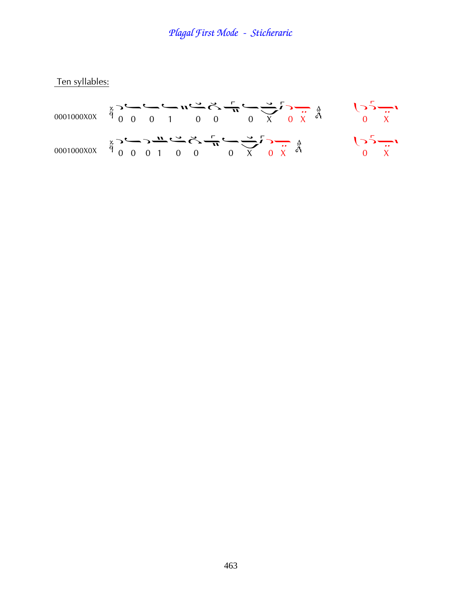Ten syllables: